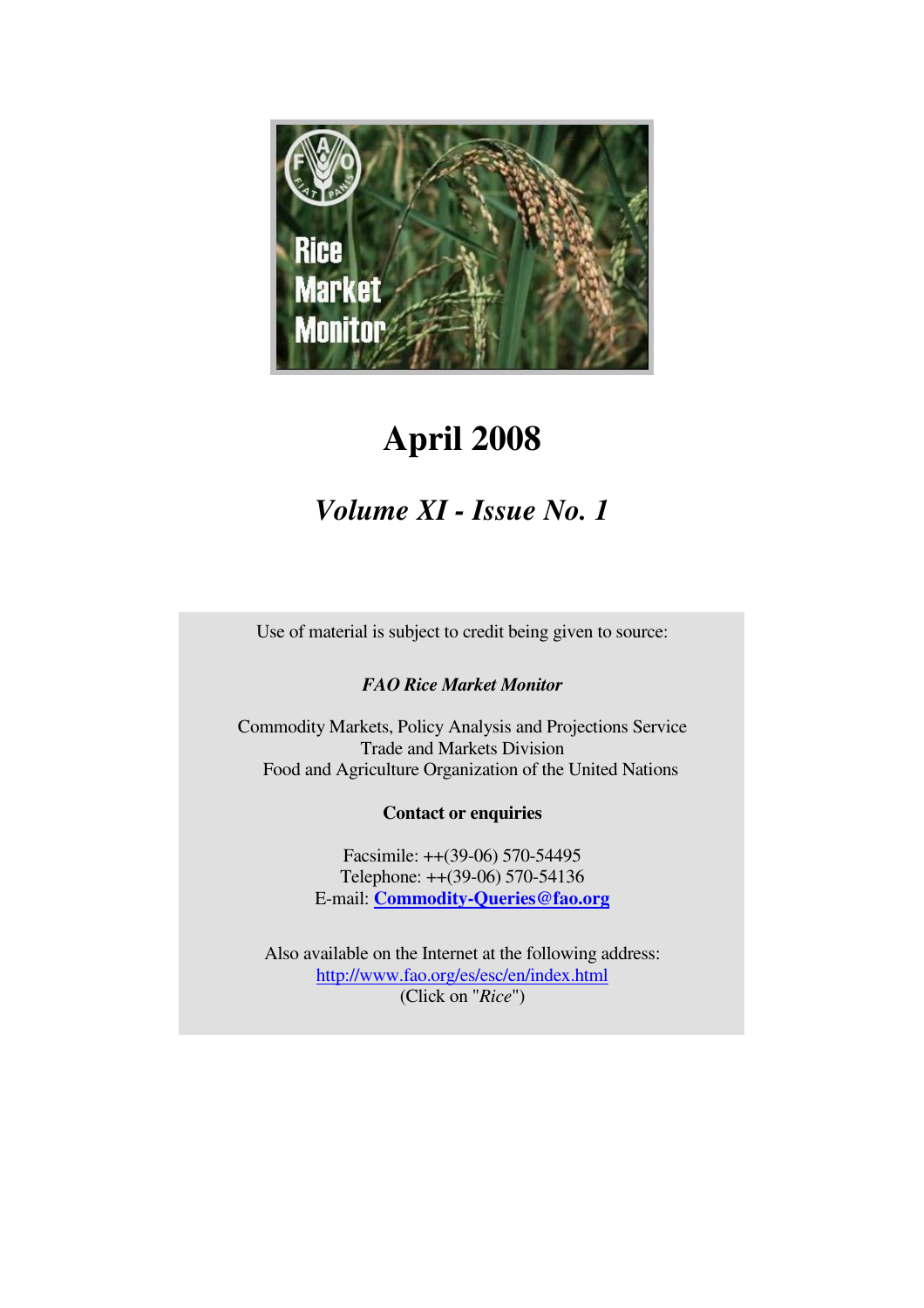

# **April 2008**

# *Volume XI - Issue No. 1*

Use of material is subject to credit being given to source:

## *FAO Rice Market Monitor*

Commodity Markets, Policy Analysis and Projections Service Trade and Markets Division Food and Agriculture Organization of the United Nations

## **Contact or enquiries**

Facsimile: ++(39-06) 570-54495 Telephone: ++(39-06) 570-54136 E-mail: **Commodity-Queries@fao.org**

Also available on the Internet at the following address: http://www.fao.org/es/esc/en/index.html (Click on "*Rice*")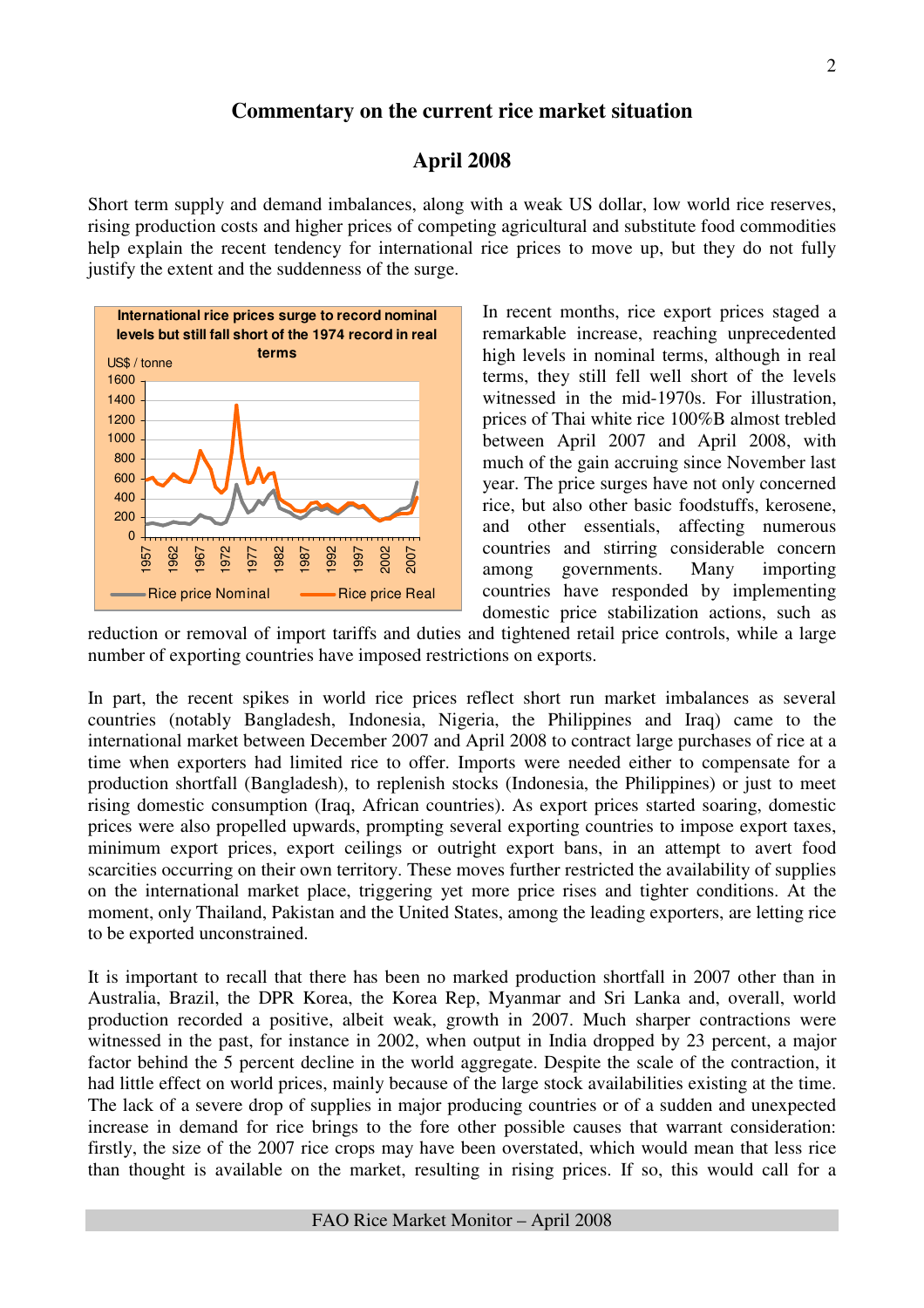## **Commentary on the current rice market situation**

## **April 2008**

Short term supply and demand imbalances, along with a weak US dollar, low world rice reserves, rising production costs and higher prices of competing agricultural and substitute food commodities help explain the recent tendency for international rice prices to move up, but they do not fully justify the extent and the suddenness of the surge.



In recent months, rice export prices staged a remarkable increase, reaching unprecedented high levels in nominal terms, although in real terms, they still fell well short of the levels witnessed in the mid-1970s. For illustration, prices of Thai white rice 100%B almost trebled between April 2007 and April 2008, with much of the gain accruing since November last year. The price surges have not only concerned rice, but also other basic foodstuffs, kerosene, and other essentials, affecting numerous countries and stirring considerable concern among governments. Many importing countries have responded by implementing domestic price stabilization actions, such as

reduction or removal of import tariffs and duties and tightened retail price controls, while a large number of exporting countries have imposed restrictions on exports.

In part, the recent spikes in world rice prices reflect short run market imbalances as several countries (notably Bangladesh, Indonesia, Nigeria, the Philippines and Iraq) came to the international market between December 2007 and April 2008 to contract large purchases of rice at a time when exporters had limited rice to offer. Imports were needed either to compensate for a production shortfall (Bangladesh), to replenish stocks (Indonesia, the Philippines) or just to meet rising domestic consumption (Iraq, African countries). As export prices started soaring, domestic prices were also propelled upwards, prompting several exporting countries to impose export taxes, minimum export prices, export ceilings or outright export bans, in an attempt to avert food scarcities occurring on their own territory. These moves further restricted the availability of supplies on the international market place, triggering yet more price rises and tighter conditions. At the moment, only Thailand, Pakistan and the United States, among the leading exporters, are letting rice to be exported unconstrained.

It is important to recall that there has been no marked production shortfall in 2007 other than in Australia, Brazil, the DPR Korea, the Korea Rep, Myanmar and Sri Lanka and, overall, world production recorded a positive, albeit weak, growth in 2007. Much sharper contractions were witnessed in the past, for instance in 2002, when output in India dropped by 23 percent, a major factor behind the 5 percent decline in the world aggregate. Despite the scale of the contraction, it had little effect on world prices, mainly because of the large stock availabilities existing at the time. The lack of a severe drop of supplies in major producing countries or of a sudden and unexpected increase in demand for rice brings to the fore other possible causes that warrant consideration: firstly, the size of the 2007 rice crops may have been overstated, which would mean that less rice than thought is available on the market, resulting in rising prices. If so, this would call for a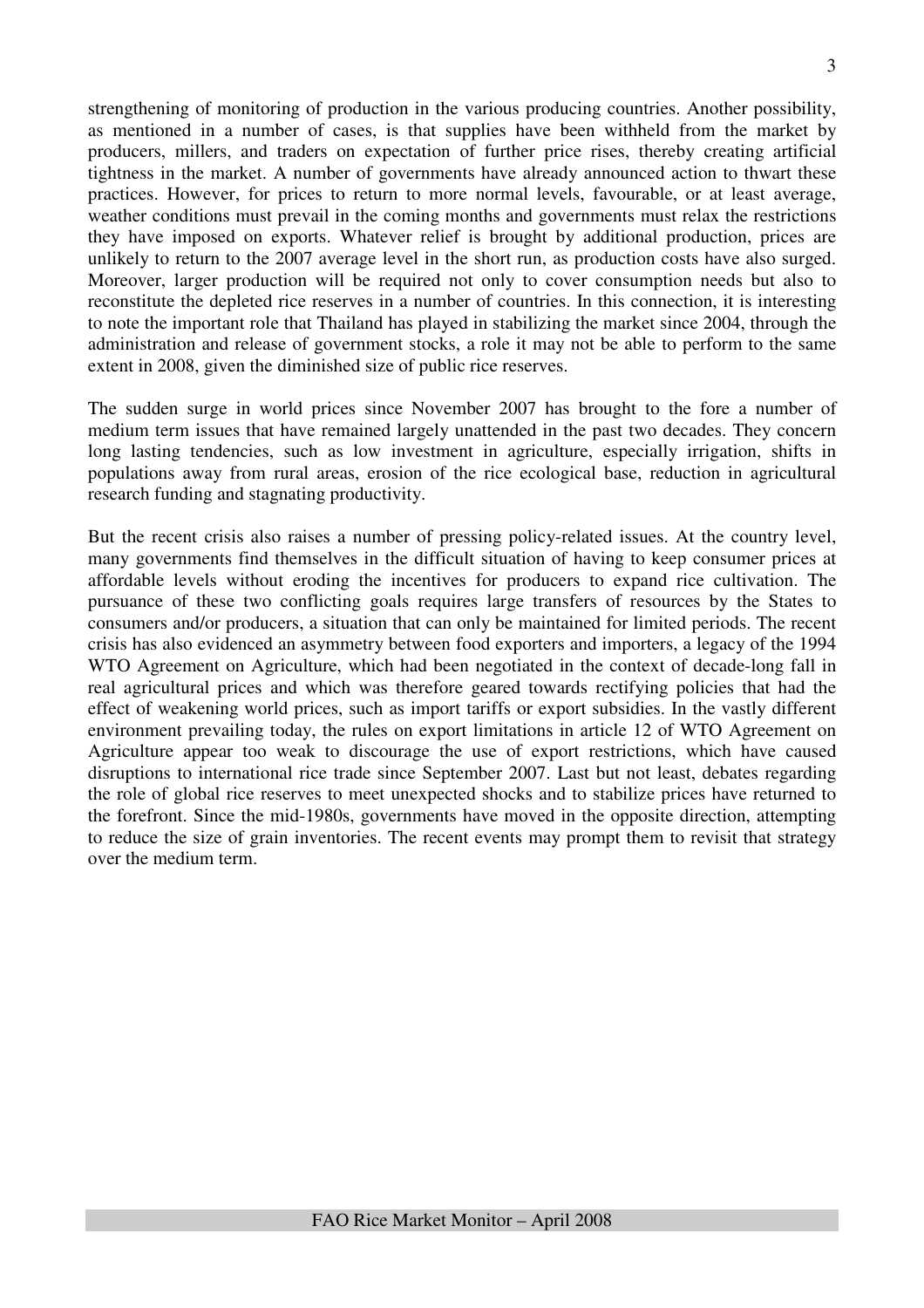strengthening of monitoring of production in the various producing countries. Another possibility, as mentioned in a number of cases, is that supplies have been withheld from the market by producers, millers, and traders on expectation of further price rises, thereby creating artificial tightness in the market. A number of governments have already announced action to thwart these practices. However, for prices to return to more normal levels, favourable, or at least average, weather conditions must prevail in the coming months and governments must relax the restrictions they have imposed on exports. Whatever relief is brought by additional production, prices are unlikely to return to the 2007 average level in the short run, as production costs have also surged. Moreover, larger production will be required not only to cover consumption needs but also to reconstitute the depleted rice reserves in a number of countries. In this connection, it is interesting to note the important role that Thailand has played in stabilizing the market since 2004, through the administration and release of government stocks, a role it may not be able to perform to the same extent in 2008, given the diminished size of public rice reserves.

The sudden surge in world prices since November 2007 has brought to the fore a number of medium term issues that have remained largely unattended in the past two decades. They concern long lasting tendencies, such as low investment in agriculture, especially irrigation, shifts in populations away from rural areas, erosion of the rice ecological base, reduction in agricultural research funding and stagnating productivity.

But the recent crisis also raises a number of pressing policy-related issues. At the country level, many governments find themselves in the difficult situation of having to keep consumer prices at affordable levels without eroding the incentives for producers to expand rice cultivation. The pursuance of these two conflicting goals requires large transfers of resources by the States to consumers and/or producers, a situation that can only be maintained for limited periods. The recent crisis has also evidenced an asymmetry between food exporters and importers, a legacy of the 1994 WTO Agreement on Agriculture, which had been negotiated in the context of decade-long fall in real agricultural prices and which was therefore geared towards rectifying policies that had the effect of weakening world prices, such as import tariffs or export subsidies. In the vastly different environment prevailing today, the rules on export limitations in article 12 of WTO Agreement on Agriculture appear too weak to discourage the use of export restrictions, which have caused disruptions to international rice trade since September 2007. Last but not least, debates regarding the role of global rice reserves to meet unexpected shocks and to stabilize prices have returned to the forefront. Since the mid-1980s, governments have moved in the opposite direction, attempting to reduce the size of grain inventories. The recent events may prompt them to revisit that strategy over the medium term.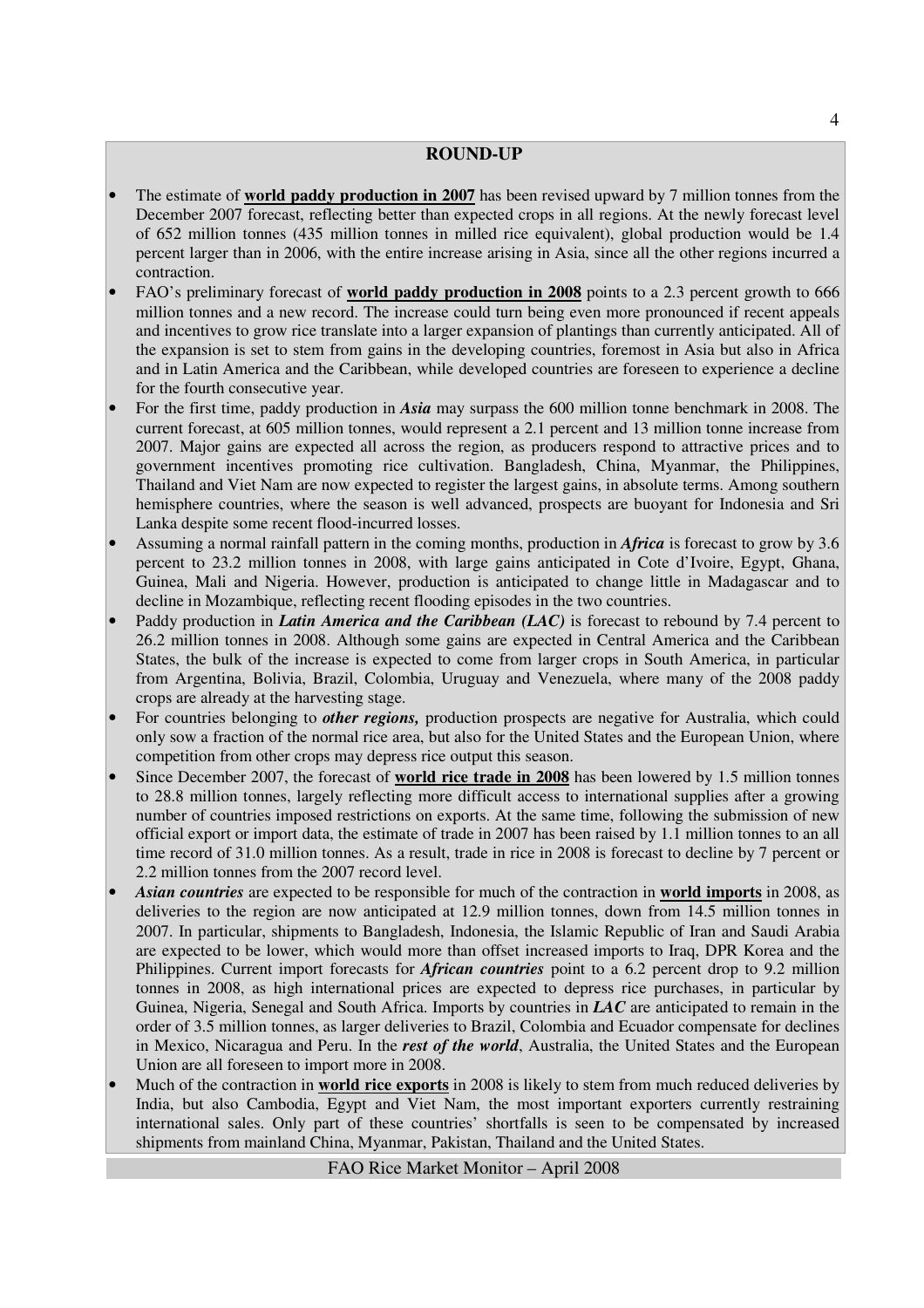#### **ROUND-UP**

- The estimate of **world paddy production in 2007** has been revised upward by 7 million tonnes from the December 2007 forecast, reflecting better than expected crops in all regions. At the newly forecast level of 652 million tonnes (435 million tonnes in milled rice equivalent), global production would be 1.4 percent larger than in 2006, with the entire increase arising in Asia, since all the other regions incurred a contraction.
- FAO's preliminary forecast of **world paddy production in 2008** points to a 2.3 percent growth to 666 million tonnes and a new record. The increase could turn being even more pronounced if recent appeals and incentives to grow rice translate into a larger expansion of plantings than currently anticipated. All of the expansion is set to stem from gains in the developing countries, foremost in Asia but also in Africa and in Latin America and the Caribbean, while developed countries are foreseen to experience a decline for the fourth consecutive year.
- For the first time, paddy production in *Asia* may surpass the 600 million tonne benchmark in 2008. The current forecast, at 605 million tonnes, would represent a 2.1 percent and 13 million tonne increase from 2007. Major gains are expected all across the region, as producers respond to attractive prices and to government incentives promoting rice cultivation. Bangladesh, China, Myanmar, the Philippines, Thailand and Viet Nam are now expected to register the largest gains, in absolute terms. Among southern hemisphere countries, where the season is well advanced, prospects are buoyant for Indonesia and Sri Lanka despite some recent flood-incurred losses.
- Assuming a normal rainfall pattern in the coming months, production in *Africa* is forecast to grow by 3.6 percent to 23.2 million tonnes in 2008, with large gains anticipated in Cote d'Ivoire, Egypt, Ghana, Guinea, Mali and Nigeria. However, production is anticipated to change little in Madagascar and to decline in Mozambique, reflecting recent flooding episodes in the two countries.
- Paddy production in *Latin America and the Caribbean (LAC)* is forecast to rebound by 7.4 percent to 26.2 million tonnes in 2008. Although some gains are expected in Central America and the Caribbean States, the bulk of the increase is expected to come from larger crops in South America, in particular from Argentina, Bolivia, Brazil, Colombia, Uruguay and Venezuela, where many of the 2008 paddy crops are already at the harvesting stage.
- For countries belonging to *other regions,* production prospects are negative for Australia, which could only sow a fraction of the normal rice area, but also for the United States and the European Union, where competition from other crops may depress rice output this season.
- Since December 2007, the forecast of **world rice trade in 2008** has been lowered by 1.5 million tonnes to 28.8 million tonnes, largely reflecting more difficult access to international supplies after a growing number of countries imposed restrictions on exports. At the same time, following the submission of new official export or import data, the estimate of trade in 2007 has been raised by 1.1 million tonnes to an all time record of 31.0 million tonnes. As a result, trade in rice in 2008 is forecast to decline by 7 percent or 2.2 million tonnes from the 2007 record level.
- *Asian countries* are expected to be responsible for much of the contraction in **world imports** in 2008, as deliveries to the region are now anticipated at 12.9 million tonnes, down from 14.5 million tonnes in 2007. In particular, shipments to Bangladesh, Indonesia, the Islamic Republic of Iran and Saudi Arabia are expected to be lower, which would more than offset increased imports to Iraq, DPR Korea and the Philippines. Current import forecasts for *African countries* point to a 6.2 percent drop to 9.2 million tonnes in 2008, as high international prices are expected to depress rice purchases, in particular by Guinea, Nigeria, Senegal and South Africa. Imports by countries in *LAC* are anticipated to remain in the order of 3.5 million tonnes, as larger deliveries to Brazil, Colombia and Ecuador compensate for declines in Mexico, Nicaragua and Peru. In the *rest of the world*, Australia, the United States and the European Union are all foreseen to import more in 2008.
- Much of the contraction in **world rice exports** in 2008 is likely to stem from much reduced deliveries by India, but also Cambodia, Egypt and Viet Nam, the most important exporters currently restraining international sales. Only part of these countries' shortfalls is seen to be compensated by increased shipments from mainland China, Myanmar, Pakistan, Thailand and the United States.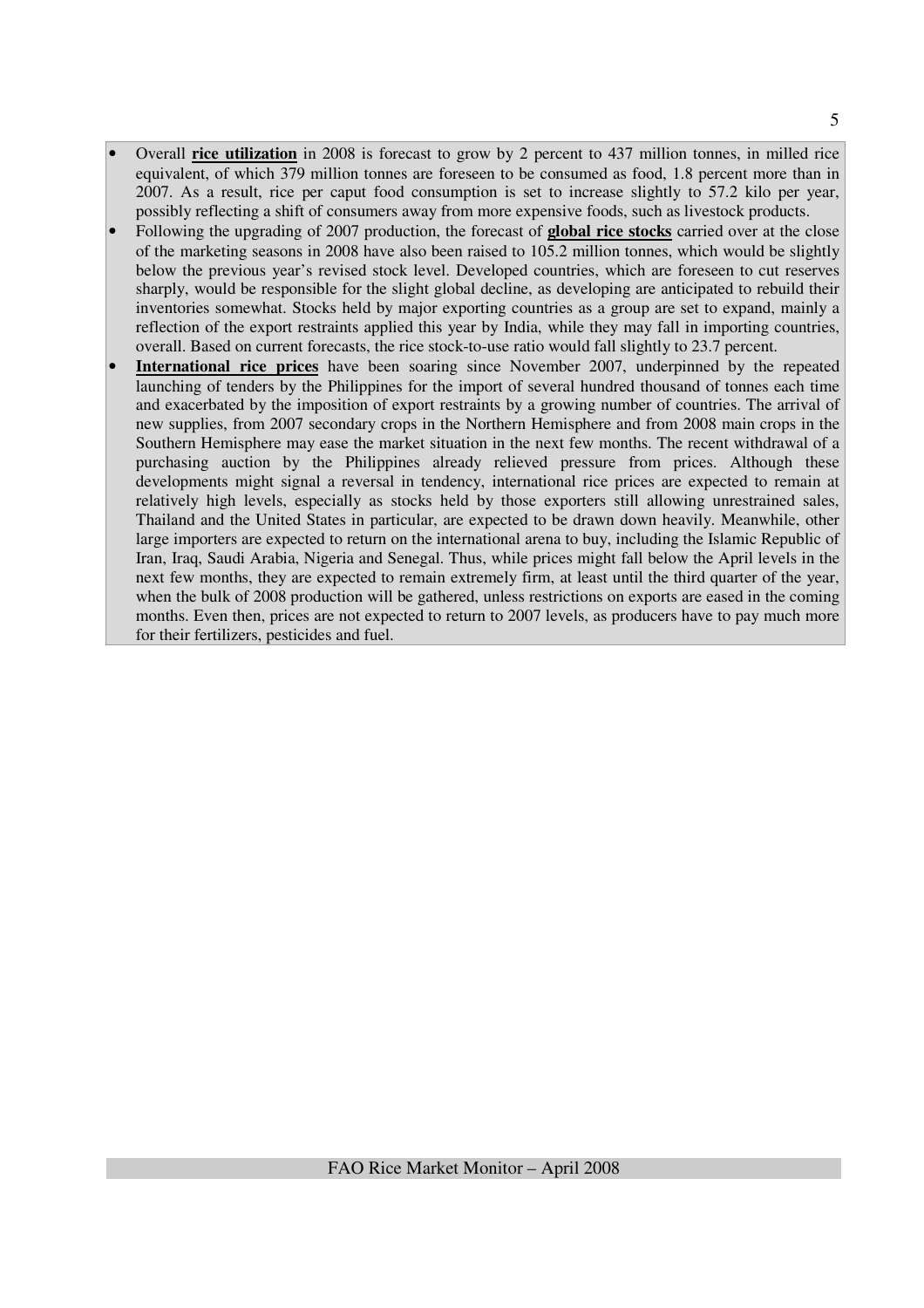- Overall **rice utilization** in 2008 is forecast to grow by 2 percent to 437 million tonnes, in milled rice equivalent, of which 379 million tonnes are foreseen to be consumed as food, 1.8 percent more than in 2007. As a result, rice per caput food consumption is set to increase slightly to 57.2 kilo per year, possibly reflecting a shift of consumers away from more expensive foods, such as livestock products.
- Following the upgrading of 2007 production, the forecast of **global rice stocks** carried over at the close of the marketing seasons in 2008 have also been raised to 105.2 million tonnes, which would be slightly below the previous year's revised stock level. Developed countries, which are foreseen to cut reserves sharply, would be responsible for the slight global decline, as developing are anticipated to rebuild their inventories somewhat. Stocks held by major exporting countries as a group are set to expand, mainly a reflection of the export restraints applied this year by India, while they may fall in importing countries, overall. Based on current forecasts, the rice stock-to-use ratio would fall slightly to 23.7 percent.
- **International rice prices** have been soaring since November 2007, underpinned by the repeated launching of tenders by the Philippines for the import of several hundred thousand of tonnes each time and exacerbated by the imposition of export restraints by a growing number of countries. The arrival of new supplies, from 2007 secondary crops in the Northern Hemisphere and from 2008 main crops in the Southern Hemisphere may ease the market situation in the next few months. The recent withdrawal of a purchasing auction by the Philippines already relieved pressure from prices. Although these developments might signal a reversal in tendency, international rice prices are expected to remain at relatively high levels, especially as stocks held by those exporters still allowing unrestrained sales, Thailand and the United States in particular, are expected to be drawn down heavily. Meanwhile, other large importers are expected to return on the international arena to buy, including the Islamic Republic of Iran, Iraq, Saudi Arabia, Nigeria and Senegal. Thus, while prices might fall below the April levels in the next few months, they are expected to remain extremely firm, at least until the third quarter of the year, when the bulk of 2008 production will be gathered, unless restrictions on exports are eased in the coming months. Even then, prices are not expected to return to 2007 levels, as producers have to pay much more for their fertilizers, pesticides and fuel.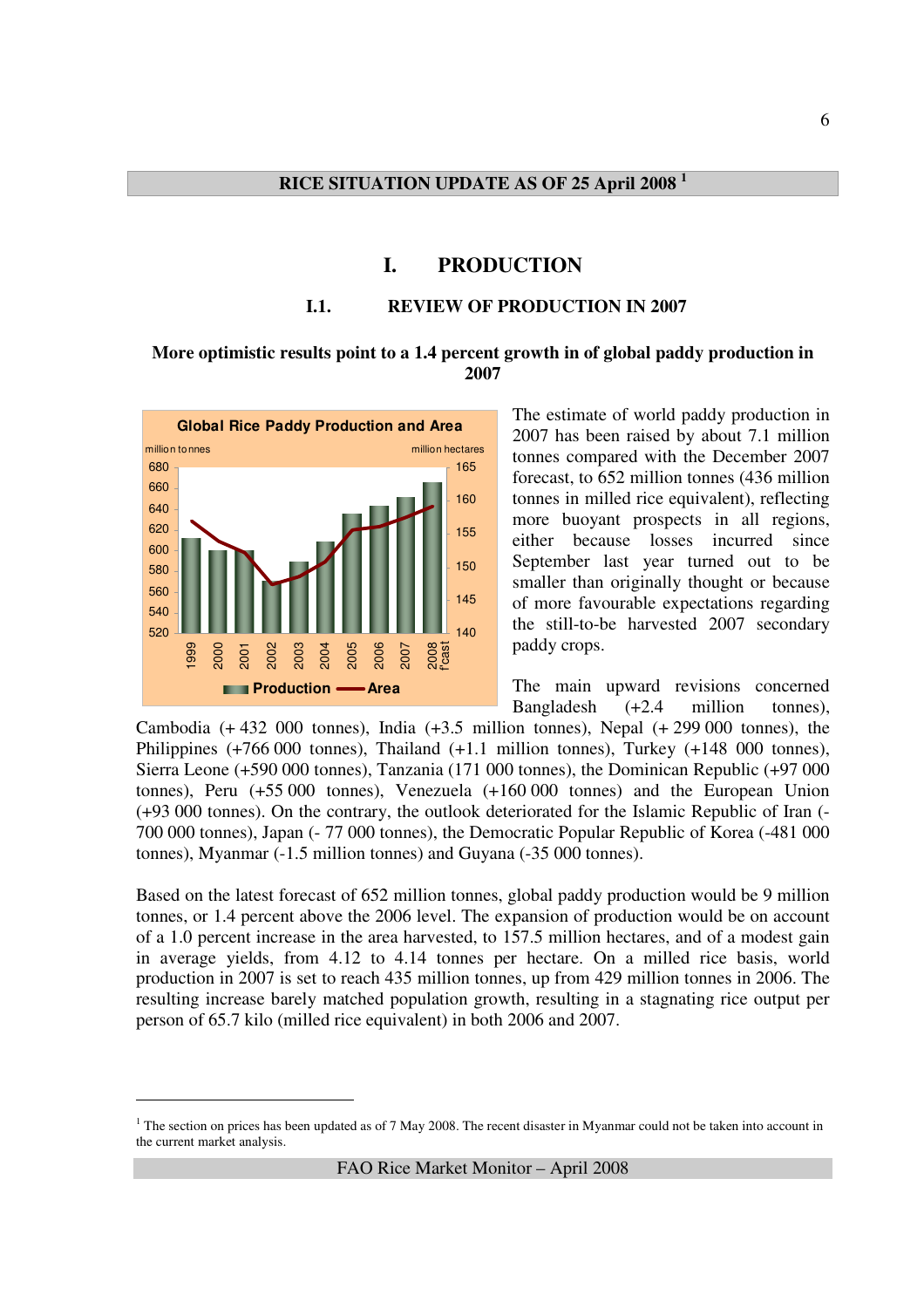#### **I. PRODUCTION**

#### **I.1. REVIEW OF PRODUCTION IN 2007**

#### **More optimistic results point to a 1.4 percent growth in of global paddy production in 2007**



<u>.</u>

The estimate of world paddy production in 2007 has been raised by about 7.1 million tonnes compared with the December 2007 forecast, to 652 million tonnes (436 million tonnes in milled rice equivalent), reflecting more buoyant prospects in all regions, either because losses incurred since September last year turned out to be smaller than originally thought or because of more favourable expectations regarding the still-to-be harvested 2007 secondary paddy crops.

The main upward revisions concerned Bangladesh (+2.4 million tonnes),

Cambodia  $(+ 432, 000)$  tonnes), India  $(+3.5)$  million tonnes), Nepal  $(+ 299, 000)$  tonnes), the Philippines (+766 000 tonnes), Thailand (+1.1 million tonnes), Turkey (+148 000 tonnes), Sierra Leone (+590 000 tonnes), Tanzania (171 000 tonnes), the Dominican Republic (+97 000 tonnes), Peru (+55 000 tonnes), Venezuela (+160 000 tonnes) and the European Union (+93 000 tonnes). On the contrary, the outlook deteriorated for the Islamic Republic of Iran (- 700 000 tonnes), Japan (- 77 000 tonnes), the Democratic Popular Republic of Korea (-481 000 tonnes), Myanmar (-1.5 million tonnes) and Guyana (-35 000 tonnes).

Based on the latest forecast of 652 million tonnes, global paddy production would be 9 million tonnes, or 1.4 percent above the 2006 level. The expansion of production would be on account of a 1.0 percent increase in the area harvested, to 157.5 million hectares, and of a modest gain in average yields, from 4.12 to 4.14 tonnes per hectare. On a milled rice basis, world production in 2007 is set to reach 435 million tonnes, up from 429 million tonnes in 2006. The resulting increase barely matched population growth, resulting in a stagnating rice output per person of 65.7 kilo (milled rice equivalent) in both 2006 and 2007.

<sup>&</sup>lt;sup>1</sup> The section on prices has been updated as of 7 May 2008. The recent disaster in Myanmar could not be taken into account in the current market analysis.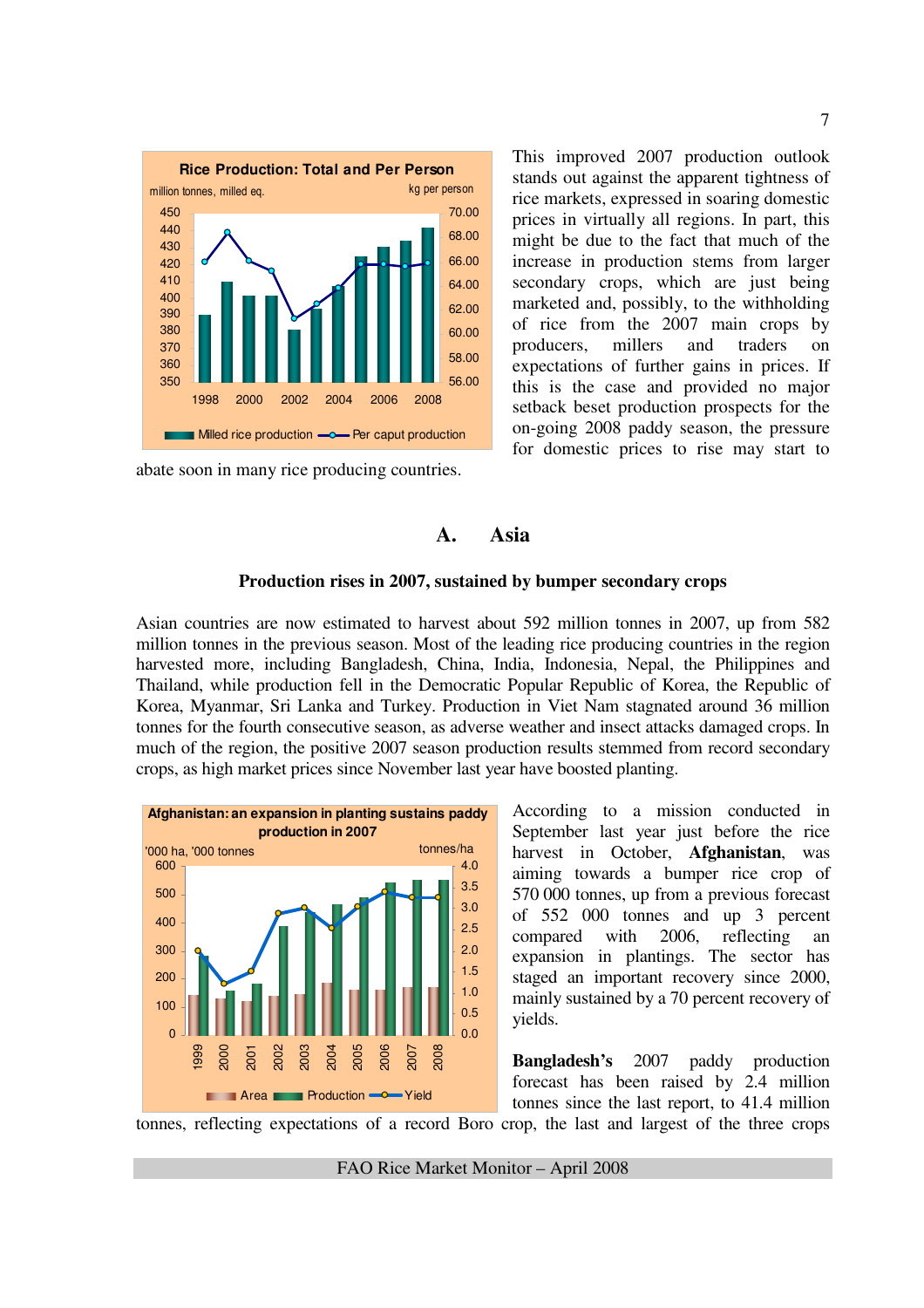

abate soon in many rice producing countries.

This improved 2007 production outlook stands out against the apparent tightness of rice markets, expressed in soaring domestic prices in virtually all regions. In part, this might be due to the fact that much of the increase in production stems from larger secondary crops, which are just being marketed and, possibly, to the withholding of rice from the 2007 main crops by producers, millers and traders on expectations of further gains in prices. If this is the case and provided no major setback beset production prospects for the on-going 2008 paddy season, the pressure for domestic prices to rise may start to

## **A. Asia**

#### **Production rises in 2007, sustained by bumper secondary crops**

Asian countries are now estimated to harvest about 592 million tonnes in 2007, up from 582 million tonnes in the previous season. Most of the leading rice producing countries in the region harvested more, including Bangladesh, China, India, Indonesia, Nepal, the Philippines and Thailand, while production fell in the Democratic Popular Republic of Korea, the Republic of Korea, Myanmar, Sri Lanka and Turkey. Production in Viet Nam stagnated around 36 million tonnes for the fourth consecutive season, as adverse weather and insect attacks damaged crops. In much of the region, the positive 2007 season production results stemmed from record secondary crops, as high market prices since November last year have boosted planting.



According to a mission conducted in September last year just before the rice harvest in October, **Afghanistan**, was aiming towards a bumper rice crop of 570 000 tonnes, up from a previous forecast of 552 000 tonnes and up 3 percent compared with 2006, reflecting an expansion in plantings. The sector has staged an important recovery since 2000, mainly sustained by a 70 percent recovery of yields.

**Bangladesh's** 2007 paddy production forecast has been raised by 2.4 million tonnes since the last report, to 41.4 million

tonnes, reflecting expectations of a record Boro crop, the last and largest of the three crops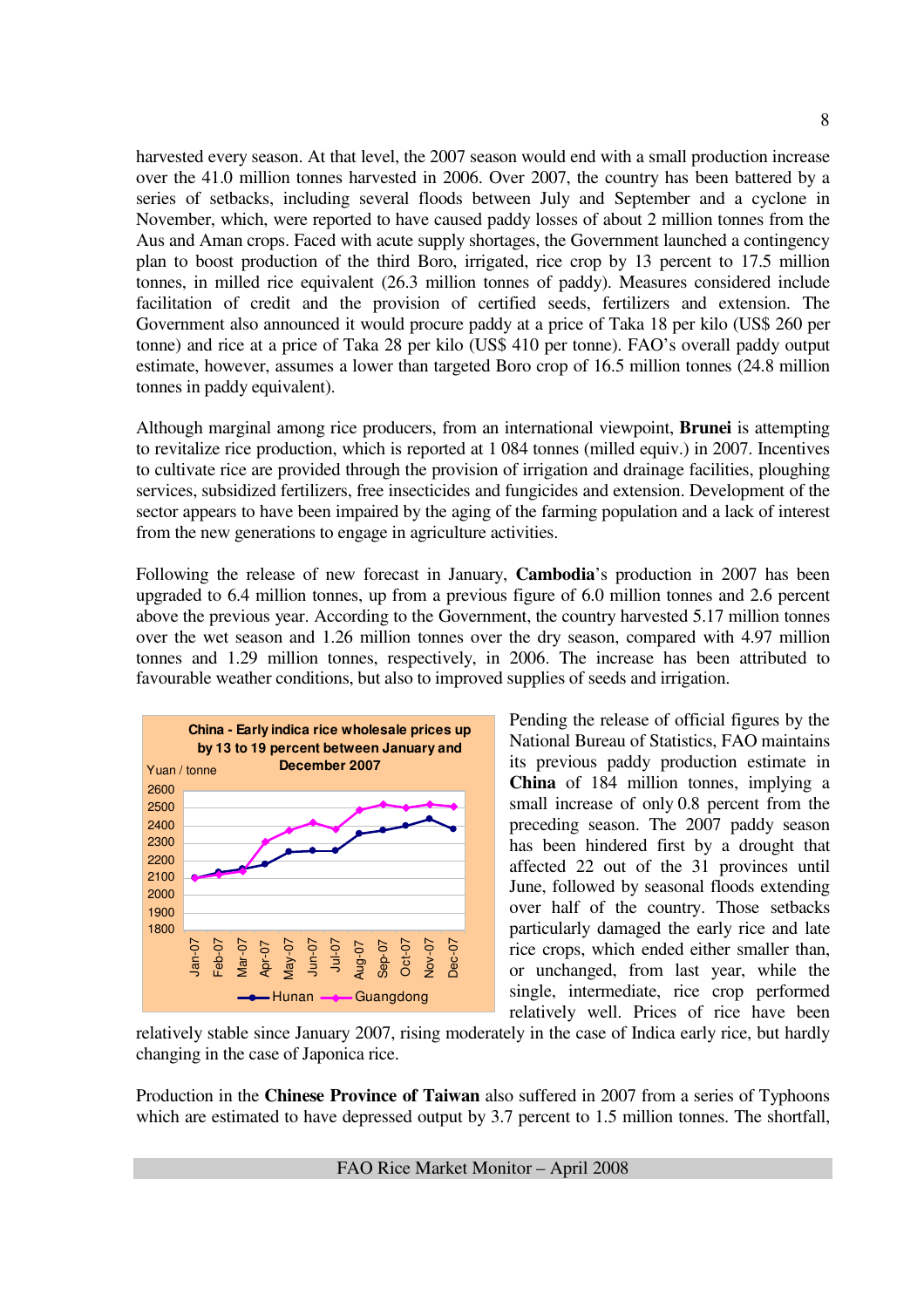harvested every season. At that level, the 2007 season would end with a small production increase over the 41.0 million tonnes harvested in 2006. Over 2007, the country has been battered by a series of setbacks, including several floods between July and September and a cyclone in November, which, were reported to have caused paddy losses of about 2 million tonnes from the Aus and Aman crops. Faced with acute supply shortages, the Government launched a contingency plan to boost production of the third Boro, irrigated, rice crop by 13 percent to 17.5 million tonnes, in milled rice equivalent (26.3 million tonnes of paddy). Measures considered include facilitation of credit and the provision of certified seeds, fertilizers and extension. The Government also announced it would procure paddy at a price of Taka 18 per kilo (US\$ 260 per tonne) and rice at a price of Taka 28 per kilo (US\$ 410 per tonne). FAO's overall paddy output estimate, however, assumes a lower than targeted Boro crop of 16.5 million tonnes (24.8 million tonnes in paddy equivalent).

Although marginal among rice producers, from an international viewpoint, **Brunei** is attempting to revitalize rice production, which is reported at 1 084 tonnes (milled equiv.) in 2007. Incentives to cultivate rice are provided through the provision of irrigation and drainage facilities, ploughing services, subsidized fertilizers, free insecticides and fungicides and extension. Development of the sector appears to have been impaired by the aging of the farming population and a lack of interest from the new generations to engage in agriculture activities.

Following the release of new forecast in January, **Cambodia**'s production in 2007 has been upgraded to 6.4 million tonnes, up from a previous figure of 6.0 million tonnes and 2.6 percent above the previous year. According to the Government, the country harvested 5.17 million tonnes over the wet season and 1.26 million tonnes over the dry season, compared with 4.97 million tonnes and 1.29 million tonnes, respectively, in 2006. The increase has been attributed to favourable weather conditions, but also to improved supplies of seeds and irrigation.



Pending the release of official figures by the National Bureau of Statistics, FAO maintains its previous paddy production estimate in **China** of 184 million tonnes, implying a small increase of only 0.8 percent from the preceding season. The 2007 paddy season has been hindered first by a drought that affected 22 out of the 31 provinces until June, followed by seasonal floods extending over half of the country. Those setbacks particularly damaged the early rice and late rice crops, which ended either smaller than, or unchanged, from last year, while the single, intermediate, rice crop performed relatively well. Prices of rice have been

relatively stable since January 2007, rising moderately in the case of Indica early rice, but hardly changing in the case of Japonica rice.

Production in the **Chinese Province of Taiwan** also suffered in 2007 from a series of Typhoons which are estimated to have depressed output by 3.7 percent to 1.5 million tonnes. The shortfall,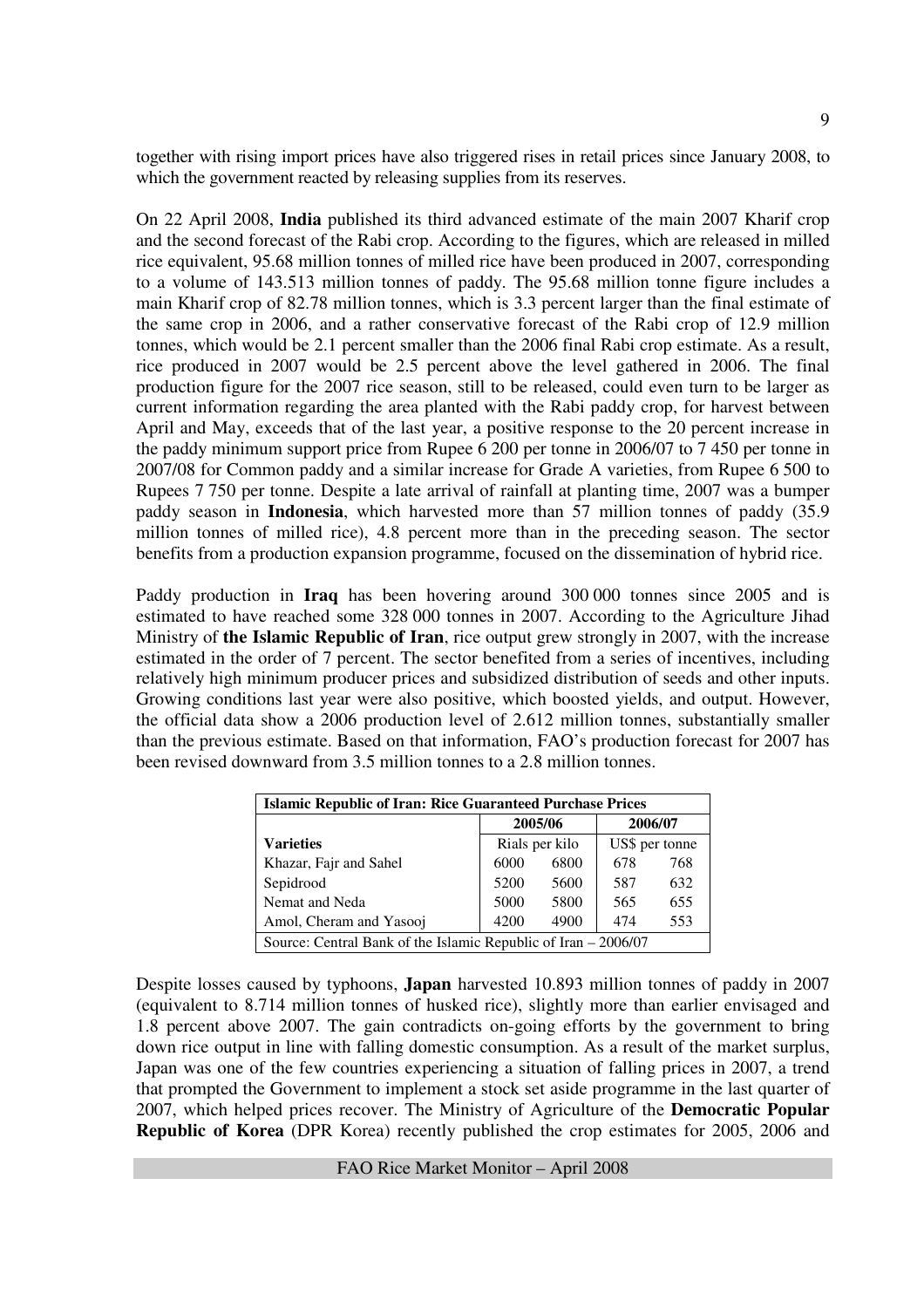together with rising import prices have also triggered rises in retail prices since January 2008, to which the government reacted by releasing supplies from its reserves.

On 22 April 2008, **India** published its third advanced estimate of the main 2007 Kharif crop and the second forecast of the Rabi crop. According to the figures, which are released in milled rice equivalent, 95.68 million tonnes of milled rice have been produced in 2007, corresponding to a volume of 143.513 million tonnes of paddy. The 95.68 million tonne figure includes a main Kharif crop of 82.78 million tonnes, which is 3.3 percent larger than the final estimate of the same crop in 2006, and a rather conservative forecast of the Rabi crop of 12.9 million tonnes, which would be 2.1 percent smaller than the 2006 final Rabi crop estimate. As a result, rice produced in 2007 would be 2.5 percent above the level gathered in 2006. The final production figure for the 2007 rice season, still to be released, could even turn to be larger as current information regarding the area planted with the Rabi paddy crop, for harvest between April and May, exceeds that of the last year, a positive response to the 20 percent increase in the paddy minimum support price from Rupee 6 200 per tonne in 2006/07 to 7 450 per tonne in 2007/08 for Common paddy and a similar increase for Grade A varieties, from Rupee 6 500 to Rupees 7 750 per tonne. Despite a late arrival of rainfall at planting time, 2007 was a bumper paddy season in **Indonesia**, which harvested more than 57 million tonnes of paddy (35.9 million tonnes of milled rice), 4.8 percent more than in the preceding season. The sector benefits from a production expansion programme, focused on the dissemination of hybrid rice.

Paddy production in **Iraq** has been hovering around 300 000 tonnes since 2005 and is estimated to have reached some 328 000 tonnes in 2007. According to the Agriculture Jihad Ministry of **the Islamic Republic of Iran**, rice output grew strongly in 2007, with the increase estimated in the order of 7 percent. The sector benefited from a series of incentives, including relatively high minimum producer prices and subsidized distribution of seeds and other inputs. Growing conditions last year were also positive, which boosted yields, and output. However, the official data show a 2006 production level of 2.612 million tonnes, substantially smaller than the previous estimate. Based on that information, FAO's production forecast for 2007 has been revised downward from 3.5 million tonnes to a 2.8 million tonnes.

| <b>Islamic Republic of Iran: Rice Guaranteed Purchase Prices</b> |      |                |         |                |  |  |  |  |  |  |
|------------------------------------------------------------------|------|----------------|---------|----------------|--|--|--|--|--|--|
|                                                                  |      | 2005/06        | 2006/07 |                |  |  |  |  |  |  |
| <b>Varieties</b>                                                 |      | Rials per kilo |         | US\$ per tonne |  |  |  |  |  |  |
| Khazar, Fajr and Sahel                                           | 6000 | 6800           | 678     | 768            |  |  |  |  |  |  |
| Sepidrood                                                        | 5200 | 5600           | 587     | 632            |  |  |  |  |  |  |
| Nemat and Neda                                                   | 5000 | 5800           | 565     | 655            |  |  |  |  |  |  |
| Amol, Cheram and Yasooj                                          | 4200 | 4900           | 474     | 553            |  |  |  |  |  |  |
| Source: Central Bank of the Islamic Republic of Iran – 2006/07   |      |                |         |                |  |  |  |  |  |  |

Despite losses caused by typhoons, **Japan** harvested 10.893 million tonnes of paddy in 2007 (equivalent to 8.714 million tonnes of husked rice), slightly more than earlier envisaged and 1.8 percent above 2007. The gain contradicts on-going efforts by the government to bring down rice output in line with falling domestic consumption. As a result of the market surplus, Japan was one of the few countries experiencing a situation of falling prices in 2007, a trend that prompted the Government to implement a stock set aside programme in the last quarter of 2007, which helped prices recover. The Ministry of Agriculture of the **Democratic Popular Republic of Korea** (DPR Korea) recently published the crop estimates for 2005, 2006 and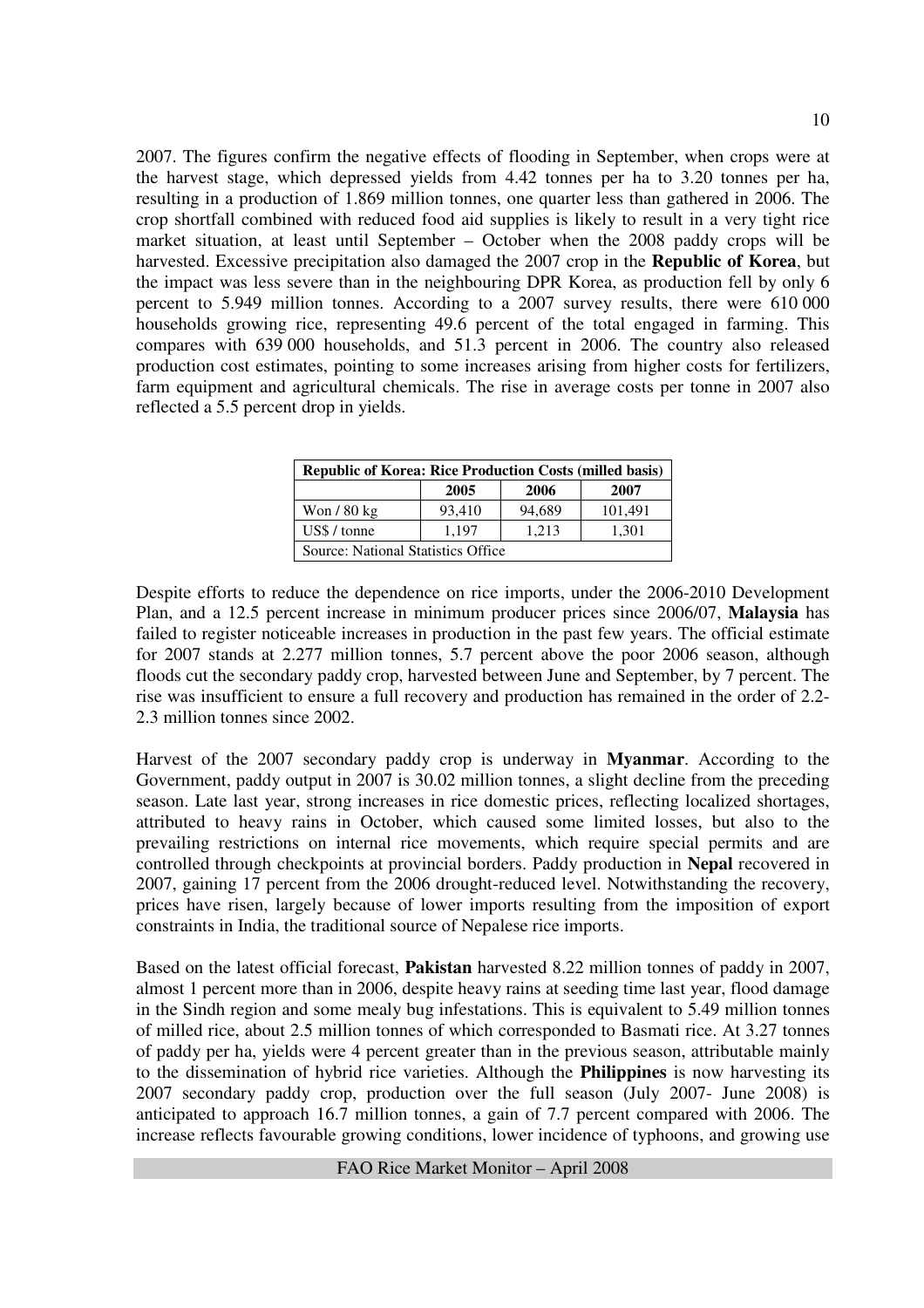2007. The figures confirm the negative effects of flooding in September, when crops were at the harvest stage, which depressed yields from 4.42 tonnes per ha to 3.20 tonnes per ha, resulting in a production of 1.869 million tonnes, one quarter less than gathered in 2006. The crop shortfall combined with reduced food aid supplies is likely to result in a very tight rice market situation, at least until September – October when the 2008 paddy crops will be harvested. Excessive precipitation also damaged the 2007 crop in the **Republic of Korea**, but the impact was less severe than in the neighbouring DPR Korea, as production fell by only 6 percent to 5.949 million tonnes. According to a 2007 survey results, there were 610 000 households growing rice, representing 49.6 percent of the total engaged in farming. This compares with 639 000 households, and 51.3 percent in 2006. The country also released production cost estimates, pointing to some increases arising from higher costs for fertilizers, farm equipment and agricultural chemicals. The rise in average costs per tonne in 2007 also reflected a 5.5 percent drop in yields.

| <b>Republic of Korea: Rice Production Costs (milled basis)</b> |        |        |         |  |  |  |  |  |  |
|----------------------------------------------------------------|--------|--------|---------|--|--|--|--|--|--|
|                                                                | 2005   | 2006   | 2007    |  |  |  |  |  |  |
| Won / 80 kg                                                    | 93,410 | 94,689 | 101,491 |  |  |  |  |  |  |
| US\$ / tonne                                                   | 1.197  | 1.213  | 1,301   |  |  |  |  |  |  |
| <b>Source: National Statistics Office</b>                      |        |        |         |  |  |  |  |  |  |

Despite efforts to reduce the dependence on rice imports, under the 2006-2010 Development Plan, and a 12.5 percent increase in minimum producer prices since 2006/07, **Malaysia** has failed to register noticeable increases in production in the past few years. The official estimate for 2007 stands at 2.277 million tonnes, 5.7 percent above the poor 2006 season, although floods cut the secondary paddy crop, harvested between June and September, by 7 percent. The rise was insufficient to ensure a full recovery and production has remained in the order of 2.2- 2.3 million tonnes since 2002.

Harvest of the 2007 secondary paddy crop is underway in **Myanmar**. According to the Government, paddy output in 2007 is 30.02 million tonnes, a slight decline from the preceding season. Late last year, strong increases in rice domestic prices, reflecting localized shortages, attributed to heavy rains in October, which caused some limited losses, but also to the prevailing restrictions on internal rice movements, which require special permits and are controlled through checkpoints at provincial borders. Paddy production in **Nepal** recovered in 2007, gaining 17 percent from the 2006 drought-reduced level. Notwithstanding the recovery, prices have risen, largely because of lower imports resulting from the imposition of export constraints in India, the traditional source of Nepalese rice imports.

Based on the latest official forecast, **Pakistan** harvested 8.22 million tonnes of paddy in 2007, almost 1 percent more than in 2006, despite heavy rains at seeding time last year, flood damage in the Sindh region and some mealy bug infestations. This is equivalent to 5.49 million tonnes of milled rice, about 2.5 million tonnes of which corresponded to Basmati rice. At 3.27 tonnes of paddy per ha, yields were 4 percent greater than in the previous season, attributable mainly to the dissemination of hybrid rice varieties. Although the **Philippines** is now harvesting its 2007 secondary paddy crop, production over the full season (July 2007- June 2008) is anticipated to approach 16.7 million tonnes, a gain of 7.7 percent compared with 2006. The increase reflects favourable growing conditions, lower incidence of typhoons, and growing use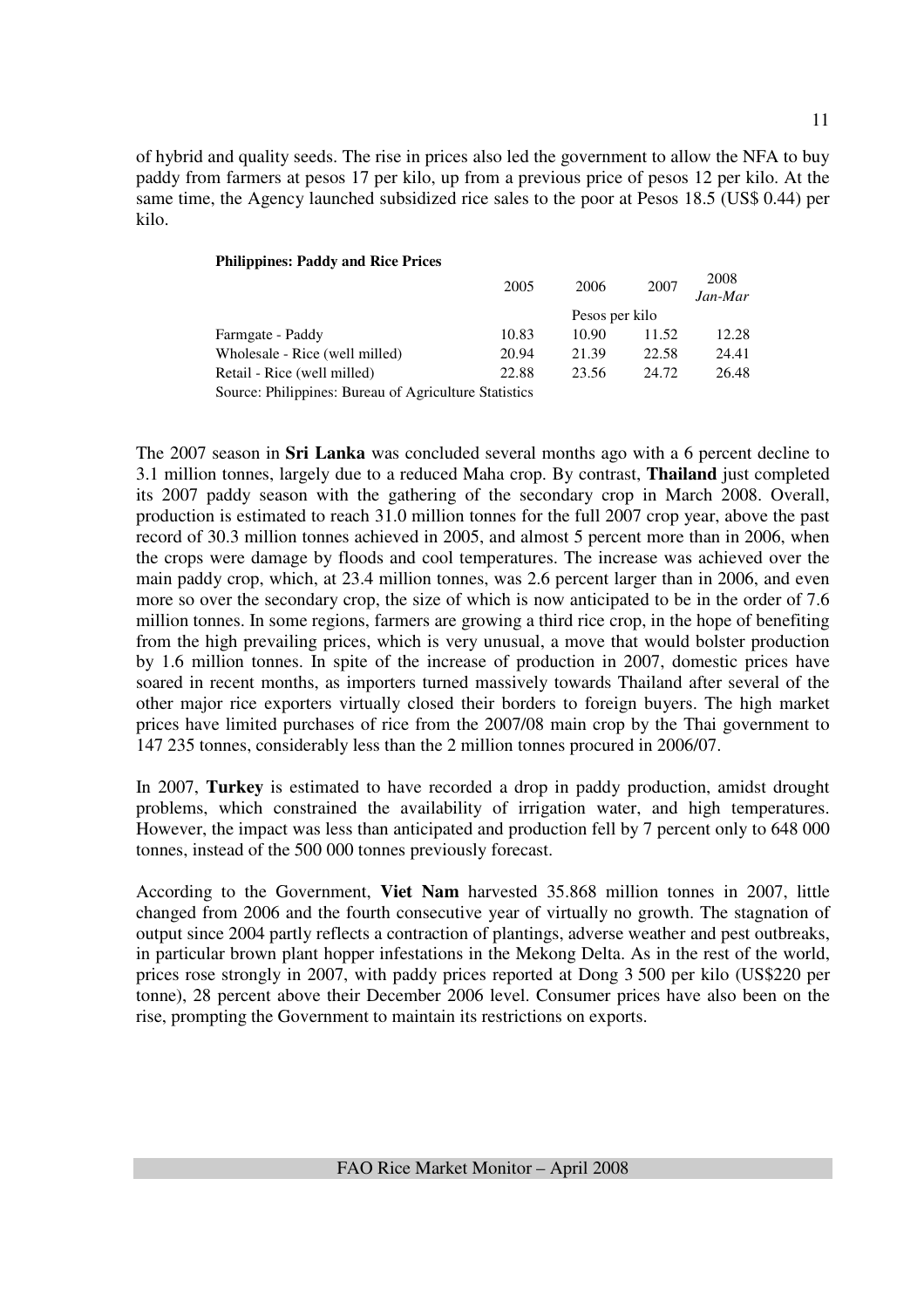of hybrid and quality seeds. The rise in prices also led the government to allow the NFA to buy paddy from farmers at pesos 17 per kilo, up from a previous price of pesos 12 per kilo. At the same time, the Agency launched subsidized rice sales to the poor at Pesos 18.5 (US\$ 0.44) per kilo.

#### **Philippines: Paddy and Rice Prices**

|                                                       | 2005  | 2006  | 2007  | 2008<br>Jan-Mar |
|-------------------------------------------------------|-------|-------|-------|-----------------|
|                                                       |       |       |       |                 |
| Farmgate - Paddy                                      | 10.83 | 10.90 | 11.52 | 12.28           |
| Wholesale - Rice (well milled)                        | 20.94 | 21.39 | 22.58 | 24.41           |
| Retail - Rice (well milled)                           | 22.88 | 23.56 | 24.72 | 26.48           |
| Source: Philippines: Bureau of Agriculture Statistics |       |       |       |                 |

The 2007 season in **Sri Lanka** was concluded several months ago with a 6 percent decline to 3.1 million tonnes, largely due to a reduced Maha crop. By contrast, **Thailand** just completed its 2007 paddy season with the gathering of the secondary crop in March 2008. Overall, production is estimated to reach 31.0 million tonnes for the full 2007 crop year, above the past record of 30.3 million tonnes achieved in 2005, and almost 5 percent more than in 2006, when the crops were damage by floods and cool temperatures. The increase was achieved over the main paddy crop, which, at 23.4 million tonnes, was 2.6 percent larger than in 2006, and even more so over the secondary crop, the size of which is now anticipated to be in the order of 7.6 million tonnes. In some regions, farmers are growing a third rice crop, in the hope of benefiting from the high prevailing prices, which is very unusual, a move that would bolster production by 1.6 million tonnes. In spite of the increase of production in 2007, domestic prices have soared in recent months, as importers turned massively towards Thailand after several of the other major rice exporters virtually closed their borders to foreign buyers. The high market prices have limited purchases of rice from the 2007/08 main crop by the Thai government to 147 235 tonnes, considerably less than the 2 million tonnes procured in 2006/07.

In 2007, **Turkey** is estimated to have recorded a drop in paddy production, amidst drought problems, which constrained the availability of irrigation water, and high temperatures. However, the impact was less than anticipated and production fell by 7 percent only to 648 000 tonnes, instead of the 500 000 tonnes previously forecast.

According to the Government, **Viet Nam** harvested 35.868 million tonnes in 2007, little changed from 2006 and the fourth consecutive year of virtually no growth. The stagnation of output since 2004 partly reflects a contraction of plantings, adverse weather and pest outbreaks, in particular brown plant hopper infestations in the Mekong Delta. As in the rest of the world, prices rose strongly in 2007, with paddy prices reported at Dong 3 500 per kilo (US\$220 per tonne), 28 percent above their December 2006 level. Consumer prices have also been on the rise, prompting the Government to maintain its restrictions on exports.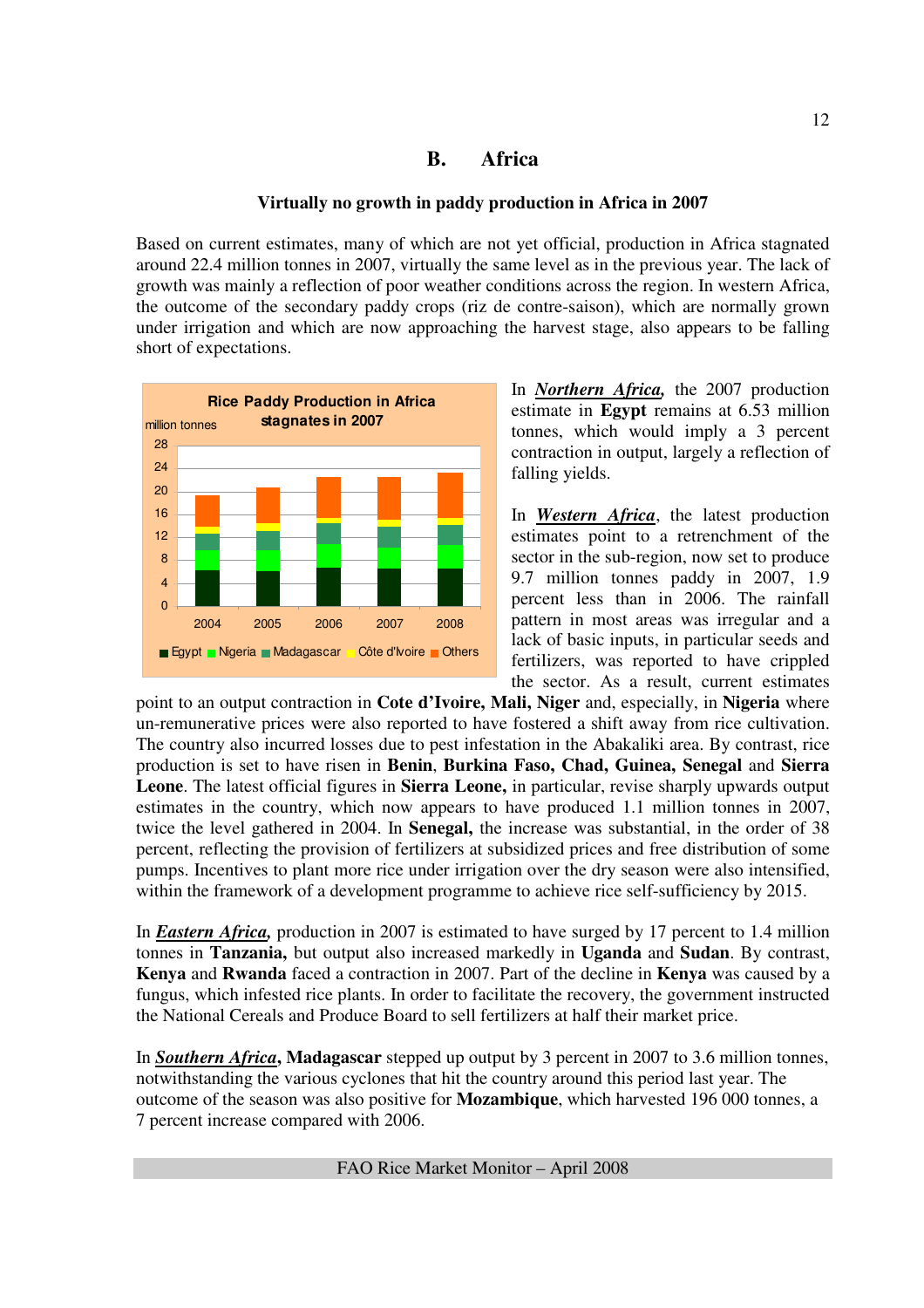### **B. Africa**

#### **Virtually no growth in paddy production in Africa in 2007**

Based on current estimates, many of which are not yet official, production in Africa stagnated around 22.4 million tonnes in 2007, virtually the same level as in the previous year. The lack of growth was mainly a reflection of poor weather conditions across the region. In western Africa, the outcome of the secondary paddy crops (riz de contre-saison), which are normally grown under irrigation and which are now approaching the harvest stage, also appears to be falling short of expectations.



In *Northern Africa,* the 2007 production estimate in **Egypt** remains at 6.53 million tonnes, which would imply a 3 percent contraction in output, largely a reflection of falling yields.

In *Western Africa*, the latest production estimates point to a retrenchment of the sector in the sub-region, now set to produce 9.7 million tonnes paddy in 2007, 1.9 percent less than in 2006. The rainfall pattern in most areas was irregular and a lack of basic inputs, in particular seeds and fertilizers, was reported to have crippled the sector. As a result, current estimates

point to an output contraction in **Cote d'Ivoire, Mali, Niger** and, especially, in **Nigeria** where un-remunerative prices were also reported to have fostered a shift away from rice cultivation. The country also incurred losses due to pest infestation in the Abakaliki area. By contrast, rice production is set to have risen in **Benin**, **Burkina Faso, Chad, Guinea, Senegal** and **Sierra Leone**. The latest official figures in **Sierra Leone,** in particular, revise sharply upwards output estimates in the country, which now appears to have produced 1.1 million tonnes in 2007, twice the level gathered in 2004. In **Senegal,** the increase was substantial, in the order of 38 percent, reflecting the provision of fertilizers at subsidized prices and free distribution of some pumps. Incentives to plant more rice under irrigation over the dry season were also intensified, within the framework of a development programme to achieve rice self-sufficiency by 2015.

In *Eastern Africa,* production in 2007 is estimated to have surged by 17 percent to 1.4 million tonnes in **Tanzania,** but output also increased markedly in **Uganda** and **Sudan**. By contrast, **Kenya** and **Rwanda** faced a contraction in 2007. Part of the decline in **Kenya** was caused by a fungus, which infested rice plants. In order to facilitate the recovery, the government instructed the National Cereals and Produce Board to sell fertilizers at half their market price.

In *Southern Africa***, Madagascar** stepped up output by 3 percent in 2007 to 3.6 million tonnes, notwithstanding the various cyclones that hit the country around this period last year. The outcome of the season was also positive for **Mozambique**, which harvested 196 000 tonnes, a 7 percent increase compared with 2006.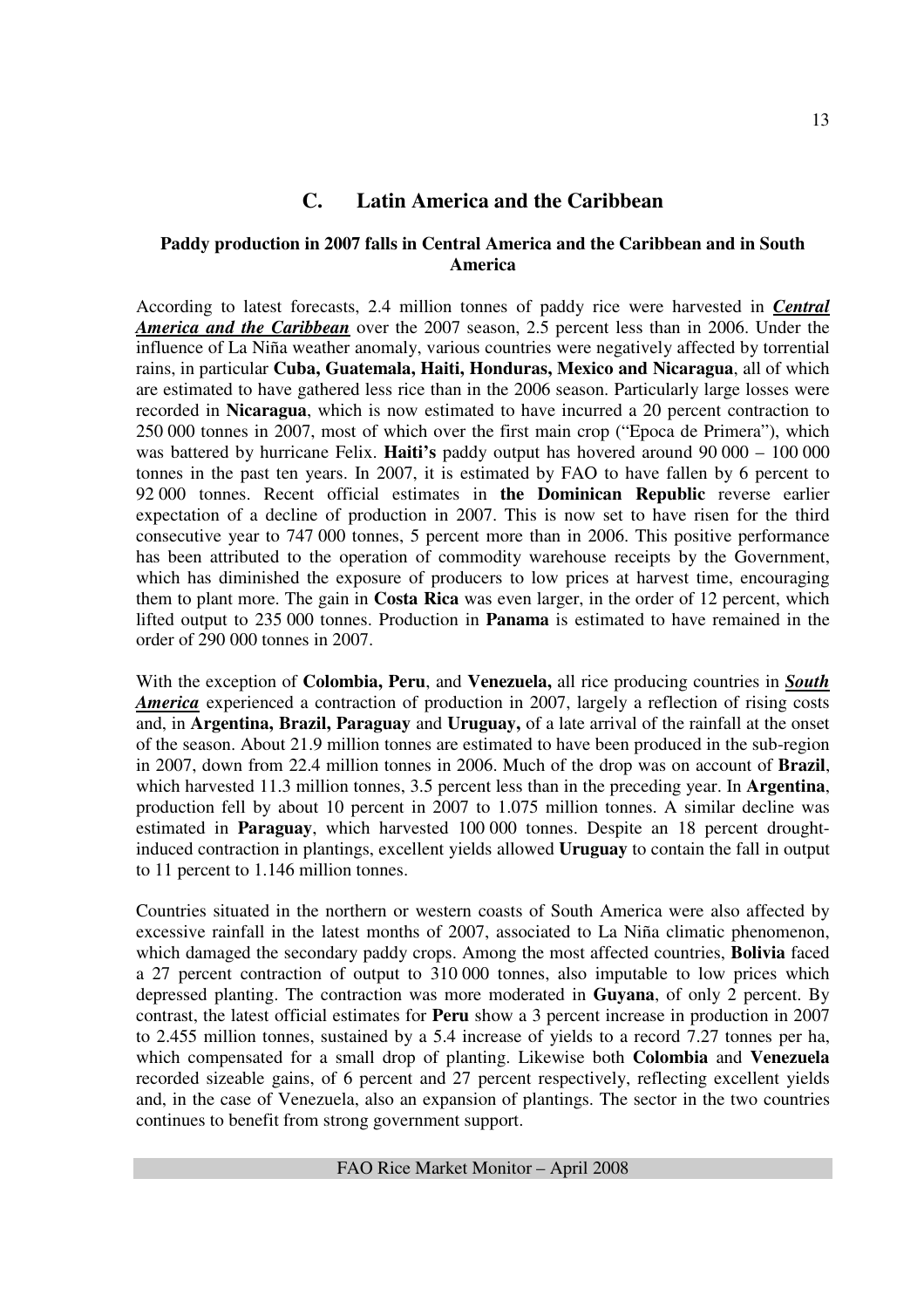## **C. Latin America and the Caribbean**

#### **Paddy production in 2007 falls in Central America and the Caribbean and in South America**

According to latest forecasts, 2.4 million tonnes of paddy rice were harvested in *Central America and the Caribbean* over the 2007 season, 2.5 percent less than in 2006. Under the influence of La Niña weather anomaly, various countries were negatively affected by torrential rains, in particular **Cuba, Guatemala, Haiti, Honduras, Mexico and Nicaragua**, all of which are estimated to have gathered less rice than in the 2006 season. Particularly large losses were recorded in **Nicaragua**, which is now estimated to have incurred a 20 percent contraction to 250 000 tonnes in 2007, most of which over the first main crop ("Epoca de Primera"), which was battered by hurricane Felix. **Haiti's** paddy output has hovered around 90 000 – 100 000 tonnes in the past ten years. In 2007, it is estimated by FAO to have fallen by 6 percent to 92 000 tonnes. Recent official estimates in **the Dominican Republic** reverse earlier expectation of a decline of production in 2007. This is now set to have risen for the third consecutive year to 747 000 tonnes, 5 percent more than in 2006. This positive performance has been attributed to the operation of commodity warehouse receipts by the Government, which has diminished the exposure of producers to low prices at harvest time, encouraging them to plant more. The gain in **Costa Rica** was even larger, in the order of 12 percent, which lifted output to 235 000 tonnes. Production in **Panama** is estimated to have remained in the order of 290 000 tonnes in 2007.

With the exception of **Colombia, Peru**, and **Venezuela,** all rice producing countries in *South America* experienced a contraction of production in 2007, largely a reflection of rising costs and, in **Argentina, Brazil, Paraguay** and **Uruguay,** of a late arrival of the rainfall at the onset of the season. About 21.9 million tonnes are estimated to have been produced in the sub-region in 2007, down from 22.4 million tonnes in 2006. Much of the drop was on account of **Brazil**, which harvested 11.3 million tonnes, 3.5 percent less than in the preceding year. In **Argentina**, production fell by about 10 percent in 2007 to 1.075 million tonnes. A similar decline was estimated in **Paraguay**, which harvested 100 000 tonnes. Despite an 18 percent droughtinduced contraction in plantings, excellent yields allowed **Uruguay** to contain the fall in output to 11 percent to 1.146 million tonnes.

Countries situated in the northern or western coasts of South America were also affected by excessive rainfall in the latest months of 2007, associated to La Niña climatic phenomenon, which damaged the secondary paddy crops. Among the most affected countries, **Bolivia** faced a 27 percent contraction of output to 310 000 tonnes, also imputable to low prices which depressed planting. The contraction was more moderated in **Guyana**, of only 2 percent. By contrast, the latest official estimates for **Peru** show a 3 percent increase in production in 2007 to 2.455 million tonnes, sustained by a 5.4 increase of yields to a record 7.27 tonnes per ha, which compensated for a small drop of planting. Likewise both **Colombia** and **Venezuela** recorded sizeable gains, of 6 percent and 27 percent respectively, reflecting excellent yields and, in the case of Venezuela, also an expansion of plantings. The sector in the two countries continues to benefit from strong government support.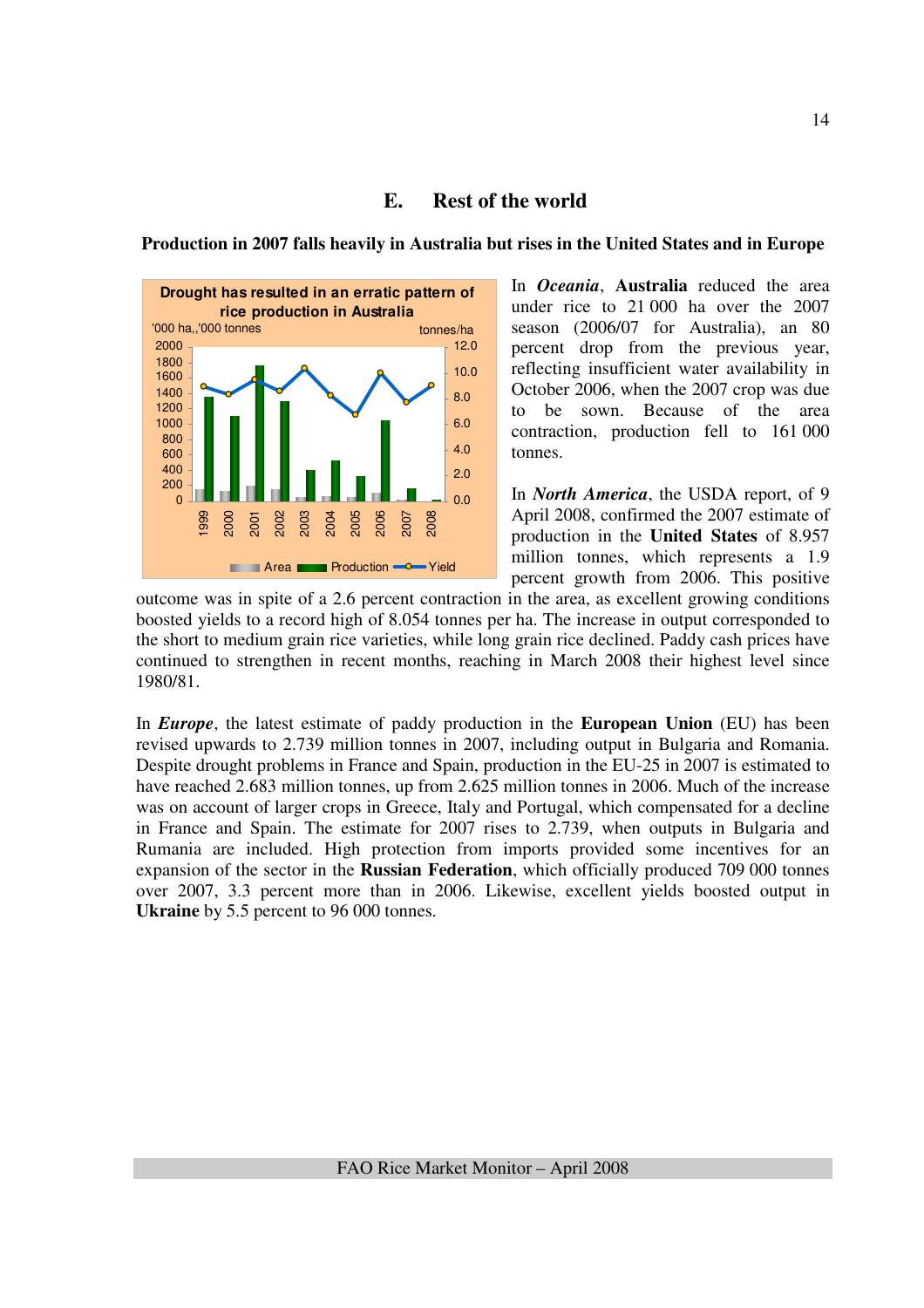

## **E. Rest of the world**

In *Oceania*, **Australia** reduced the area under rice to 21 000 ha over the 2007 season (2006/07 for Australia), an 80 percent drop from the previous year, reflecting insufficient water availability in October 2006, when the 2007 crop was due to be sown. Because of the area contraction, production fell to 161 000 tonnes.

In *North America*, the USDA report, of 9 April 2008, confirmed the 2007 estimate of production in the **United States** of 8.957 million tonnes, which represents a 1.9 percent growth from 2006. This positive

outcome was in spite of a 2.6 percent contraction in the area, as excellent growing conditions boosted yields to a record high of 8.054 tonnes per ha. The increase in output corresponded to the short to medium grain rice varieties, while long grain rice declined. Paddy cash prices have continued to strengthen in recent months, reaching in March 2008 their highest level since 1980/81.

In *Europe*, the latest estimate of paddy production in the **European Union** (EU) has been revised upwards to 2.739 million tonnes in 2007, including output in Bulgaria and Romania. Despite drought problems in France and Spain, production in the EU-25 in 2007 is estimated to have reached 2.683 million tonnes, up from 2.625 million tonnes in 2006. Much of the increase was on account of larger crops in Greece, Italy and Portugal, which compensated for a decline in France and Spain. The estimate for 2007 rises to 2.739, when outputs in Bulgaria and Rumania are included. High protection from imports provided some incentives for an expansion of the sector in the **Russian Federation**, which officially produced 709 000 tonnes over 2007, 3.3 percent more than in 2006. Likewise, excellent yields boosted output in **Ukraine** by 5.5 percent to 96 000 tonnes.

## **Production in 2007 falls heavily in Australia but rises in the United States and in Europe**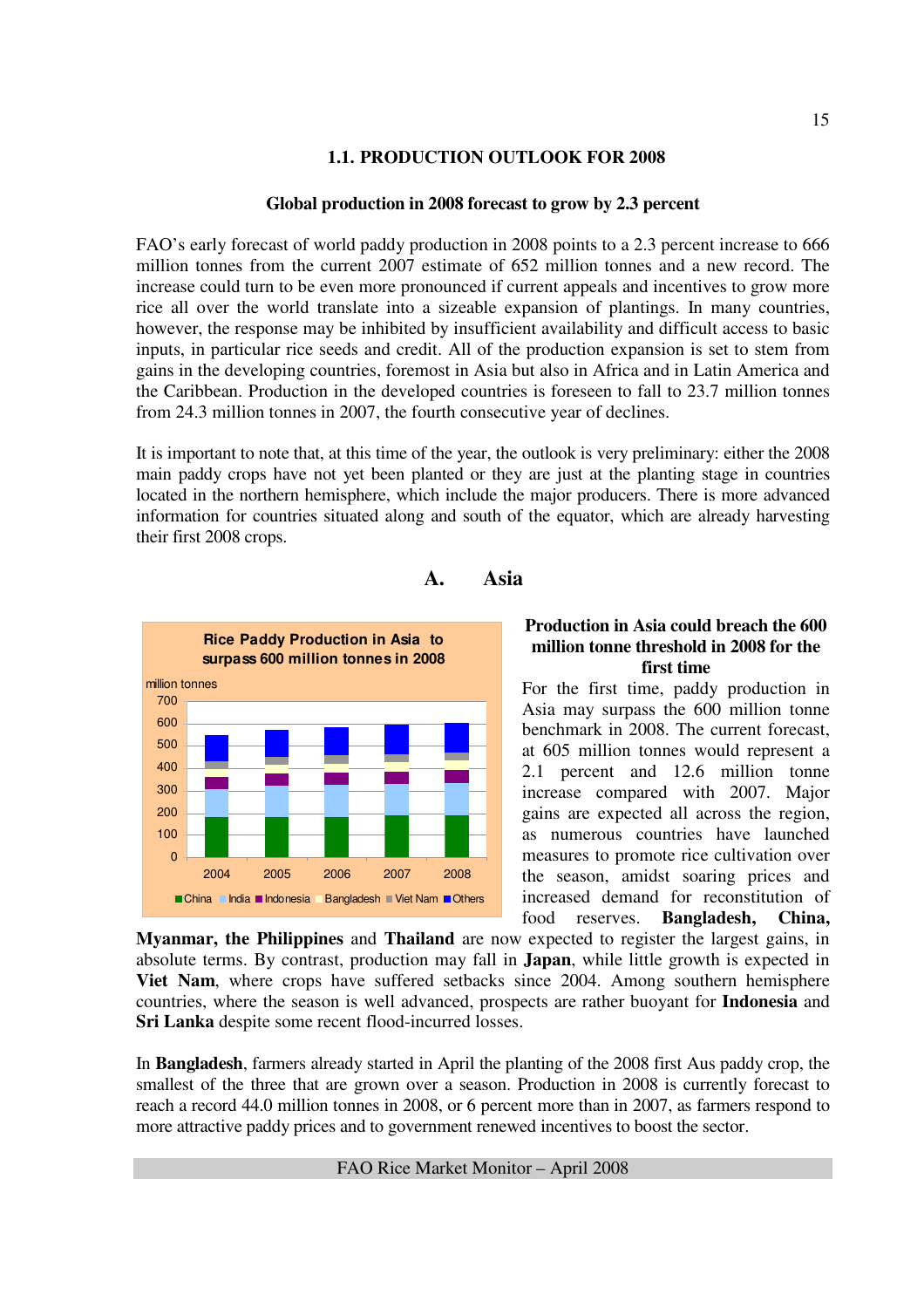### **1.1. PRODUCTION OUTLOOK FOR 2008**

### **Global production in 2008 forecast to grow by 2.3 percent**

FAO's early forecast of world paddy production in 2008 points to a 2.3 percent increase to 666 million tonnes from the current 2007 estimate of 652 million tonnes and a new record. The increase could turn to be even more pronounced if current appeals and incentives to grow more rice all over the world translate into a sizeable expansion of plantings. In many countries, however, the response may be inhibited by insufficient availability and difficult access to basic inputs, in particular rice seeds and credit. All of the production expansion is set to stem from gains in the developing countries, foremost in Asia but also in Africa and in Latin America and the Caribbean. Production in the developed countries is foreseen to fall to 23.7 million tonnes from 24.3 million tonnes in 2007, the fourth consecutive year of declines.

It is important to note that, at this time of the year, the outlook is very preliminary: either the 2008 main paddy crops have not yet been planted or they are just at the planting stage in countries located in the northern hemisphere, which include the major producers. There is more advanced information for countries situated along and south of the equator, which are already harvesting their first 2008 crops.



## **A. Asia**

#### **Production in Asia could breach the 600 million tonne threshold in 2008 for the first time**

For the first time, paddy production in Asia may surpass the 600 million tonne benchmark in 2008. The current forecast, at 605 million tonnes would represent a 2.1 percent and 12.6 million tonne increase compared with 2007. Major gains are expected all across the region, as numerous countries have launched measures to promote rice cultivation over the season, amidst soaring prices and increased demand for reconstitution of food reserves. **Bangladesh, China,** 

**Myanmar, the Philippines** and **Thailand** are now expected to register the largest gains, in absolute terms. By contrast, production may fall in **Japan**, while little growth is expected in **Viet Nam**, where crops have suffered setbacks since 2004. Among southern hemisphere countries, where the season is well advanced, prospects are rather buoyant for **Indonesia** and **Sri Lanka** despite some recent flood-incurred losses.

In **Bangladesh**, farmers already started in April the planting of the 2008 first Aus paddy crop, the smallest of the three that are grown over a season. Production in 2008 is currently forecast to reach a record 44.0 million tonnes in 2008, or 6 percent more than in 2007, as farmers respond to more attractive paddy prices and to government renewed incentives to boost the sector.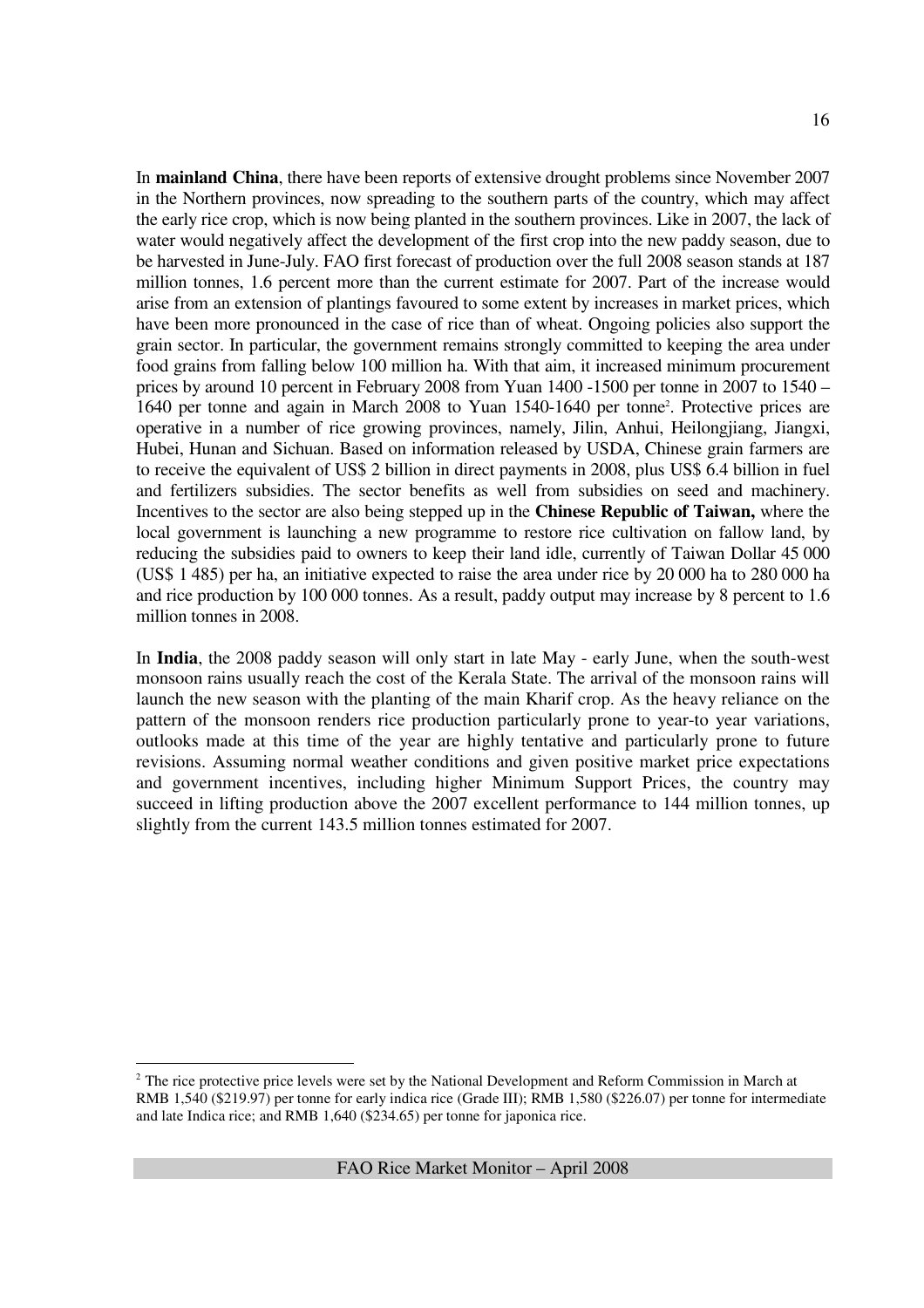In **mainland China**, there have been reports of extensive drought problems since November 2007 in the Northern provinces, now spreading to the southern parts of the country, which may affect the early rice crop, which is now being planted in the southern provinces. Like in 2007, the lack of water would negatively affect the development of the first crop into the new paddy season, due to be harvested in June-July. FAO first forecast of production over the full 2008 season stands at 187 million tonnes, 1.6 percent more than the current estimate for 2007. Part of the increase would arise from an extension of plantings favoured to some extent by increases in market prices, which have been more pronounced in the case of rice than of wheat. Ongoing policies also support the grain sector. In particular, the government remains strongly committed to keeping the area under food grains from falling below 100 million ha. With that aim, it increased minimum procurement prices by around 10 percent in February 2008 from Yuan 1400 -1500 per tonne in 2007 to 1540 – 1640 per tonne and again in March 2008 to Yuan 1540-1640 per tonne<sup>2</sup> . Protective prices are operative in a number of rice growing provinces, namely, Jilin, Anhui, Heilongjiang, Jiangxi, Hubei, Hunan and Sichuan. Based on information released by USDA, Chinese grain farmers are to receive the equivalent of US\$ 2 billion in direct payments in 2008, plus US\$ 6.4 billion in fuel and fertilizers subsidies. The sector benefits as well from subsidies on seed and machinery. Incentives to the sector are also being stepped up in the **Chinese Republic of Taiwan,** where the local government is launching a new programme to restore rice cultivation on fallow land, by reducing the subsidies paid to owners to keep their land idle, currently of Taiwan Dollar 45 000 (US\$ 1 485) per ha, an initiative expected to raise the area under rice by 20 000 ha to 280 000 ha and rice production by 100 000 tonnes. As a result, paddy output may increase by 8 percent to 1.6 million tonnes in 2008.

In **India**, the 2008 paddy season will only start in late May - early June, when the south-west monsoon rains usually reach the cost of the Kerala State. The arrival of the monsoon rains will launch the new season with the planting of the main Kharif crop. As the heavy reliance on the pattern of the monsoon renders rice production particularly prone to year-to year variations, outlooks made at this time of the year are highly tentative and particularly prone to future revisions. Assuming normal weather conditions and given positive market price expectations and government incentives, including higher Minimum Support Prices, the country may succeed in lifting production above the 2007 excellent performance to 144 million tonnes, up slightly from the current 143.5 million tonnes estimated for 2007.

<u>.</u>

 $2$  The rice protective price levels were set by the National Development and Reform Commission in March at RMB 1,540 (\$219.97) per tonne for early indica rice (Grade III); RMB 1,580 (\$226.07) per tonne for intermediate and late Indica rice; and RMB 1,640 (\$234.65) per tonne for japonica rice.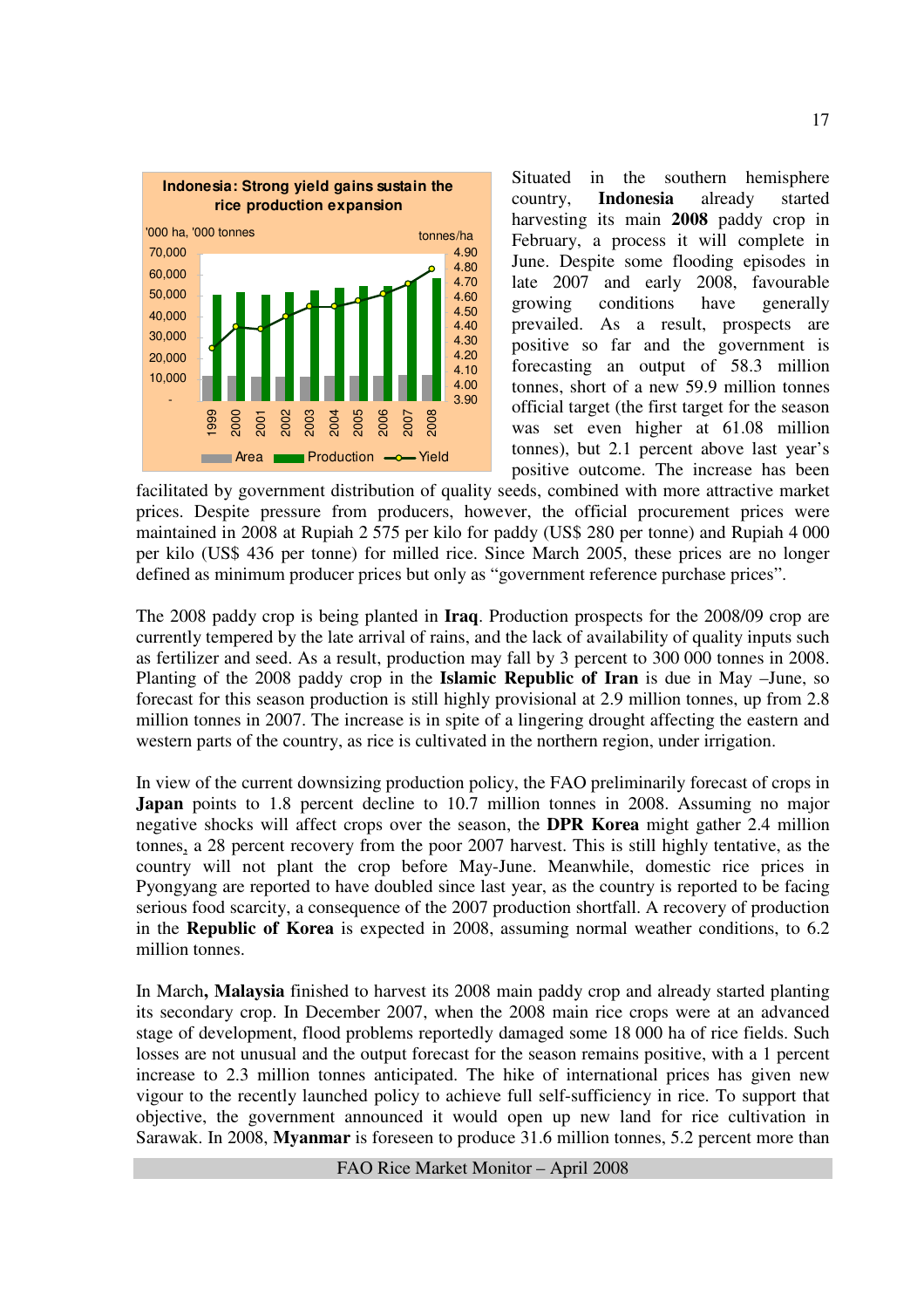

Situated in the southern hemisphere country, **Indonesia** already started harvesting its main **2008** paddy crop in February, a process it will complete in June. Despite some flooding episodes in late 2007 and early 2008, favourable growing conditions have generally prevailed. As a result, prospects are positive so far and the government is forecasting an output of 58.3 million tonnes, short of a new 59.9 million tonnes official target (the first target for the season was set even higher at 61.08 million tonnes), but 2.1 percent above last year's positive outcome. The increase has been

facilitated by government distribution of quality seeds, combined with more attractive market prices. Despite pressure from producers, however, the official procurement prices were maintained in 2008 at Rupiah 2 575 per kilo for paddy (US\$ 280 per tonne) and Rupiah 4 000 per kilo (US\$ 436 per tonne) for milled rice. Since March 2005, these prices are no longer defined as minimum producer prices but only as "government reference purchase prices".

The 2008 paddy crop is being planted in **Iraq**. Production prospects for the 2008/09 crop are currently tempered by the late arrival of rains, and the lack of availability of quality inputs such as fertilizer and seed. As a result, production may fall by 3 percent to 300 000 tonnes in 2008. Planting of the 2008 paddy crop in the **Islamic Republic of Iran** is due in May –June, so forecast for this season production is still highly provisional at 2.9 million tonnes, up from 2.8 million tonnes in 2007. The increase is in spite of a lingering drought affecting the eastern and western parts of the country, as rice is cultivated in the northern region, under irrigation.

In view of the current downsizing production policy, the FAO preliminarily forecast of crops in Japan points to 1.8 percent decline to 10.7 million tonnes in 2008. Assuming no major negative shocks will affect crops over the season, the **DPR Korea** might gather 2.4 million tonnes, a 28 percent recovery from the poor 2007 harvest. This is still highly tentative, as the country will not plant the crop before May-June. Meanwhile, domestic rice prices in Pyongyang are reported to have doubled since last year, as the country is reported to be facing serious food scarcity, a consequence of the 2007 production shortfall. A recovery of production in the **Republic of Korea** is expected in 2008, assuming normal weather conditions, to 6.2 million tonnes.

In March**, Malaysia** finished to harvest its 2008 main paddy crop and already started planting its secondary crop. In December 2007, when the 2008 main rice crops were at an advanced stage of development, flood problems reportedly damaged some 18 000 ha of rice fields. Such losses are not unusual and the output forecast for the season remains positive, with a 1 percent increase to 2.3 million tonnes anticipated. The hike of international prices has given new vigour to the recently launched policy to achieve full self-sufficiency in rice. To support that objective, the government announced it would open up new land for rice cultivation in Sarawak. In 2008, **Myanmar** is foreseen to produce 31.6 million tonnes, 5.2 percent more than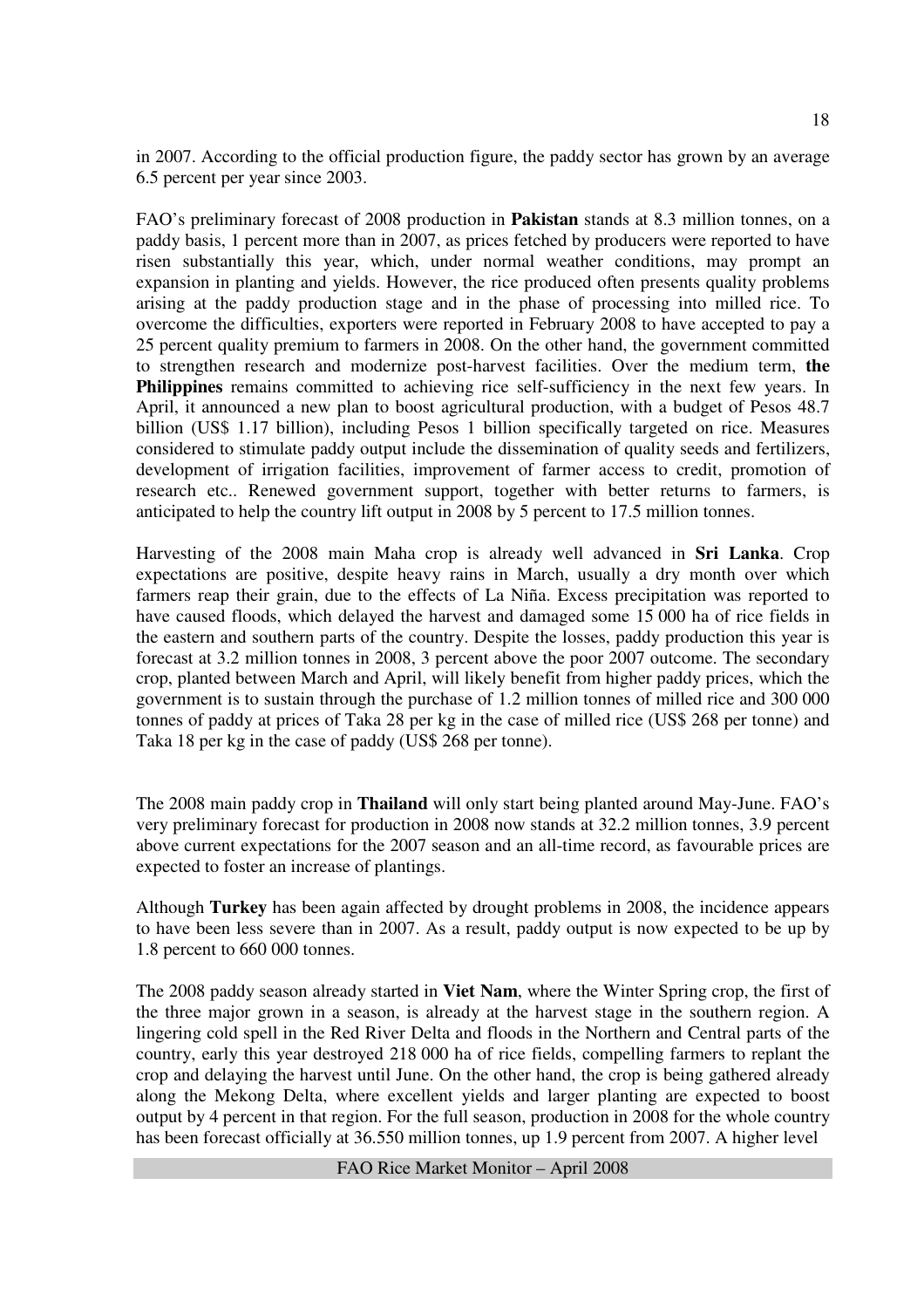in 2007. According to the official production figure, the paddy sector has grown by an average 6.5 percent per year since 2003.

FAO's preliminary forecast of 2008 production in **Pakistan** stands at 8.3 million tonnes, on a paddy basis, 1 percent more than in 2007, as prices fetched by producers were reported to have risen substantially this year, which, under normal weather conditions, may prompt an expansion in planting and yields. However, the rice produced often presents quality problems arising at the paddy production stage and in the phase of processing into milled rice. To overcome the difficulties, exporters were reported in February 2008 to have accepted to pay a 25 percent quality premium to farmers in 2008. On the other hand, the government committed to strengthen research and modernize post-harvest facilities. Over the medium term, **the Philippines** remains committed to achieving rice self-sufficiency in the next few years. In April, it announced a new plan to boost agricultural production, with a budget of Pesos 48.7 billion (US\$ 1.17 billion), including Pesos 1 billion specifically targeted on rice. Measures considered to stimulate paddy output include the dissemination of quality seeds and fertilizers, development of irrigation facilities, improvement of farmer access to credit, promotion of research etc.. Renewed government support, together with better returns to farmers, is anticipated to help the country lift output in 2008 by 5 percent to 17.5 million tonnes.

Harvesting of the 2008 main Maha crop is already well advanced in **Sri Lanka**. Crop expectations are positive, despite heavy rains in March, usually a dry month over which farmers reap their grain, due to the effects of La Niña. Excess precipitation was reported to have caused floods, which delayed the harvest and damaged some 15 000 ha of rice fields in the eastern and southern parts of the country. Despite the losses, paddy production this year is forecast at 3.2 million tonnes in 2008, 3 percent above the poor 2007 outcome. The secondary crop, planted between March and April, will likely benefit from higher paddy prices, which the government is to sustain through the purchase of 1.2 million tonnes of milled rice and 300 000 tonnes of paddy at prices of Taka 28 per kg in the case of milled rice (US\$ 268 per tonne) and Taka 18 per kg in the case of paddy (US\$ 268 per tonne).

The 2008 main paddy crop in **Thailand** will only start being planted around May-June. FAO's very preliminary forecast for production in 2008 now stands at 32.2 million tonnes, 3.9 percent above current expectations for the 2007 season and an all-time record, as favourable prices are expected to foster an increase of plantings.

Although **Turkey** has been again affected by drought problems in 2008, the incidence appears to have been less severe than in 2007. As a result, paddy output is now expected to be up by 1.8 percent to 660 000 tonnes.

The 2008 paddy season already started in **Viet Nam**, where the Winter Spring crop, the first of the three major grown in a season, is already at the harvest stage in the southern region. A lingering cold spell in the Red River Delta and floods in the Northern and Central parts of the country, early this year destroyed 218 000 ha of rice fields, compelling farmers to replant the crop and delaying the harvest until June. On the other hand, the crop is being gathered already along the Mekong Delta, where excellent yields and larger planting are expected to boost output by 4 percent in that region. For the full season, production in 2008 for the whole country has been forecast officially at 36.550 million tonnes, up 1.9 percent from 2007. A higher level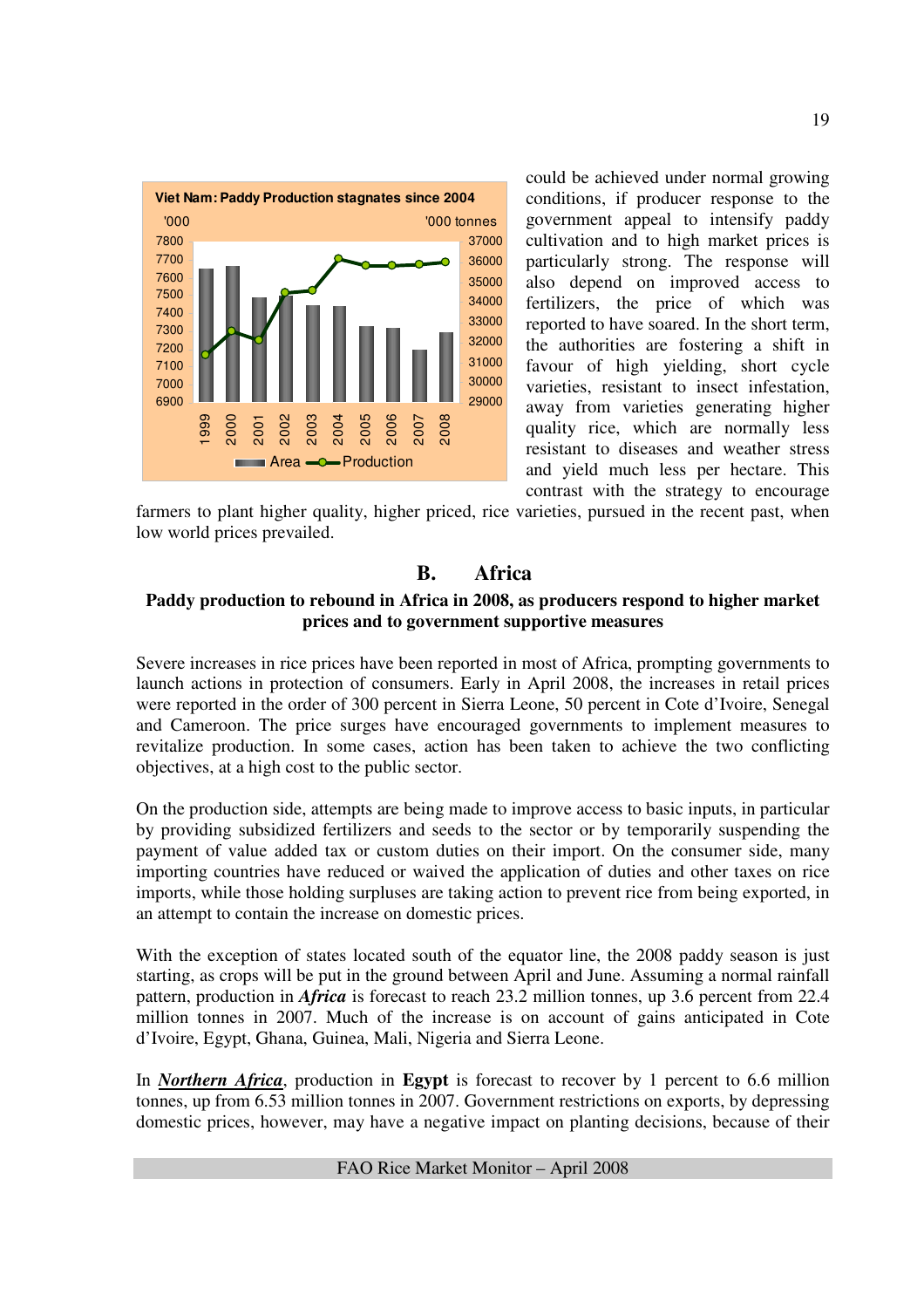

could be achieved under normal growing conditions, if producer response to the government appeal to intensify paddy cultivation and to high market prices is particularly strong. The response will also depend on improved access to fertilizers, the price of which was reported to have soared. In the short term, the authorities are fostering a shift in favour of high yielding, short cycle varieties, resistant to insect infestation, away from varieties generating higher quality rice, which are normally less resistant to diseases and weather stress and yield much less per hectare. This contrast with the strategy to encourage

farmers to plant higher quality, higher priced, rice varieties, pursued in the recent past, when low world prices prevailed.

## **B. Africa**

### **Paddy production to rebound in Africa in 2008, as producers respond to higher market prices and to government supportive measures**

Severe increases in rice prices have been reported in most of Africa, prompting governments to launch actions in protection of consumers. Early in April 2008, the increases in retail prices were reported in the order of 300 percent in Sierra Leone, 50 percent in Cote d'Ivoire, Senegal and Cameroon. The price surges have encouraged governments to implement measures to revitalize production. In some cases, action has been taken to achieve the two conflicting objectives, at a high cost to the public sector.

On the production side, attempts are being made to improve access to basic inputs, in particular by providing subsidized fertilizers and seeds to the sector or by temporarily suspending the payment of value added tax or custom duties on their import. On the consumer side, many importing countries have reduced or waived the application of duties and other taxes on rice imports, while those holding surpluses are taking action to prevent rice from being exported, in an attempt to contain the increase on domestic prices.

With the exception of states located south of the equator line, the 2008 paddy season is just starting, as crops will be put in the ground between April and June. Assuming a normal rainfall pattern, production in *Africa* is forecast to reach 23.2 million tonnes, up 3.6 percent from 22.4 million tonnes in 2007. Much of the increase is on account of gains anticipated in Cote d'Ivoire, Egypt, Ghana, Guinea, Mali, Nigeria and Sierra Leone.

In *Northern Africa*, production in **Egypt** is forecast to recover by 1 percent to 6.6 million tonnes, up from 6.53 million tonnes in 2007. Government restrictions on exports, by depressing domestic prices, however, may have a negative impact on planting decisions, because of their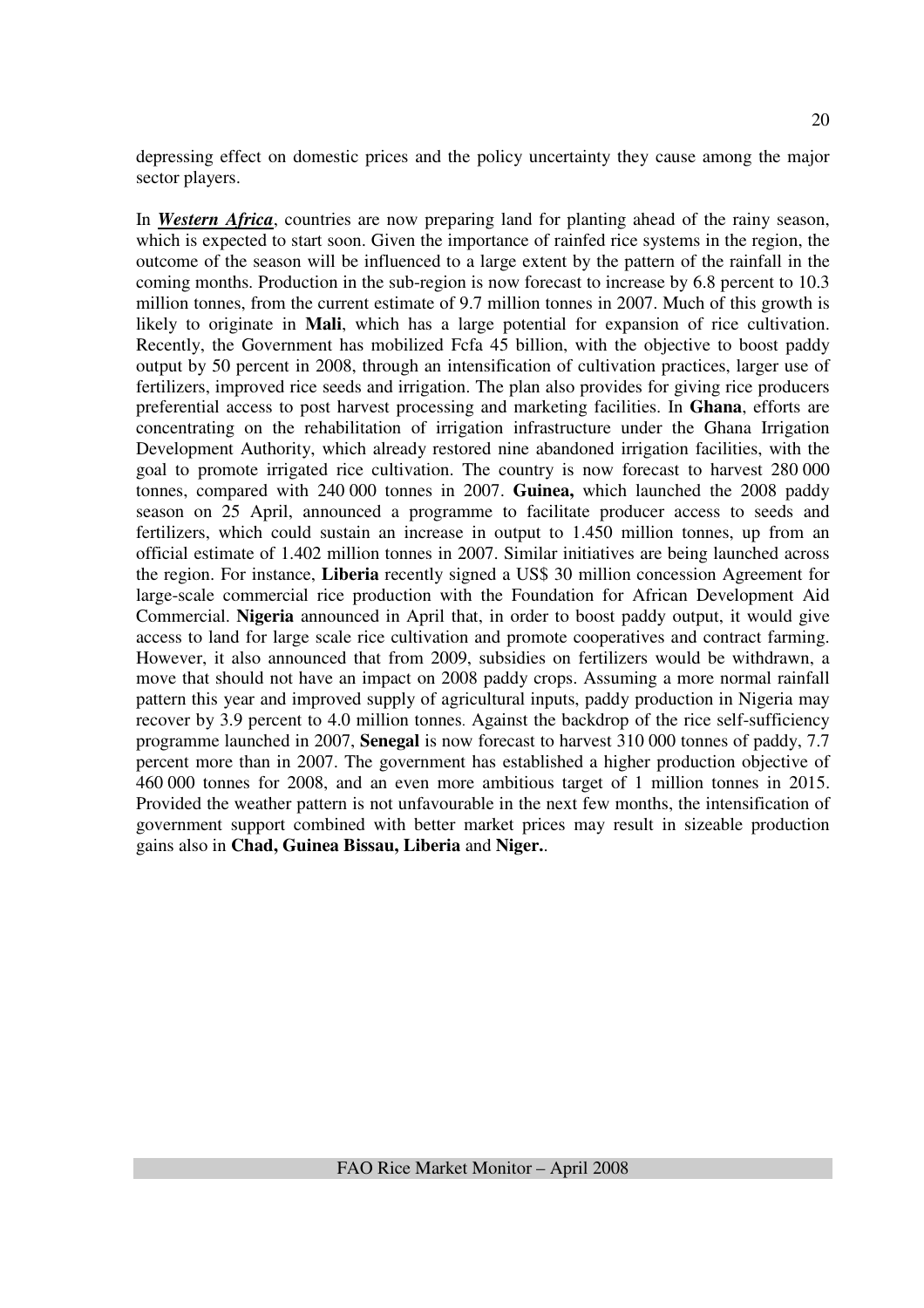depressing effect on domestic prices and the policy uncertainty they cause among the major sector players.

In *Western Africa*, countries are now preparing land for planting ahead of the rainy season, which is expected to start soon. Given the importance of rainfed rice systems in the region, the outcome of the season will be influenced to a large extent by the pattern of the rainfall in the coming months. Production in the sub-region is now forecast to increase by 6.8 percent to 10.3 million tonnes, from the current estimate of 9.7 million tonnes in 2007. Much of this growth is likely to originate in **Mali**, which has a large potential for expansion of rice cultivation. Recently, the Government has mobilized Fcfa 45 billion, with the objective to boost paddy output by 50 percent in 2008, through an intensification of cultivation practices, larger use of fertilizers, improved rice seeds and irrigation. The plan also provides for giving rice producers preferential access to post harvest processing and marketing facilities. In **Ghana**, efforts are concentrating on the rehabilitation of irrigation infrastructure under the Ghana Irrigation Development Authority, which already restored nine abandoned irrigation facilities, with the goal to promote irrigated rice cultivation. The country is now forecast to harvest 280 000 tonnes, compared with 240 000 tonnes in 2007. **Guinea,** which launched the 2008 paddy season on 25 April, announced a programme to facilitate producer access to seeds and fertilizers, which could sustain an increase in output to 1.450 million tonnes, up from an official estimate of 1.402 million tonnes in 2007. Similar initiatives are being launched across the region. For instance, **Liberia** recently signed a US\$ 30 million concession Agreement for large-scale commercial rice production with the Foundation for African Development Aid Commercial. **Nigeria** announced in April that, in order to boost paddy output, it would give access to land for large scale rice cultivation and promote cooperatives and contract farming. However, it also announced that from 2009, subsidies on fertilizers would be withdrawn, a move that should not have an impact on 2008 paddy crops. Assuming a more normal rainfall pattern this year and improved supply of agricultural inputs, paddy production in Nigeria may recover by 3.9 percent to 4.0 million tonnes. Against the backdrop of the rice self-sufficiency programme launched in 2007, **Senegal** is now forecast to harvest 310 000 tonnes of paddy, 7.7 percent more than in 2007. The government has established a higher production objective of 460 000 tonnes for 2008, and an even more ambitious target of 1 million tonnes in 2015. Provided the weather pattern is not unfavourable in the next few months, the intensification of government support combined with better market prices may result in sizeable production gains also in **Chad, Guinea Bissau, Liberia** and **Niger.**.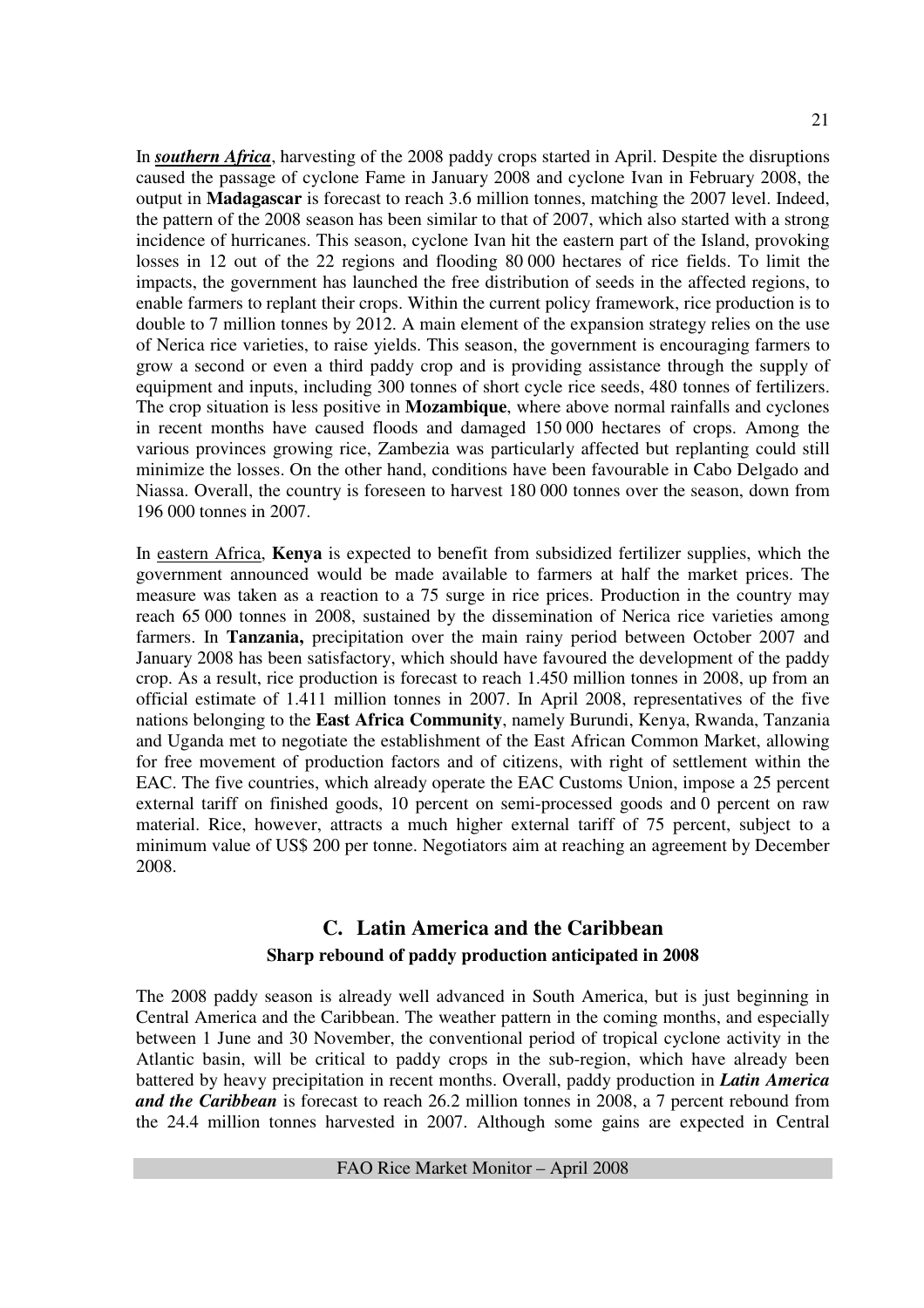In *southern Africa*, harvesting of the 2008 paddy crops started in April. Despite the disruptions caused the passage of cyclone Fame in January 2008 and cyclone Ivan in February 2008, the output in **Madagascar** is forecast to reach 3.6 million tonnes, matching the 2007 level. Indeed, the pattern of the 2008 season has been similar to that of 2007, which also started with a strong incidence of hurricanes. This season, cyclone Ivan hit the eastern part of the Island, provoking losses in 12 out of the 22 regions and flooding 80 000 hectares of rice fields. To limit the impacts, the government has launched the free distribution of seeds in the affected regions, to enable farmers to replant their crops. Within the current policy framework, rice production is to double to 7 million tonnes by 2012. A main element of the expansion strategy relies on the use of Nerica rice varieties, to raise yields. This season, the government is encouraging farmers to grow a second or even a third paddy crop and is providing assistance through the supply of equipment and inputs, including 300 tonnes of short cycle rice seeds, 480 tonnes of fertilizers. The crop situation is less positive in **Mozambique**, where above normal rainfalls and cyclones in recent months have caused floods and damaged 150 000 hectares of crops. Among the various provinces growing rice, Zambezia was particularly affected but replanting could still minimize the losses. On the other hand, conditions have been favourable in Cabo Delgado and Niassa. Overall, the country is foreseen to harvest 180 000 tonnes over the season, down from 196 000 tonnes in 2007.

In eastern Africa, **Kenya** is expected to benefit from subsidized fertilizer supplies, which the government announced would be made available to farmers at half the market prices. The measure was taken as a reaction to a 75 surge in rice prices. Production in the country may reach 65 000 tonnes in 2008, sustained by the dissemination of Nerica rice varieties among farmers. In **Tanzania,** precipitation over the main rainy period between October 2007 and January 2008 has been satisfactory, which should have favoured the development of the paddy crop. As a result, rice production is forecast to reach 1.450 million tonnes in 2008, up from an official estimate of 1.411 million tonnes in 2007. In April 2008, representatives of the five nations belonging to the **East Africa Community**, namely Burundi, Kenya, Rwanda, Tanzania and Uganda met to negotiate the establishment of the East African Common Market, allowing for free movement of production factors and of citizens, with right of settlement within the EAC. The five countries, which already operate the EAC Customs Union, impose a 25 percent external tariff on finished goods, 10 percent on semi-processed goods and 0 percent on raw material. Rice, however, attracts a much higher external tariff of 75 percent, subject to a minimum value of US\$ 200 per tonne. Negotiators aim at reaching an agreement by December 2008.

## **C. Latin America and the Caribbean Sharp rebound of paddy production anticipated in 2008**

The 2008 paddy season is already well advanced in South America, but is just beginning in Central America and the Caribbean. The weather pattern in the coming months, and especially between 1 June and 30 November, the conventional period of tropical cyclone activity in the Atlantic basin, will be critical to paddy crops in the sub-region, which have already been battered by heavy precipitation in recent months. Overall, paddy production in *Latin America and the Caribbean* is forecast to reach 26.2 million tonnes in 2008, a 7 percent rebound from the 24.4 million tonnes harvested in 2007. Although some gains are expected in Central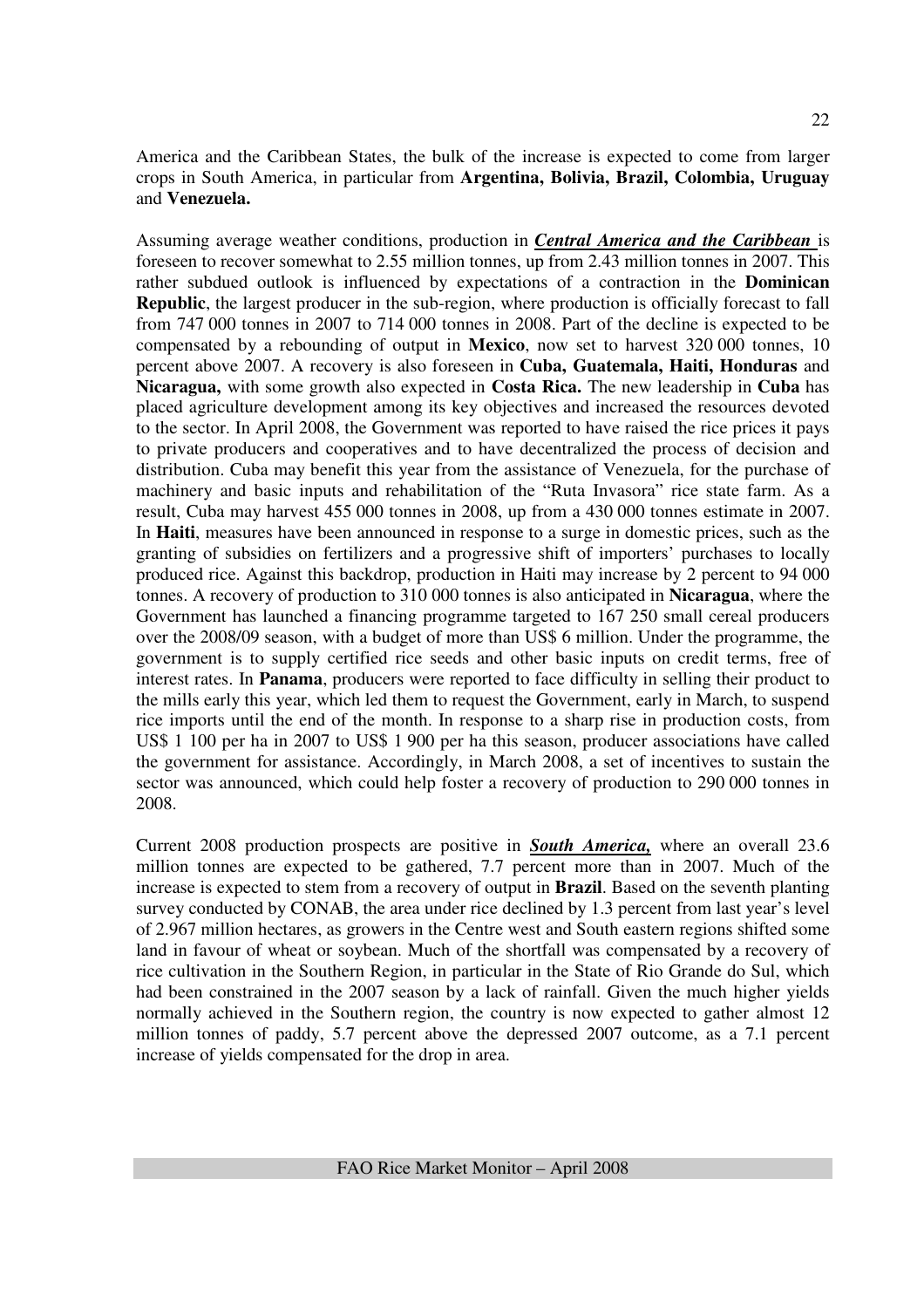Assuming average weather conditions, production in *Central America and the Caribbean* is foreseen to recover somewhat to 2.55 million tonnes, up from 2.43 million tonnes in 2007. This rather subdued outlook is influenced by expectations of a contraction in the **Dominican Republic**, the largest producer in the sub-region, where production is officially forecast to fall from 747 000 tonnes in 2007 to 714 000 tonnes in 2008. Part of the decline is expected to be compensated by a rebounding of output in **Mexico**, now set to harvest 320 000 tonnes, 10 percent above 2007. A recovery is also foreseen in **Cuba, Guatemala, Haiti, Honduras** and **Nicaragua,** with some growth also expected in **Costa Rica.** The new leadership in **Cuba** has placed agriculture development among its key objectives and increased the resources devoted to the sector. In April 2008, the Government was reported to have raised the rice prices it pays to private producers and cooperatives and to have decentralized the process of decision and distribution. Cuba may benefit this year from the assistance of Venezuela, for the purchase of machinery and basic inputs and rehabilitation of the "Ruta Invasora" rice state farm. As a result, Cuba may harvest 455 000 tonnes in 2008, up from a 430 000 tonnes estimate in 2007. In **Haiti**, measures have been announced in response to a surge in domestic prices, such as the granting of subsidies on fertilizers and a progressive shift of importers' purchases to locally produced rice. Against this backdrop, production in Haiti may increase by 2 percent to 94 000 tonnes. A recovery of production to 310 000 tonnes is also anticipated in **Nicaragua**, where the Government has launched a financing programme targeted to 167 250 small cereal producers over the 2008/09 season, with a budget of more than US\$ 6 million. Under the programme, the government is to supply certified rice seeds and other basic inputs on credit terms, free of interest rates. In **Panama**, producers were reported to face difficulty in selling their product to the mills early this year, which led them to request the Government, early in March, to suspend rice imports until the end of the month. In response to a sharp rise in production costs, from US\$ 1 100 per ha in 2007 to US\$ 1 900 per ha this season, producer associations have called the government for assistance. Accordingly, in March 2008, a set of incentives to sustain the sector was announced, which could help foster a recovery of production to 290 000 tonnes in 2008.

Current 2008 production prospects are positive in *South America,* where an overall 23.6 million tonnes are expected to be gathered, 7.7 percent more than in 2007. Much of the increase is expected to stem from a recovery of output in **Brazil**. Based on the seventh planting survey conducted by CONAB, the area under rice declined by 1.3 percent from last year's level of 2.967 million hectares, as growers in the Centre west and South eastern regions shifted some land in favour of wheat or soybean. Much of the shortfall was compensated by a recovery of rice cultivation in the Southern Region, in particular in the State of Rio Grande do Sul, which had been constrained in the 2007 season by a lack of rainfall. Given the much higher yields normally achieved in the Southern region, the country is now expected to gather almost 12 million tonnes of paddy, 5.7 percent above the depressed 2007 outcome, as a 7.1 percent increase of yields compensated for the drop in area.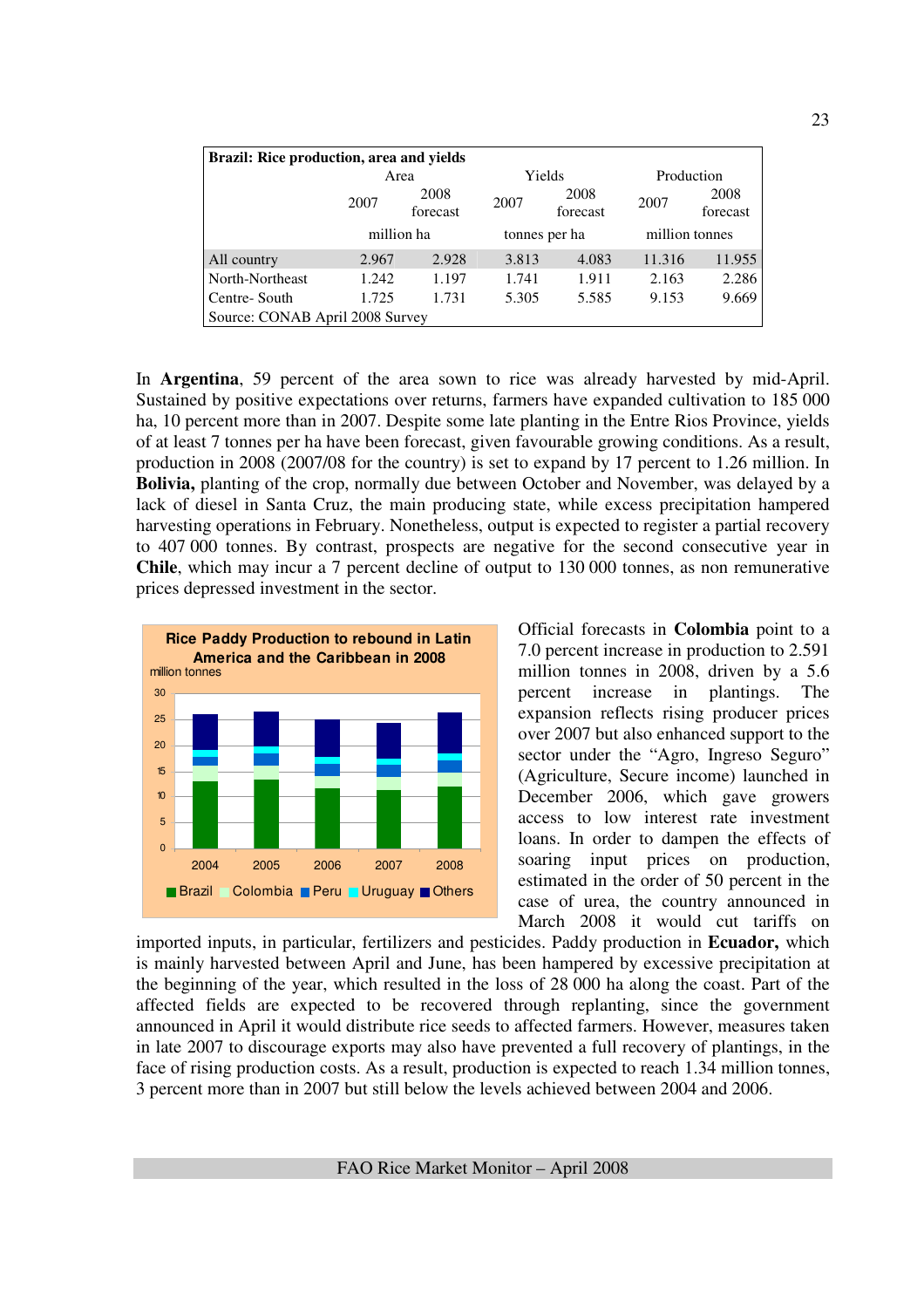| Brazil: Rice production, area and yields |                          |       |       |                  |                |                  |  |  |  |
|------------------------------------------|--------------------------|-------|-------|------------------|----------------|------------------|--|--|--|
|                                          | Area                     |       |       | Yields           | Production     |                  |  |  |  |
|                                          | 2008<br>2007<br>forecast |       | 2007  | 2008<br>forecast | 2007           | 2008<br>forecast |  |  |  |
|                                          | million ha               |       |       | tonnes per ha    | million tonnes |                  |  |  |  |
| All country                              | 2.967                    | 2.928 | 3.813 | 4.083            | 11.316         | 11.955           |  |  |  |
| North-Northeast                          | 1.242                    | 1.197 | 1.741 | 1.911            | 2.163          | 2.286            |  |  |  |
| Centre-South                             | 1.731<br>1.725           |       | 5.305 | 5.585            | 9.153          | 9.669            |  |  |  |
| Source: CONAB April 2008 Survey          |                          |       |       |                  |                |                  |  |  |  |

In **Argentina**, 59 percent of the area sown to rice was already harvested by mid-April. Sustained by positive expectations over returns, farmers have expanded cultivation to 185 000 ha, 10 percent more than in 2007. Despite some late planting in the Entre Rios Province, yields of at least 7 tonnes per ha have been forecast, given favourable growing conditions. As a result, production in 2008 (2007/08 for the country) is set to expand by 17 percent to 1.26 million. In **Bolivia,** planting of the crop, normally due between October and November, was delayed by a lack of diesel in Santa Cruz, the main producing state, while excess precipitation hampered harvesting operations in February. Nonetheless, output is expected to register a partial recovery to 407 000 tonnes. By contrast, prospects are negative for the second consecutive year in **Chile**, which may incur a 7 percent decline of output to 130 000 tonnes, as non remunerative prices depressed investment in the sector.



Official forecasts in **Colombia** point to a 7.0 percent increase in production to 2.591 million tonnes in 2008, driven by a 5.6 percent increase in plantings. The expansion reflects rising producer prices over 2007 but also enhanced support to the sector under the "Agro, Ingreso Seguro" (Agriculture, Secure income) launched in December 2006, which gave growers access to low interest rate investment loans. In order to dampen the effects of soaring input prices on production, estimated in the order of 50 percent in the case of urea, the country announced in March 2008 it would cut tariffs on

imported inputs, in particular, fertilizers and pesticides. Paddy production in **Ecuador,** which is mainly harvested between April and June, has been hampered by excessive precipitation at the beginning of the year, which resulted in the loss of 28 000 ha along the coast. Part of the affected fields are expected to be recovered through replanting, since the government announced in April it would distribute rice seeds to affected farmers. However, measures taken in late 2007 to discourage exports may also have prevented a full recovery of plantings, in the face of rising production costs. As a result, production is expected to reach 1.34 million tonnes, 3 percent more than in 2007 but still below the levels achieved between 2004 and 2006.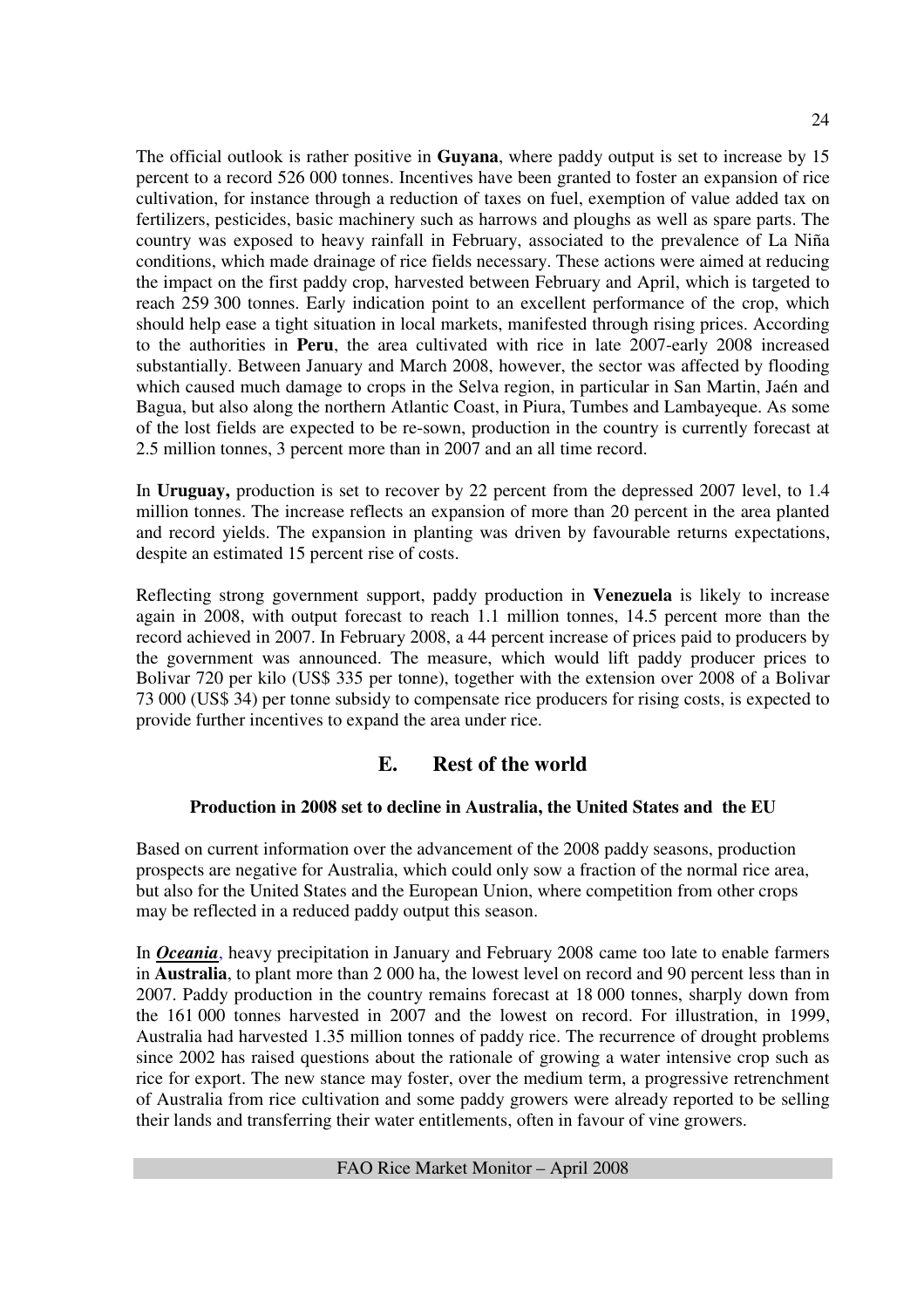The official outlook is rather positive in **Guyana**, where paddy output is set to increase by 15 percent to a record 526 000 tonnes. Incentives have been granted to foster an expansion of rice cultivation, for instance through a reduction of taxes on fuel, exemption of value added tax on fertilizers, pesticides, basic machinery such as harrows and ploughs as well as spare parts. The country was exposed to heavy rainfall in February, associated to the prevalence of La Niña conditions, which made drainage of rice fields necessary. These actions were aimed at reducing the impact on the first paddy crop, harvested between February and April, which is targeted to reach 259 300 tonnes. Early indication point to an excellent performance of the crop, which should help ease a tight situation in local markets, manifested through rising prices. According to the authorities in **Peru**, the area cultivated with rice in late 2007-early 2008 increased substantially. Between January and March 2008, however, the sector was affected by flooding which caused much damage to crops in the Selva region, in particular in San Martin, Jaén and Bagua, but also along the northern Atlantic Coast, in Piura, Tumbes and Lambayeque. As some of the lost fields are expected to be re-sown, production in the country is currently forecast at 2.5 million tonnes, 3 percent more than in 2007 and an all time record.

In **Uruguay,** production is set to recover by 22 percent from the depressed 2007 level, to 1.4 million tonnes. The increase reflects an expansion of more than 20 percent in the area planted and record yields. The expansion in planting was driven by favourable returns expectations, despite an estimated 15 percent rise of costs.

Reflecting strong government support, paddy production in **Venezuela** is likely to increase again in 2008, with output forecast to reach 1.1 million tonnes, 14.5 percent more than the record achieved in 2007. In February 2008, a 44 percent increase of prices paid to producers by the government was announced. The measure, which would lift paddy producer prices to Bolivar 720 per kilo (US\$ 335 per tonne), together with the extension over 2008 of a Bolivar 73 000 (US\$ 34) per tonne subsidy to compensate rice producers for rising costs, is expected to provide further incentives to expand the area under rice.

## **E. Rest of the world**

## **Production in 2008 set to decline in Australia, the United States and the EU**

Based on current information over the advancement of the 2008 paddy seasons, production prospects are negative for Australia, which could only sow a fraction of the normal rice area, but also for the United States and the European Union, where competition from other crops may be reflected in a reduced paddy output this season.

In *Oceania*, heavy precipitation in January and February 2008 came too late to enable farmers in **Australia**, to plant more than 2 000 ha, the lowest level on record and 90 percent less than in 2007. Paddy production in the country remains forecast at 18 000 tonnes, sharply down from the 161 000 tonnes harvested in 2007 and the lowest on record. For illustration, in 1999, Australia had harvested 1.35 million tonnes of paddy rice. The recurrence of drought problems since 2002 has raised questions about the rationale of growing a water intensive crop such as rice for export. The new stance may foster, over the medium term, a progressive retrenchment of Australia from rice cultivation and some paddy growers were already reported to be selling their lands and transferring their water entitlements, often in favour of vine growers.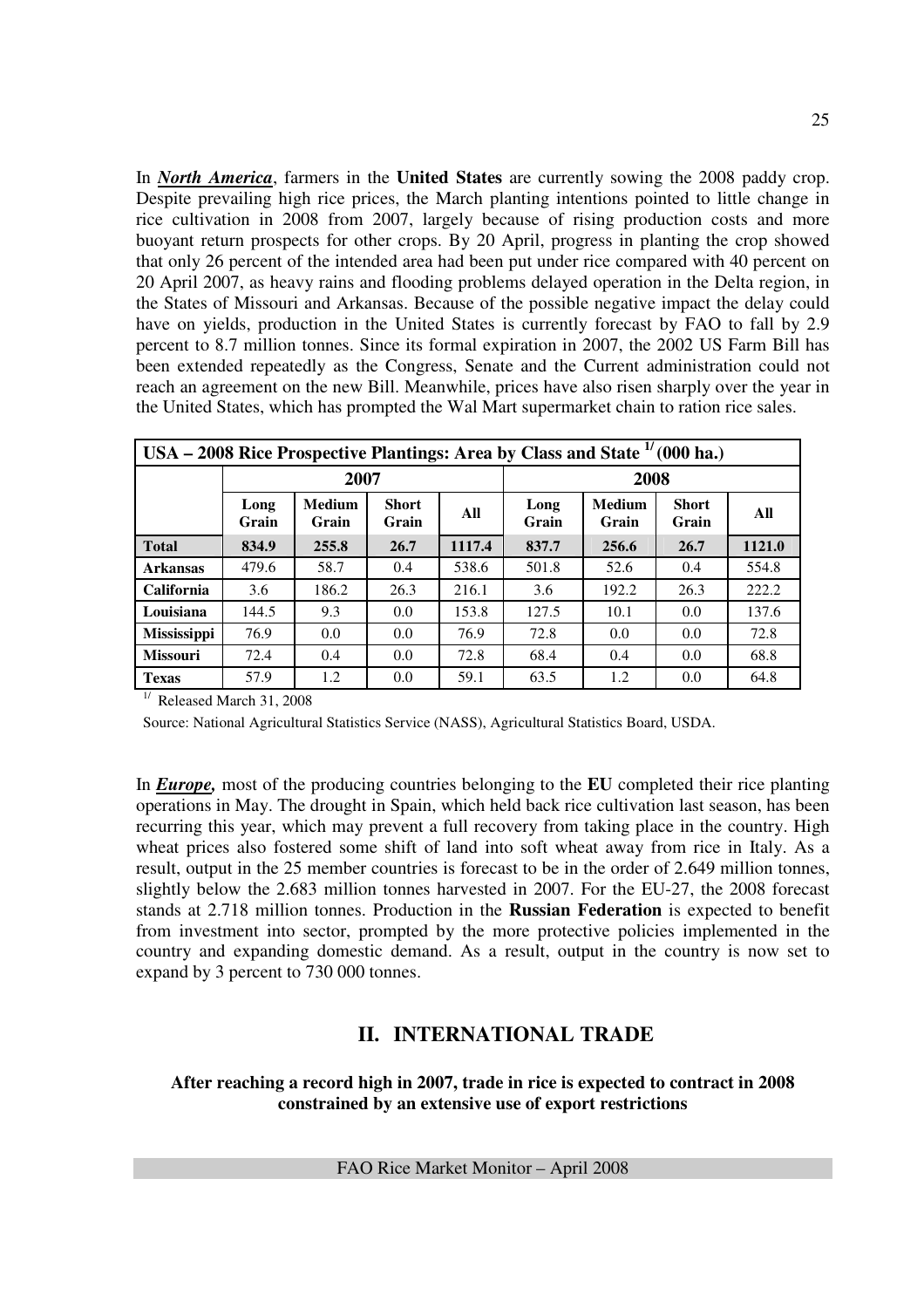In *North America*, farmers in the **United States** are currently sowing the 2008 paddy crop. Despite prevailing high rice prices, the March planting intentions pointed to little change in rice cultivation in 2008 from 2007, largely because of rising production costs and more buoyant return prospects for other crops. By 20 April, progress in planting the crop showed that only 26 percent of the intended area had been put under rice compared with 40 percent on 20 April 2007, as heavy rains and flooding problems delayed operation in the Delta region, in the States of Missouri and Arkansas. Because of the possible negative impact the delay could have on yields, production in the United States is currently forecast by FAO to fall by 2.9 percent to 8.7 million tonnes. Since its formal expiration in 2007, the 2002 US Farm Bill has been extended repeatedly as the Congress, Senate and the Current administration could not reach an agreement on the new Bill. Meanwhile, prices have also risen sharply over the year in the United States, which has prompted the Wal Mart supermarket chain to ration rice sales.

|                    | USA – 2008 Rice Prospective Plantings: Area by Class and State $\frac{1}{1000}$ ha.) |                        |                       |        |               |                        |                       |        |  |  |  |  |
|--------------------|--------------------------------------------------------------------------------------|------------------------|-----------------------|--------|---------------|------------------------|-----------------------|--------|--|--|--|--|
|                    |                                                                                      | 2007                   |                       |        | 2008          |                        |                       |        |  |  |  |  |
|                    | Long<br>Grain                                                                        | <b>Medium</b><br>Grain | <b>Short</b><br>Grain | All    | Long<br>Grain | <b>Medium</b><br>Grain | <b>Short</b><br>Grain | All    |  |  |  |  |
| <b>Total</b>       | 834.9                                                                                | 255.8                  | 26.7                  | 1117.4 | 837.7         | 256.6                  | 26.7                  | 1121.0 |  |  |  |  |
| <b>Arkansas</b>    | 479.6                                                                                | 58.7                   | 0.4                   | 538.6  | 501.8         | 52.6                   | 0.4                   | 554.8  |  |  |  |  |
| California         | 3.6                                                                                  | 186.2                  | 26.3                  | 216.1  | 3.6           | 192.2                  | 26.3                  | 222.2  |  |  |  |  |
| Louisiana          | 144.5                                                                                | 9.3                    | 0.0                   | 153.8  | 127.5         | 10.1                   | 0.0                   | 137.6  |  |  |  |  |
| <b>Mississippi</b> | 76.9                                                                                 | 0.0                    | 0.0                   | 76.9   | 72.8          | 0.0                    | 0.0                   | 72.8   |  |  |  |  |
| <b>Missouri</b>    | 72.4                                                                                 | 0.4                    | 0.0                   | 72.8   | 68.4          | 0.4                    | 0.0                   | 68.8   |  |  |  |  |
| <b>Texas</b>       | 57.9                                                                                 | 1.2                    | 0.0                   | 59.1   | 63.5          | 1.2                    | 0.0                   | 64.8   |  |  |  |  |

 $1/$  Released March 31, 2008

Source: National Agricultural Statistics Service (NASS), Agricultural Statistics Board, USDA.

In *Europe,* most of the producing countries belonging to the **EU** completed their rice planting operations in May. The drought in Spain, which held back rice cultivation last season, has been recurring this year, which may prevent a full recovery from taking place in the country. High wheat prices also fostered some shift of land into soft wheat away from rice in Italy. As a result, output in the 25 member countries is forecast to be in the order of 2.649 million tonnes, slightly below the 2.683 million tonnes harvested in 2007. For the EU-27, the 2008 forecast stands at 2.718 million tonnes. Production in the **Russian Federation** is expected to benefit from investment into sector, prompted by the more protective policies implemented in the country and expanding domestic demand. As a result, output in the country is now set to expand by 3 percent to 730 000 tonnes.

## **II. INTERNATIONAL TRADE**

#### **After reaching a record high in 2007, trade in rice is expected to contract in 2008 constrained by an extensive use of export restrictions**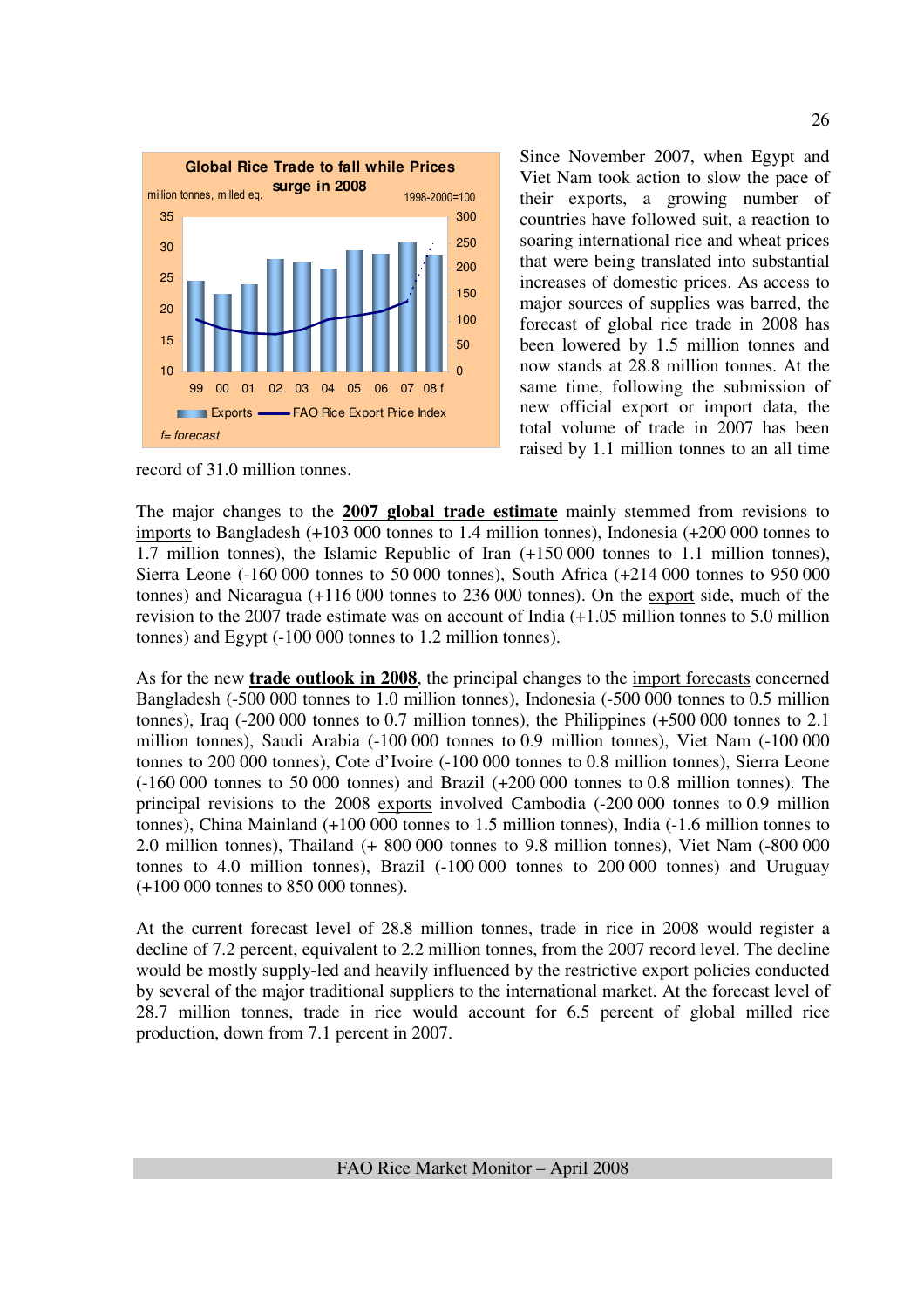

Since November 2007, when Egypt and Viet Nam took action to slow the pace of their exports, a growing number of countries have followed suit, a reaction to soaring international rice and wheat prices that were being translated into substantial increases of domestic prices. As access to major sources of supplies was barred, the forecast of global rice trade in 2008 has been lowered by 1.5 million tonnes and now stands at 28.8 million tonnes. At the same time, following the submission of new official export or import data, the total volume of trade in 2007 has been raised by 1.1 million tonnes to an all time

record of 31.0 million tonnes.

The major changes to the **2007 global trade estimate** mainly stemmed from revisions to imports to Bangladesh (+103 000 tonnes to 1.4 million tonnes), Indonesia (+200 000 tonnes to 1.7 million tonnes), the Islamic Republic of Iran (+150 000 tonnes to 1.1 million tonnes), Sierra Leone (-160 000 tonnes to 50 000 tonnes), South Africa (+214 000 tonnes to 950 000 tonnes) and Nicaragua (+116 000 tonnes to 236 000 tonnes). On the export side, much of the revision to the 2007 trade estimate was on account of India (+1.05 million tonnes to 5.0 million tonnes) and Egypt (-100 000 tonnes to 1.2 million tonnes).

As for the new **trade outlook in 2008**, the principal changes to the import forecasts concerned Bangladesh (-500 000 tonnes to 1.0 million tonnes), Indonesia (-500 000 tonnes to 0.5 million tonnes), Iraq (-200 000 tonnes to 0.7 million tonnes), the Philippines (+500 000 tonnes to 2.1 million tonnes), Saudi Arabia (-100 000 tonnes to 0.9 million tonnes), Viet Nam (-100 000 tonnes to 200 000 tonnes), Cote d'Ivoire (-100 000 tonnes to 0.8 million tonnes), Sierra Leone (-160 000 tonnes to 50 000 tonnes) and Brazil (+200 000 tonnes to 0.8 million tonnes). The principal revisions to the 2008 exports involved Cambodia (-200 000 tonnes to 0.9 million tonnes), China Mainland (+100 000 tonnes to 1.5 million tonnes), India (-1.6 million tonnes to 2.0 million tonnes), Thailand (+ 800 000 tonnes to 9.8 million tonnes), Viet Nam (-800 000 tonnes to 4.0 million tonnes), Brazil (-100 000 tonnes to 200 000 tonnes) and Uruguay (+100 000 tonnes to 850 000 tonnes).

At the current forecast level of 28.8 million tonnes, trade in rice in 2008 would register a decline of 7.2 percent, equivalent to 2.2 million tonnes, from the 2007 record level. The decline would be mostly supply-led and heavily influenced by the restrictive export policies conducted by several of the major traditional suppliers to the international market. At the forecast level of 28.7 million tonnes, trade in rice would account for 6.5 percent of global milled rice production, down from 7.1 percent in 2007.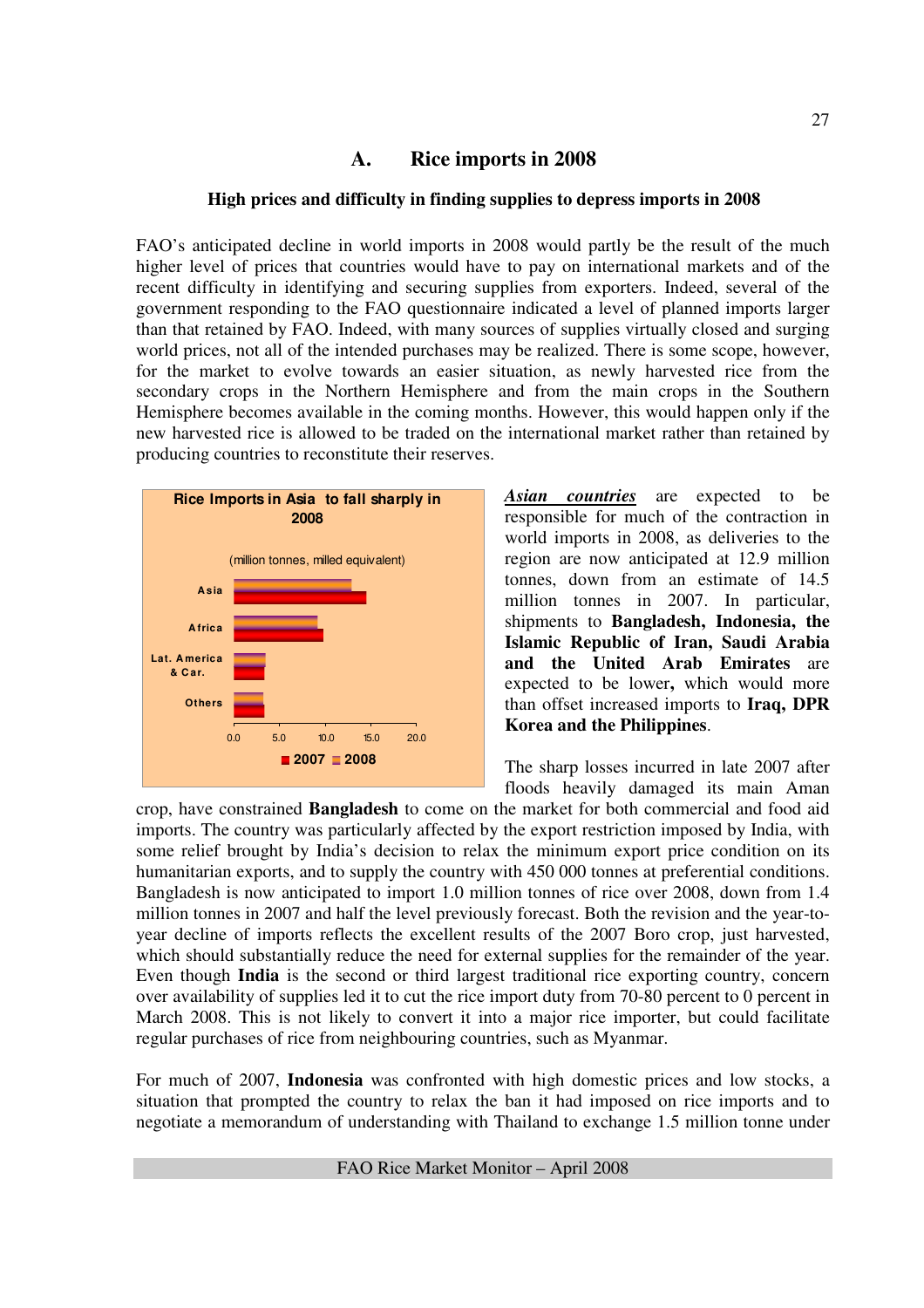## **A. Rice imports in 2008**

#### **High prices and difficulty in finding supplies to depress imports in 2008**

FAO's anticipated decline in world imports in 2008 would partly be the result of the much higher level of prices that countries would have to pay on international markets and of the recent difficulty in identifying and securing supplies from exporters. Indeed, several of the government responding to the FAO questionnaire indicated a level of planned imports larger than that retained by FAO. Indeed, with many sources of supplies virtually closed and surging world prices, not all of the intended purchases may be realized. There is some scope, however, for the market to evolve towards an easier situation, as newly harvested rice from the secondary crops in the Northern Hemisphere and from the main crops in the Southern Hemisphere becomes available in the coming months. However, this would happen only if the new harvested rice is allowed to be traded on the international market rather than retained by producing countries to reconstitute their reserves.



*Asian countries* are expected to be responsible for much of the contraction in world imports in 2008, as deliveries to the region are now anticipated at 12.9 million tonnes, down from an estimate of 14.5 million tonnes in 2007. In particular, shipments to **Bangladesh, Indonesia, the Islamic Republic of Iran, Saudi Arabia and the United Arab Emirates** are expected to be lower**,** which would more than offset increased imports to **Iraq, DPR Korea and the Philippines**.

The sharp losses incurred in late 2007 after floods heavily damaged its main Aman

crop, have constrained **Bangladesh** to come on the market for both commercial and food aid imports. The country was particularly affected by the export restriction imposed by India, with some relief brought by India's decision to relax the minimum export price condition on its humanitarian exports, and to supply the country with 450 000 tonnes at preferential conditions. Bangladesh is now anticipated to import 1.0 million tonnes of rice over 2008, down from 1.4 million tonnes in 2007 and half the level previously forecast. Both the revision and the year-toyear decline of imports reflects the excellent results of the 2007 Boro crop, just harvested, which should substantially reduce the need for external supplies for the remainder of the year. Even though **India** is the second or third largest traditional rice exporting country, concern over availability of supplies led it to cut the rice import duty from 70-80 percent to 0 percent in March 2008. This is not likely to convert it into a major rice importer, but could facilitate regular purchases of rice from neighbouring countries, such as Myanmar.

For much of 2007, **Indonesia** was confronted with high domestic prices and low stocks, a situation that prompted the country to relax the ban it had imposed on rice imports and to negotiate a memorandum of understanding with Thailand to exchange 1.5 million tonne under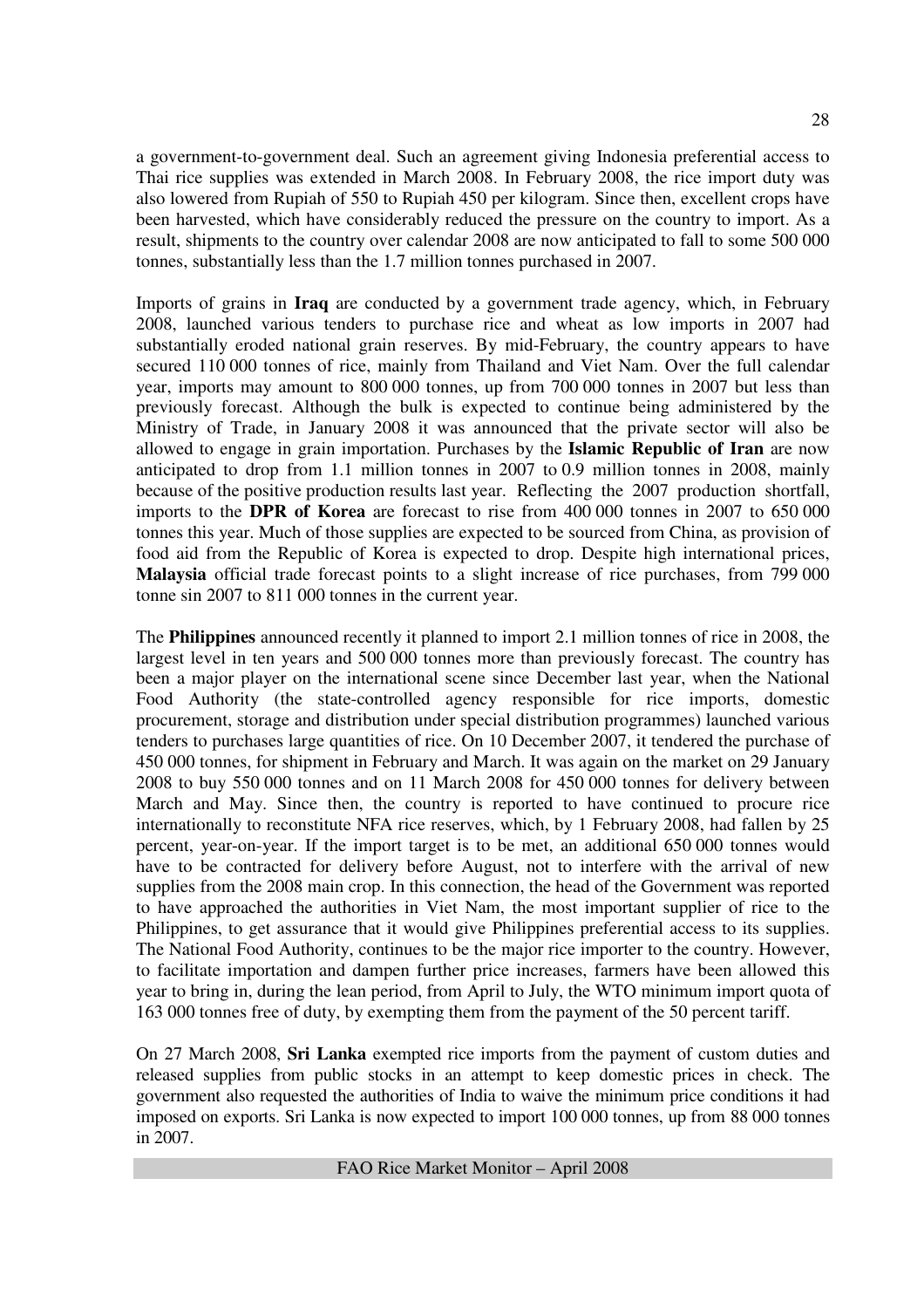a government-to-government deal. Such an agreement giving Indonesia preferential access to Thai rice supplies was extended in March 2008. In February 2008, the rice import duty was also lowered from Rupiah of 550 to Rupiah 450 per kilogram. Since then, excellent crops have been harvested, which have considerably reduced the pressure on the country to import. As a result, shipments to the country over calendar 2008 are now anticipated to fall to some 500 000 tonnes, substantially less than the 1.7 million tonnes purchased in 2007.

Imports of grains in **Iraq** are conducted by a government trade agency, which, in February 2008, launched various tenders to purchase rice and wheat as low imports in 2007 had substantially eroded national grain reserves. By mid-February, the country appears to have secured 110 000 tonnes of rice, mainly from Thailand and Viet Nam. Over the full calendar year, imports may amount to 800 000 tonnes, up from 700 000 tonnes in 2007 but less than previously forecast. Although the bulk is expected to continue being administered by the Ministry of Trade, in January 2008 it was announced that the private sector will also be allowed to engage in grain importation. Purchases by the **Islamic Republic of Iran** are now anticipated to drop from 1.1 million tonnes in 2007 to 0.9 million tonnes in 2008, mainly because of the positive production results last year. Reflecting the 2007 production shortfall, imports to the **DPR of Korea** are forecast to rise from 400 000 tonnes in 2007 to 650 000 tonnes this year. Much of those supplies are expected to be sourced from China, as provision of food aid from the Republic of Korea is expected to drop. Despite high international prices, **Malaysia** official trade forecast points to a slight increase of rice purchases, from 799 000 tonne sin 2007 to 811 000 tonnes in the current year.

The **Philippines** announced recently it planned to import 2.1 million tonnes of rice in 2008, the largest level in ten years and 500 000 tonnes more than previously forecast. The country has been a major player on the international scene since December last year, when the National Food Authority (the state-controlled agency responsible for rice imports, domestic procurement, storage and distribution under special distribution programmes) launched various tenders to purchases large quantities of rice. On 10 December 2007, it tendered the purchase of 450 000 tonnes, for shipment in February and March. It was again on the market on 29 January 2008 to buy 550 000 tonnes and on 11 March 2008 for 450 000 tonnes for delivery between March and May. Since then, the country is reported to have continued to procure rice internationally to reconstitute NFA rice reserves, which, by 1 February 2008, had fallen by 25 percent, year-on-year. If the import target is to be met, an additional 650 000 tonnes would have to be contracted for delivery before August, not to interfere with the arrival of new supplies from the 2008 main crop. In this connection, the head of the Government was reported to have approached the authorities in Viet Nam, the most important supplier of rice to the Philippines, to get assurance that it would give Philippines preferential access to its supplies. The National Food Authority, continues to be the major rice importer to the country. However, to facilitate importation and dampen further price increases, farmers have been allowed this year to bring in, during the lean period, from April to July, the WTO minimum import quota of 163 000 tonnes free of duty, by exempting them from the payment of the 50 percent tariff.

On 27 March 2008, **Sri Lanka** exempted rice imports from the payment of custom duties and released supplies from public stocks in an attempt to keep domestic prices in check. The government also requested the authorities of India to waive the minimum price conditions it had imposed on exports. Sri Lanka is now expected to import 100 000 tonnes, up from 88 000 tonnes in 2007.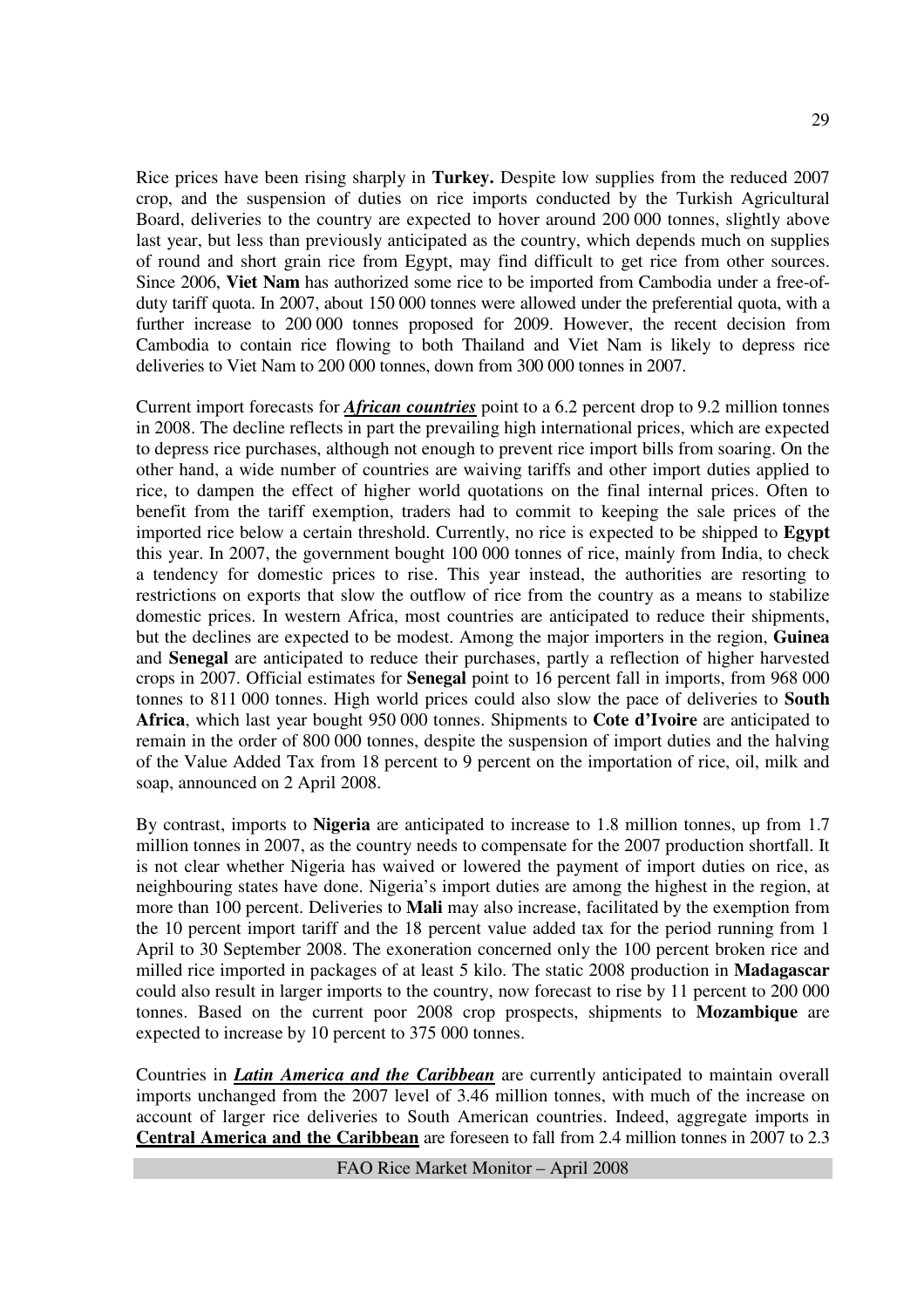Rice prices have been rising sharply in **Turkey.** Despite low supplies from the reduced 2007 crop, and the suspension of duties on rice imports conducted by the Turkish Agricultural Board, deliveries to the country are expected to hover around 200 000 tonnes, slightly above last year, but less than previously anticipated as the country, which depends much on supplies of round and short grain rice from Egypt, may find difficult to get rice from other sources. Since 2006, **Viet Nam** has authorized some rice to be imported from Cambodia under a free-ofduty tariff quota. In 2007, about 150 000 tonnes were allowed under the preferential quota, with a further increase to 200 000 tonnes proposed for 2009. However, the recent decision from Cambodia to contain rice flowing to both Thailand and Viet Nam is likely to depress rice deliveries to Viet Nam to 200 000 tonnes, down from 300 000 tonnes in 2007.

Current import forecasts for *African countries* point to a 6.2 percent drop to 9.2 million tonnes in 2008. The decline reflects in part the prevailing high international prices, which are expected to depress rice purchases, although not enough to prevent rice import bills from soaring. On the other hand, a wide number of countries are waiving tariffs and other import duties applied to rice, to dampen the effect of higher world quotations on the final internal prices. Often to benefit from the tariff exemption, traders had to commit to keeping the sale prices of the imported rice below a certain threshold. Currently, no rice is expected to be shipped to **Egypt**  this year. In 2007, the government bought 100 000 tonnes of rice, mainly from India, to check a tendency for domestic prices to rise. This year instead, the authorities are resorting to restrictions on exports that slow the outflow of rice from the country as a means to stabilize domestic prices. In western Africa, most countries are anticipated to reduce their shipments, but the declines are expected to be modest. Among the major importers in the region, **Guinea**  and **Senegal** are anticipated to reduce their purchases, partly a reflection of higher harvested crops in 2007. Official estimates for **Senegal** point to 16 percent fall in imports, from 968 000 tonnes to 811 000 tonnes. High world prices could also slow the pace of deliveries to **South Africa**, which last year bought 950 000 tonnes. Shipments to **Cote d'Ivoire** are anticipated to remain in the order of 800 000 tonnes, despite the suspension of import duties and the halving of the Value Added Tax from 18 percent to 9 percent on the importation of rice, oil, milk and soap, announced on 2 April 2008.

By contrast, imports to **Nigeria** are anticipated to increase to 1.8 million tonnes, up from 1.7 million tonnes in 2007, as the country needs to compensate for the 2007 production shortfall. It is not clear whether Nigeria has waived or lowered the payment of import duties on rice, as neighbouring states have done. Nigeria's import duties are among the highest in the region, at more than 100 percent. Deliveries to **Mali** may also increase, facilitated by the exemption from the 10 percent import tariff and the 18 percent value added tax for the period running from 1 April to 30 September 2008. The exoneration concerned only the 100 percent broken rice and milled rice imported in packages of at least 5 kilo. The static 2008 production in **Madagascar** could also result in larger imports to the country, now forecast to rise by 11 percent to 200 000 tonnes. Based on the current poor 2008 crop prospects, shipments to **Mozambique** are expected to increase by 10 percent to 375 000 tonnes.

Countries in *Latin America and the Caribbean* are currently anticipated to maintain overall imports unchanged from the 2007 level of 3.46 million tonnes, with much of the increase on account of larger rice deliveries to South American countries. Indeed, aggregate imports in **Central America and the Caribbean** are foreseen to fall from 2.4 million tonnes in 2007 to 2.3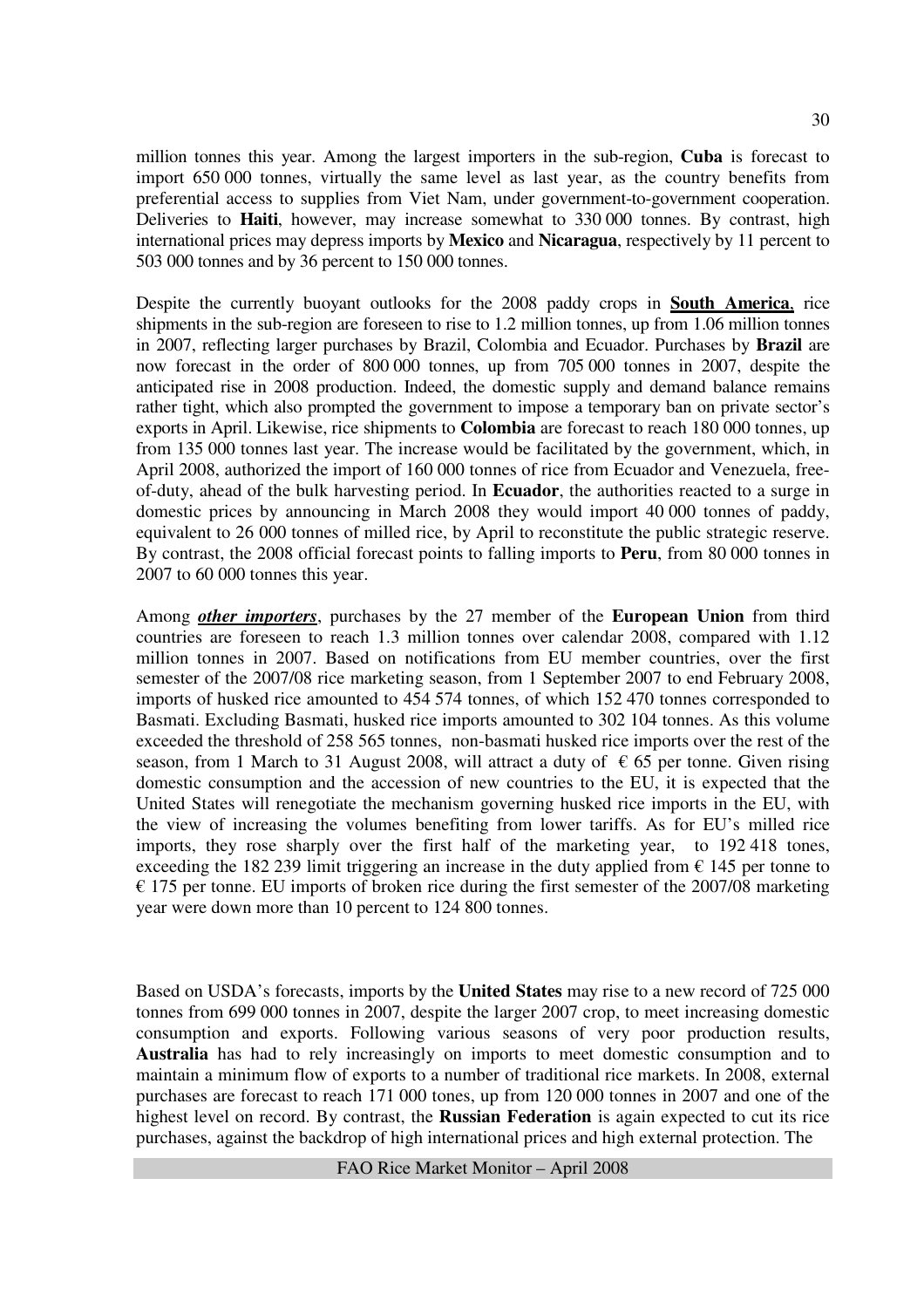million tonnes this year. Among the largest importers in the sub-region, **Cuba** is forecast to import 650 000 tonnes, virtually the same level as last year, as the country benefits from preferential access to supplies from Viet Nam, under government-to-government cooperation. Deliveries to **Haiti**, however, may increase somewhat to 330 000 tonnes. By contrast, high international prices may depress imports by **Mexico** and **Nicaragua**, respectively by 11 percent to 503 000 tonnes and by 36 percent to 150 000 tonnes.

Despite the currently buoyant outlooks for the 2008 paddy crops in **South America**, rice shipments in the sub-region are foreseen to rise to 1.2 million tonnes, up from 1.06 million tonnes in 2007, reflecting larger purchases by Brazil, Colombia and Ecuador. Purchases by **Brazil** are now forecast in the order of 800 000 tonnes, up from 705 000 tonnes in 2007, despite the anticipated rise in 2008 production. Indeed, the domestic supply and demand balance remains rather tight, which also prompted the government to impose a temporary ban on private sector's exports in April. Likewise, rice shipments to **Colombia** are forecast to reach 180 000 tonnes, up from 135 000 tonnes last year. The increase would be facilitated by the government, which, in April 2008, authorized the import of 160 000 tonnes of rice from Ecuador and Venezuela, freeof-duty, ahead of the bulk harvesting period. In **Ecuador**, the authorities reacted to a surge in domestic prices by announcing in March 2008 they would import 40 000 tonnes of paddy, equivalent to 26 000 tonnes of milled rice, by April to reconstitute the public strategic reserve. By contrast, the 2008 official forecast points to falling imports to **Peru**, from 80 000 tonnes in 2007 to 60 000 tonnes this year.

Among *other importers*, purchases by the 27 member of the **European Union** from third countries are foreseen to reach 1.3 million tonnes over calendar 2008, compared with 1.12 million tonnes in 2007. Based on notifications from EU member countries, over the first semester of the 2007/08 rice marketing season, from 1 September 2007 to end February 2008, imports of husked rice amounted to 454 574 tonnes, of which 152 470 tonnes corresponded to Basmati. Excluding Basmati, husked rice imports amounted to 302 104 tonnes. As this volume exceeded the threshold of 258 565 tonnes, non-basmati husked rice imports over the rest of the season, from 1 March to 31 August 2008, will attract a duty of  $\epsilon$  65 per tonne. Given rising domestic consumption and the accession of new countries to the EU, it is expected that the United States will renegotiate the mechanism governing husked rice imports in the EU, with the view of increasing the volumes benefiting from lower tariffs. As for EU's milled rice imports, they rose sharply over the first half of the marketing year, to 192 418 tones, exceeding the 182 239 limit triggering an increase in the duty applied from  $\epsilon$  145 per tonne to  $\epsilon$  175 per tonne. EU imports of broken rice during the first semester of the 2007/08 marketing year were down more than 10 percent to 124 800 tonnes.

Based on USDA's forecasts, imports by the **United States** may rise to a new record of 725 000 tonnes from 699 000 tonnes in 2007, despite the larger 2007 crop, to meet increasing domestic consumption and exports. Following various seasons of very poor production results, **Australia** has had to rely increasingly on imports to meet domestic consumption and to maintain a minimum flow of exports to a number of traditional rice markets. In 2008, external purchases are forecast to reach 171 000 tones, up from 120 000 tonnes in 2007 and one of the highest level on record. By contrast, the **Russian Federation** is again expected to cut its rice purchases, against the backdrop of high international prices and high external protection. The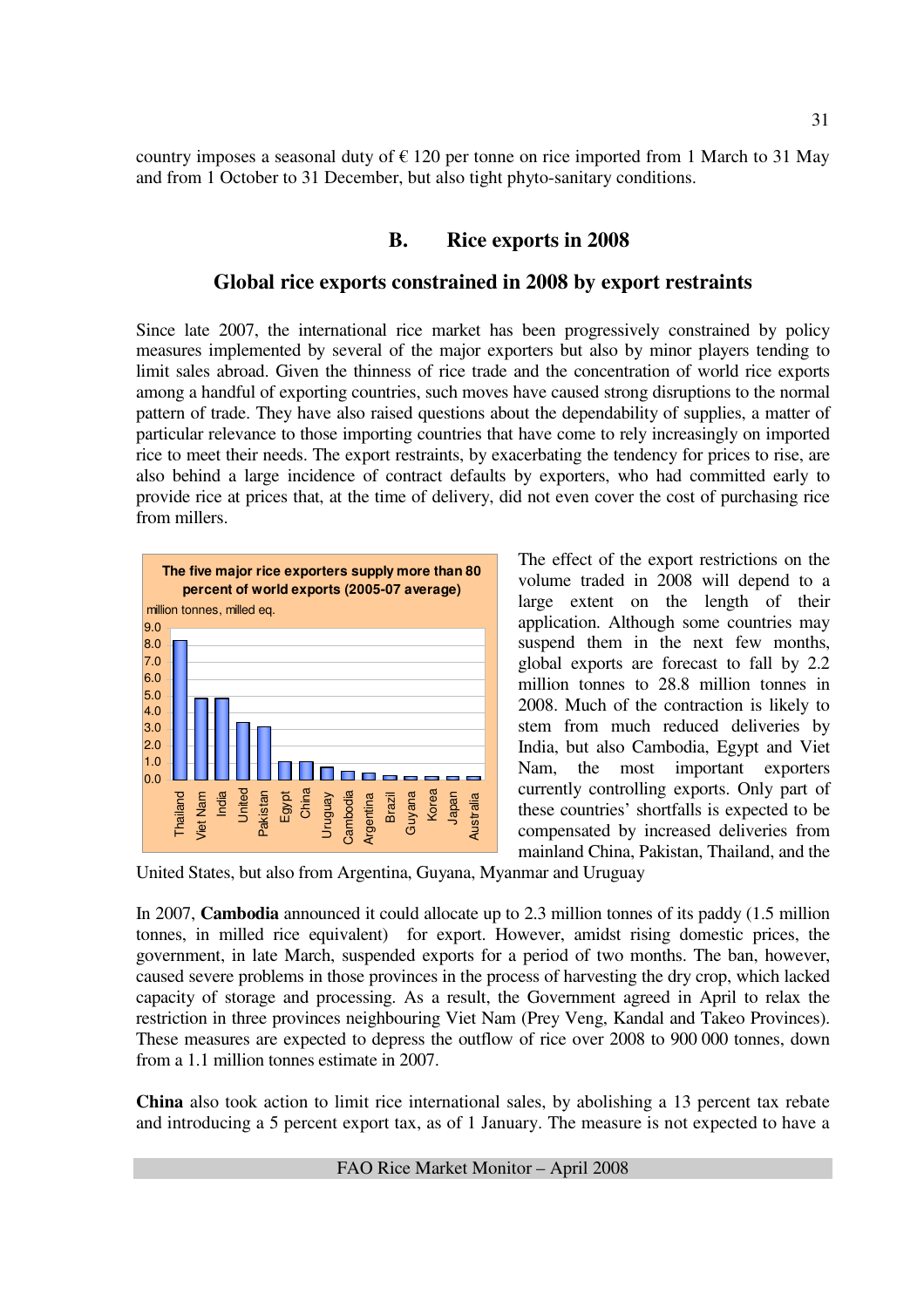country imposes a seasonal duty of  $\epsilon$  120 per tonne on rice imported from 1 March to 31 May and from 1 October to 31 December, but also tight phyto-sanitary conditions.

## **B. Rice exports in 2008**

#### **Global rice exports constrained in 2008 by export restraints**

Since late 2007, the international rice market has been progressively constrained by policy measures implemented by several of the major exporters but also by minor players tending to limit sales abroad. Given the thinness of rice trade and the concentration of world rice exports among a handful of exporting countries, such moves have caused strong disruptions to the normal pattern of trade. They have also raised questions about the dependability of supplies, a matter of particular relevance to those importing countries that have come to rely increasingly on imported rice to meet their needs. The export restraints, by exacerbating the tendency for prices to rise, are also behind a large incidence of contract defaults by exporters, who had committed early to provide rice at prices that, at the time of delivery, did not even cover the cost of purchasing rice from millers.



The effect of the export restrictions on the volume traded in 2008 will depend to a large extent on the length of their application. Although some countries may suspend them in the next few months, global exports are forecast to fall by 2.2 million tonnes to 28.8 million tonnes in 2008. Much of the contraction is likely to stem from much reduced deliveries by India, but also Cambodia, Egypt and Viet Nam, the most important exporters currently controlling exports. Only part of these countries' shortfalls is expected to be compensated by increased deliveries from mainland China, Pakistan, Thailand, and the

United States, but also from Argentina, Guyana, Myanmar and Uruguay

In 2007, **Cambodia** announced it could allocate up to 2.3 million tonnes of its paddy (1.5 million tonnes, in milled rice equivalent) for export. However, amidst rising domestic prices, the government, in late March, suspended exports for a period of two months. The ban, however, caused severe problems in those provinces in the process of harvesting the dry crop, which lacked capacity of storage and processing. As a result, the Government agreed in April to relax the restriction in three provinces neighbouring Viet Nam (Prey Veng, Kandal and Takeo Provinces). These measures are expected to depress the outflow of rice over 2008 to 900 000 tonnes, down from a 1.1 million tonnes estimate in 2007.

**China** also took action to limit rice international sales, by abolishing a 13 percent tax rebate and introducing a 5 percent export tax, as of 1 January. The measure is not expected to have a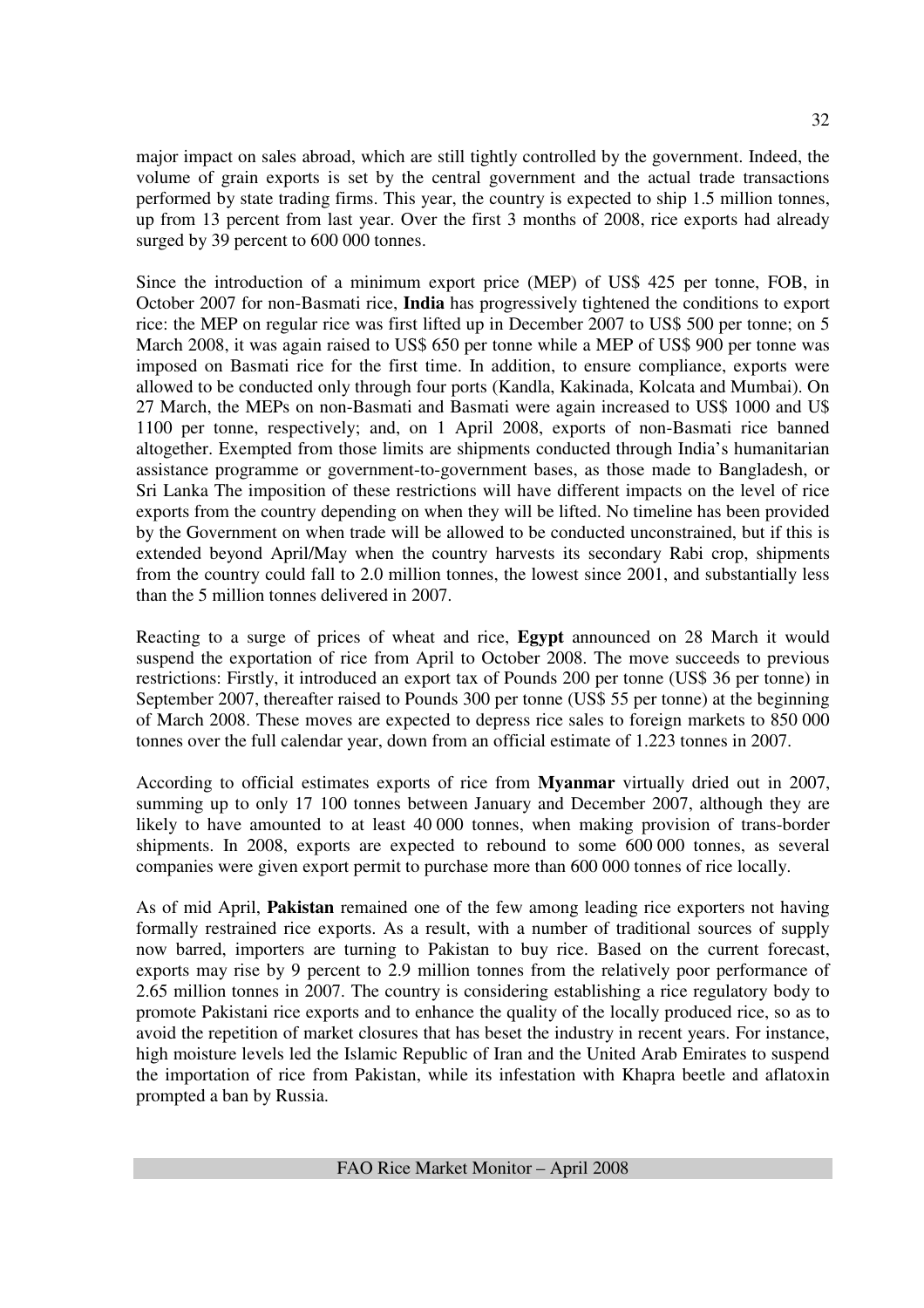major impact on sales abroad, which are still tightly controlled by the government. Indeed, the volume of grain exports is set by the central government and the actual trade transactions performed by state trading firms. This year, the country is expected to ship 1.5 million tonnes, up from 13 percent from last year. Over the first 3 months of 2008, rice exports had already surged by 39 percent to 600 000 tonnes.

Since the introduction of a minimum export price (MEP) of US\$ 425 per tonne, FOB, in October 2007 for non-Basmati rice, **India** has progressively tightened the conditions to export rice: the MEP on regular rice was first lifted up in December 2007 to US\$ 500 per tonne; on 5 March 2008, it was again raised to US\$ 650 per tonne while a MEP of US\$ 900 per tonne was imposed on Basmati rice for the first time. In addition, to ensure compliance, exports were allowed to be conducted only through four ports (Kandla, Kakinada, Kolcata and Mumbai). On 27 March, the MEPs on non-Basmati and Basmati were again increased to US\$ 1000 and U\$ 1100 per tonne, respectively; and, on 1 April 2008, exports of non-Basmati rice banned altogether. Exempted from those limits are shipments conducted through India's humanitarian assistance programme or government-to-government bases, as those made to Bangladesh, or Sri Lanka The imposition of these restrictions will have different impacts on the level of rice exports from the country depending on when they will be lifted. No timeline has been provided by the Government on when trade will be allowed to be conducted unconstrained, but if this is extended beyond April/May when the country harvests its secondary Rabi crop, shipments from the country could fall to 2.0 million tonnes, the lowest since 2001, and substantially less than the 5 million tonnes delivered in 2007.

Reacting to a surge of prices of wheat and rice, **Egypt** announced on 28 March it would suspend the exportation of rice from April to October 2008. The move succeeds to previous restrictions: Firstly, it introduced an export tax of Pounds 200 per tonne (US\$ 36 per tonne) in September 2007, thereafter raised to Pounds 300 per tonne (US\$ 55 per tonne) at the beginning of March 2008. These moves are expected to depress rice sales to foreign markets to 850 000 tonnes over the full calendar year, down from an official estimate of 1.223 tonnes in 2007.

According to official estimates exports of rice from **Myanmar** virtually dried out in 2007, summing up to only 17 100 tonnes between January and December 2007, although they are likely to have amounted to at least 40 000 tonnes, when making provision of trans-border shipments. In 2008, exports are expected to rebound to some 600 000 tonnes, as several companies were given export permit to purchase more than 600 000 tonnes of rice locally.

As of mid April, **Pakistan** remained one of the few among leading rice exporters not having formally restrained rice exports. As a result, with a number of traditional sources of supply now barred, importers are turning to Pakistan to buy rice. Based on the current forecast, exports may rise by 9 percent to 2.9 million tonnes from the relatively poor performance of 2.65 million tonnes in 2007. The country is considering establishing a rice regulatory body to promote Pakistani rice exports and to enhance the quality of the locally produced rice, so as to avoid the repetition of market closures that has beset the industry in recent years. For instance, high moisture levels led the Islamic Republic of Iran and the United Arab Emirates to suspend the importation of rice from Pakistan, while its infestation with Khapra beetle and aflatoxin prompted a ban by Russia.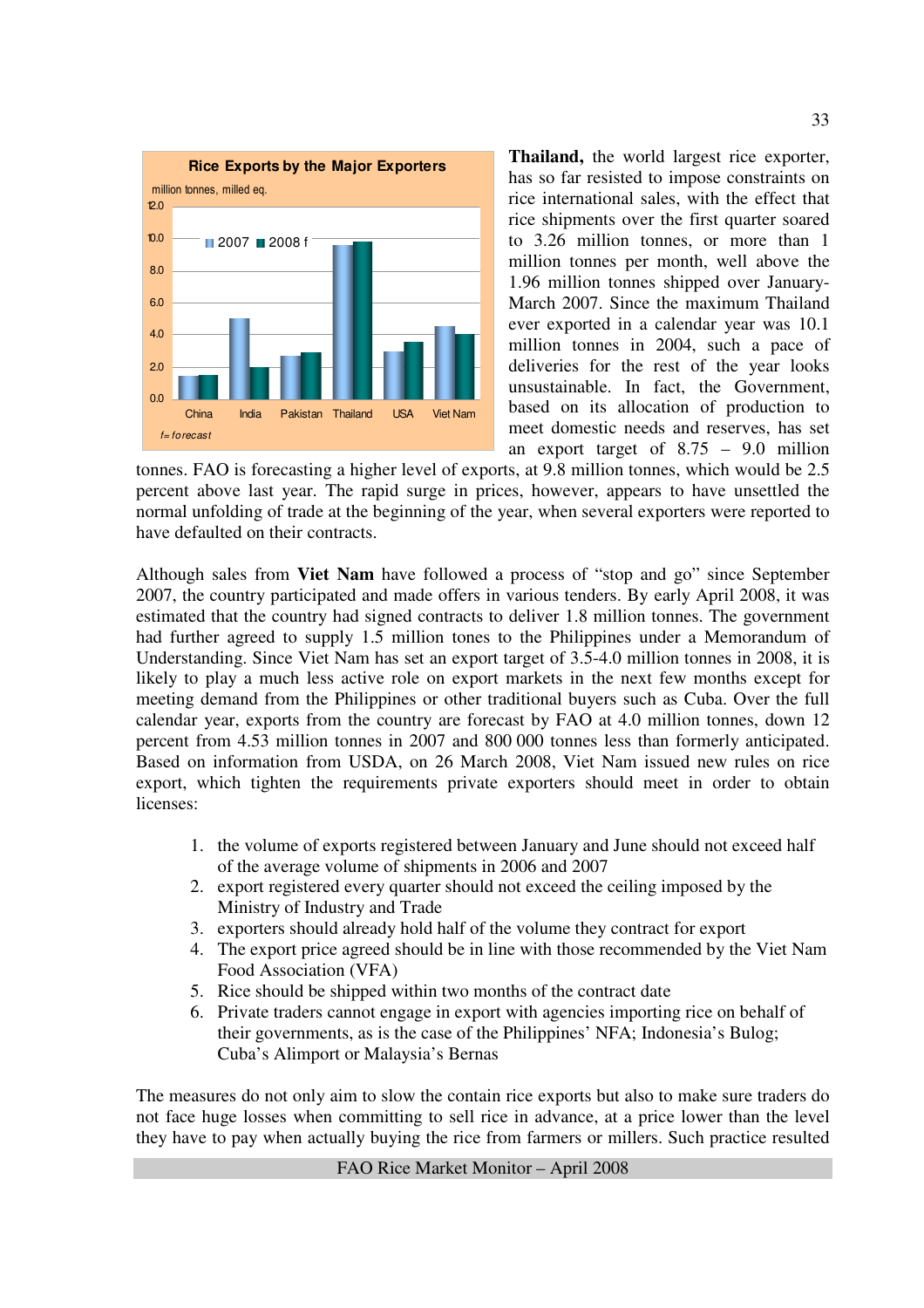

**Thailand,** the world largest rice exporter, has so far resisted to impose constraints on rice international sales, with the effect that rice shipments over the first quarter soared to 3.26 million tonnes, or more than 1 million tonnes per month, well above the 1.96 million tonnes shipped over January-March 2007. Since the maximum Thailand ever exported in a calendar year was 10.1 million tonnes in 2004, such a pace of deliveries for the rest of the year looks unsustainable. In fact, the Government, based on its allocation of production to meet domestic needs and reserves, has set an export target of 8.75 – 9.0 million

tonnes. FAO is forecasting a higher level of exports, at 9.8 million tonnes, which would be 2.5 percent above last year. The rapid surge in prices, however, appears to have unsettled the normal unfolding of trade at the beginning of the year, when several exporters were reported to have defaulted on their contracts.

Although sales from **Viet Nam** have followed a process of "stop and go" since September 2007, the country participated and made offers in various tenders. By early April 2008, it was estimated that the country had signed contracts to deliver 1.8 million tonnes. The government had further agreed to supply 1.5 million tones to the Philippines under a Memorandum of Understanding. Since Viet Nam has set an export target of 3.5-4.0 million tonnes in 2008, it is likely to play a much less active role on export markets in the next few months except for meeting demand from the Philippines or other traditional buyers such as Cuba. Over the full calendar year, exports from the country are forecast by FAO at 4.0 million tonnes, down 12 percent from 4.53 million tonnes in 2007 and 800 000 tonnes less than formerly anticipated. Based on information from USDA, on 26 March 2008, Viet Nam issued new rules on rice export, which tighten the requirements private exporters should meet in order to obtain licenses:

- 1. the volume of exports registered between January and June should not exceed half of the average volume of shipments in 2006 and 2007
- 2. export registered every quarter should not exceed the ceiling imposed by the Ministry of Industry and Trade
- 3. exporters should already hold half of the volume they contract for export
- 4. The export price agreed should be in line with those recommended by the Viet Nam Food Association (VFA)
- 5. Rice should be shipped within two months of the contract date
- 6. Private traders cannot engage in export with agencies importing rice on behalf of their governments, as is the case of the Philippines' NFA; Indonesia's Bulog; Cuba's Alimport or Malaysia's Bernas

The measures do not only aim to slow the contain rice exports but also to make sure traders do not face huge losses when committing to sell rice in advance, at a price lower than the level they have to pay when actually buying the rice from farmers or millers. Such practice resulted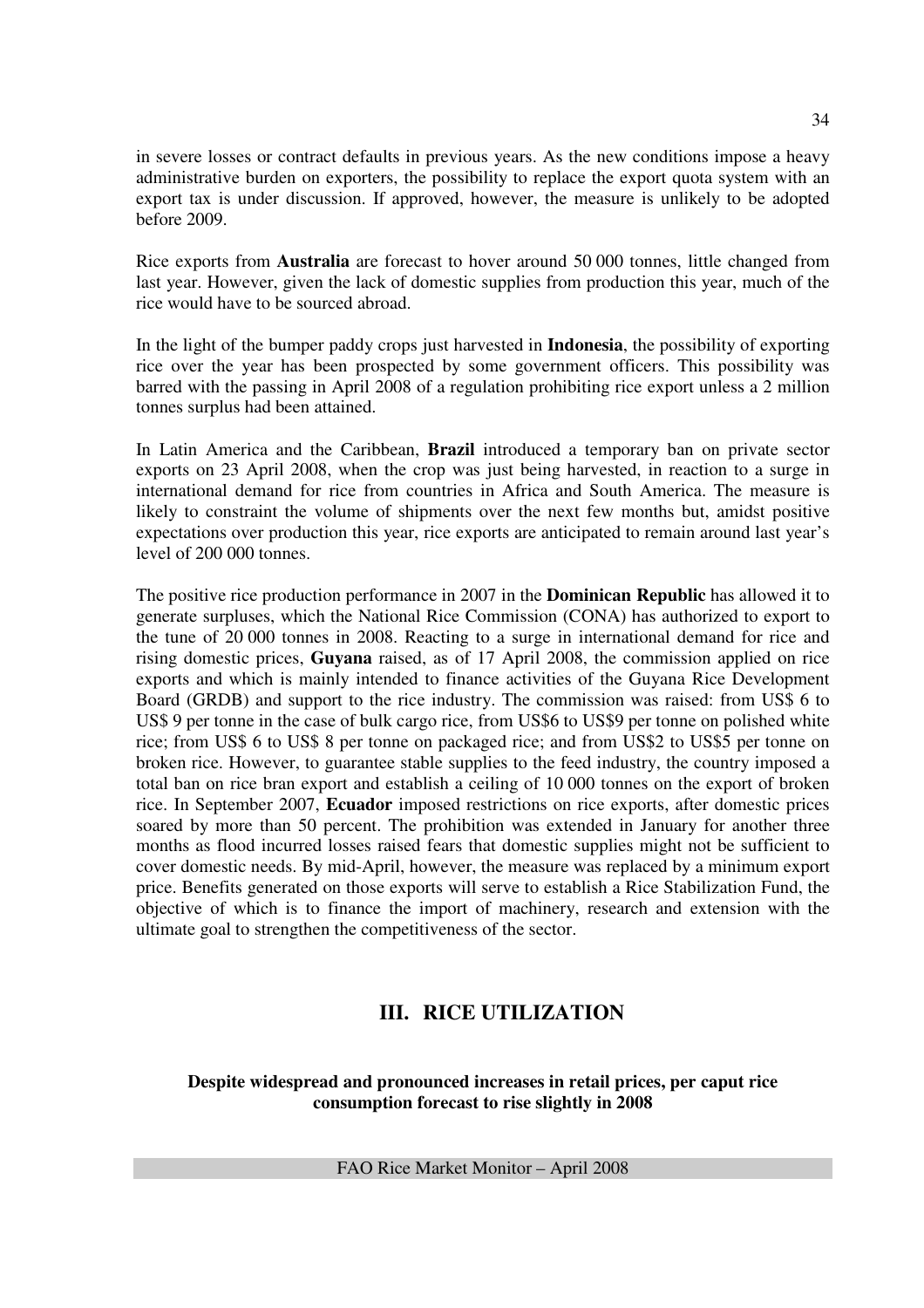in severe losses or contract defaults in previous years. As the new conditions impose a heavy administrative burden on exporters, the possibility to replace the export quota system with an export tax is under discussion. If approved, however, the measure is unlikely to be adopted before 2009.

Rice exports from **Australia** are forecast to hover around 50 000 tonnes, little changed from last year. However, given the lack of domestic supplies from production this year, much of the rice would have to be sourced abroad.

In the light of the bumper paddy crops just harvested in **Indonesia**, the possibility of exporting rice over the year has been prospected by some government officers. This possibility was barred with the passing in April 2008 of a regulation prohibiting rice export unless a 2 million tonnes surplus had been attained.

In Latin America and the Caribbean, **Brazil** introduced a temporary ban on private sector exports on 23 April 2008, when the crop was just being harvested, in reaction to a surge in international demand for rice from countries in Africa and South America. The measure is likely to constraint the volume of shipments over the next few months but, amidst positive expectations over production this year, rice exports are anticipated to remain around last year's level of 200 000 tonnes.

The positive rice production performance in 2007 in the **Dominican Republic** has allowed it to generate surpluses, which the National Rice Commission (CONA) has authorized to export to the tune of 20 000 tonnes in 2008. Reacting to a surge in international demand for rice and rising domestic prices, **Guyana** raised, as of 17 April 2008, the commission applied on rice exports and which is mainly intended to finance activities of the Guyana Rice Development Board (GRDB) and support to the rice industry. The commission was raised: from US\$ 6 to US\$ 9 per tonne in the case of bulk cargo rice, from US\$6 to US\$9 per tonne on polished white rice; from US\$ 6 to US\$ 8 per tonne on packaged rice; and from US\$2 to US\$5 per tonne on broken rice. However, to guarantee stable supplies to the feed industry, the country imposed a total ban on rice bran export and establish a ceiling of 10 000 tonnes on the export of broken rice. In September 2007, **Ecuador** imposed restrictions on rice exports, after domestic prices soared by more than 50 percent. The prohibition was extended in January for another three months as flood incurred losses raised fears that domestic supplies might not be sufficient to cover domestic needs. By mid-April, however, the measure was replaced by a minimum export price. Benefits generated on those exports will serve to establish a Rice Stabilization Fund, the objective of which is to finance the import of machinery, research and extension with the ultimate goal to strengthen the competitiveness of the sector.

## **III. RICE UTILIZATION**

**Despite widespread and pronounced increases in retail prices, per caput rice consumption forecast to rise slightly in 2008**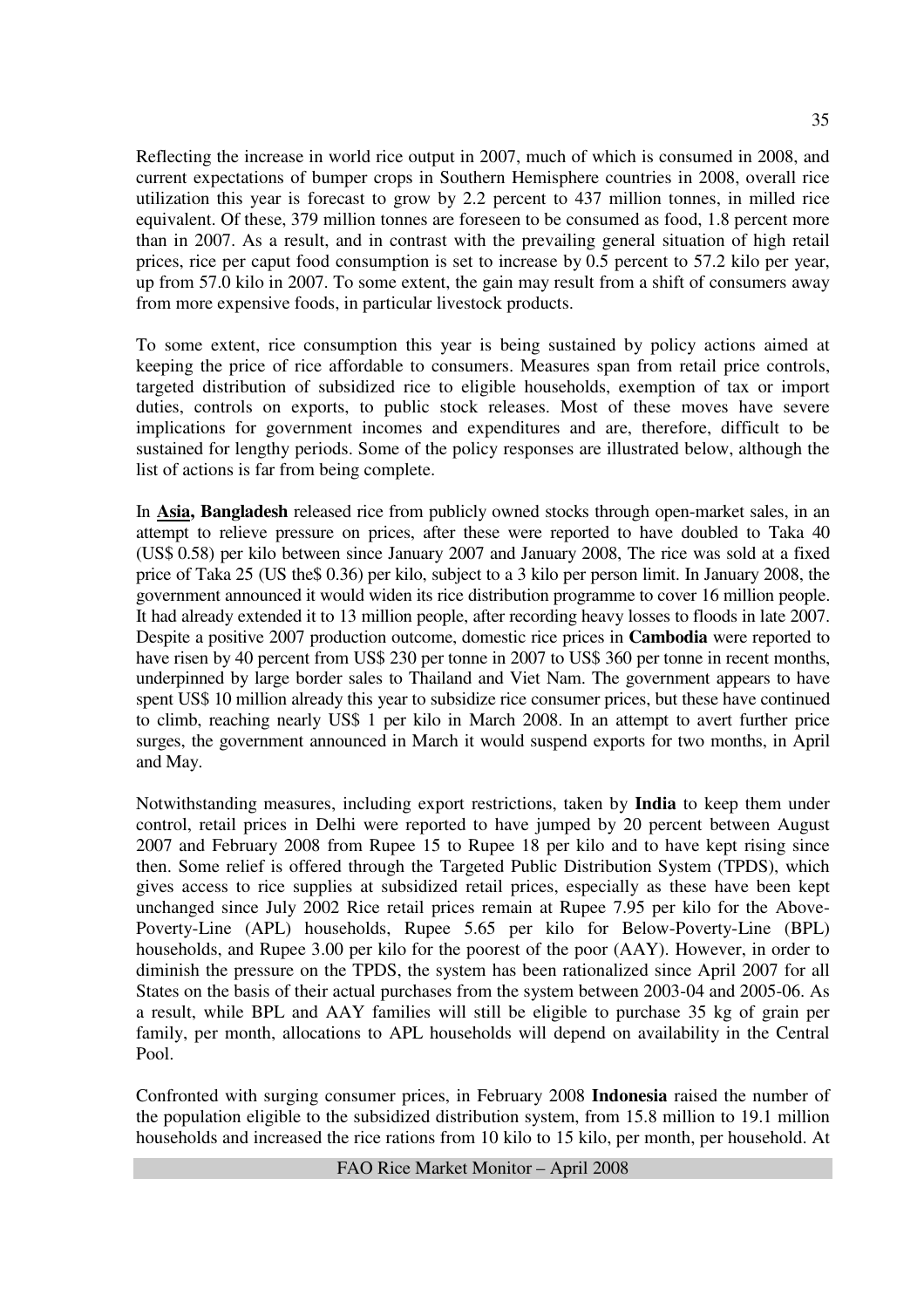Reflecting the increase in world rice output in 2007, much of which is consumed in 2008, and current expectations of bumper crops in Southern Hemisphere countries in 2008, overall rice utilization this year is forecast to grow by 2.2 percent to 437 million tonnes, in milled rice equivalent. Of these, 379 million tonnes are foreseen to be consumed as food, 1.8 percent more than in 2007. As a result, and in contrast with the prevailing general situation of high retail prices, rice per caput food consumption is set to increase by 0.5 percent to 57.2 kilo per year, up from 57.0 kilo in 2007. To some extent, the gain may result from a shift of consumers away from more expensive foods, in particular livestock products.

To some extent, rice consumption this year is being sustained by policy actions aimed at keeping the price of rice affordable to consumers. Measures span from retail price controls, targeted distribution of subsidized rice to eligible households, exemption of tax or import duties, controls on exports, to public stock releases. Most of these moves have severe implications for government incomes and expenditures and are, therefore, difficult to be sustained for lengthy periods. Some of the policy responses are illustrated below, although the list of actions is far from being complete.

In **Asia, Bangladesh** released rice from publicly owned stocks through open-market sales, in an attempt to relieve pressure on prices, after these were reported to have doubled to Taka 40 (US\$ 0.58) per kilo between since January 2007 and January 2008, The rice was sold at a fixed price of Taka 25 (US the\$ 0.36) per kilo, subject to a 3 kilo per person limit. In January 2008, the government announced it would widen its rice distribution programme to cover 16 million people. It had already extended it to 13 million people, after recording heavy losses to floods in late 2007. Despite a positive 2007 production outcome, domestic rice prices in **Cambodia** were reported to have risen by 40 percent from US\$ 230 per tonne in 2007 to US\$ 360 per tonne in recent months, underpinned by large border sales to Thailand and Viet Nam. The government appears to have spent US\$ 10 million already this year to subsidize rice consumer prices, but these have continued to climb, reaching nearly US\$ 1 per kilo in March 2008. In an attempt to avert further price surges, the government announced in March it would suspend exports for two months, in April and May.

Notwithstanding measures, including export restrictions, taken by **India** to keep them under control, retail prices in Delhi were reported to have jumped by 20 percent between August 2007 and February 2008 from Rupee 15 to Rupee 18 per kilo and to have kept rising since then. Some relief is offered through the Targeted Public Distribution System (TPDS), which gives access to rice supplies at subsidized retail prices, especially as these have been kept unchanged since July 2002 Rice retail prices remain at Rupee 7.95 per kilo for the Above-Poverty-Line (APL) households, Rupee 5.65 per kilo for Below-Poverty-Line (BPL) households, and Rupee 3.00 per kilo for the poorest of the poor (AAY). However, in order to diminish the pressure on the TPDS, the system has been rationalized since April 2007 for all States on the basis of their actual purchases from the system between 2003-04 and 2005-06. As a result, while BPL and AAY families will still be eligible to purchase 35 kg of grain per family, per month, allocations to APL households will depend on availability in the Central Pool.

Confronted with surging consumer prices, in February 2008 **Indonesia** raised the number of the population eligible to the subsidized distribution system, from 15.8 million to 19.1 million households and increased the rice rations from 10 kilo to 15 kilo, per month, per household. At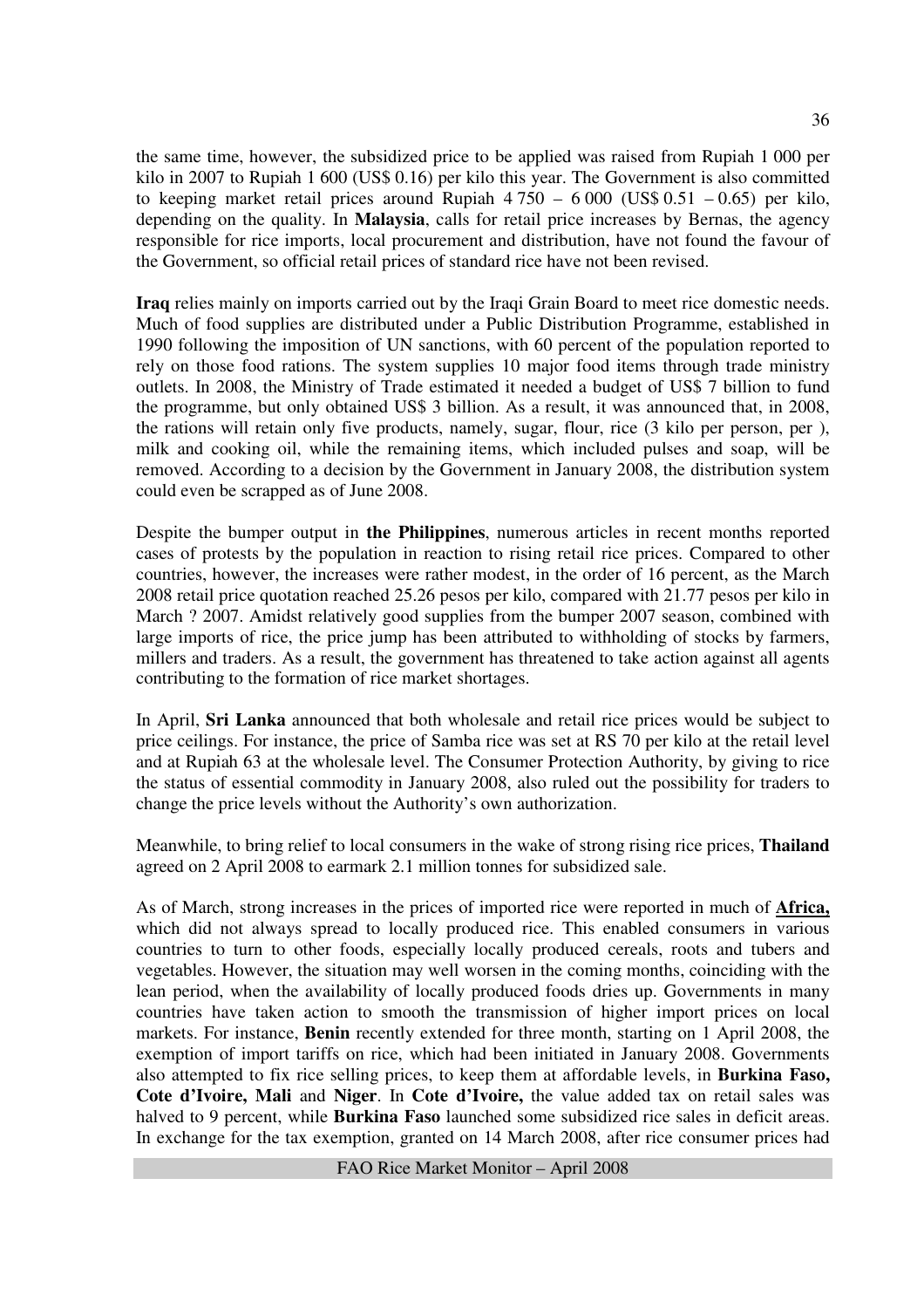the same time, however, the subsidized price to be applied was raised from Rupiah 1 000 per kilo in 2007 to Rupiah 1 600 (US\$ 0.16) per kilo this year. The Government is also committed to keeping market retail prices around Rupiah  $4750 - 6000$  (US\$ 0.51 – 0.65) per kilo, depending on the quality. In **Malaysia**, calls for retail price increases by Bernas, the agency responsible for rice imports, local procurement and distribution, have not found the favour of the Government, so official retail prices of standard rice have not been revised.

**Iraq** relies mainly on imports carried out by the Iraqi Grain Board to meet rice domestic needs. Much of food supplies are distributed under a Public Distribution Programme, established in 1990 following the imposition of UN sanctions, with 60 percent of the population reported to rely on those food rations. The system supplies 10 major food items through trade ministry outlets. In 2008, the Ministry of Trade estimated it needed a budget of US\$ 7 billion to fund the programme, but only obtained US\$ 3 billion. As a result, it was announced that, in 2008, the rations will retain only five products, namely, sugar, flour, rice (3 kilo per person, per ), milk and cooking oil, while the remaining items, which included pulses and soap, will be removed. According to a decision by the Government in January 2008, the distribution system could even be scrapped as of June 2008.

Despite the bumper output in **the Philippines**, numerous articles in recent months reported cases of protests by the population in reaction to rising retail rice prices. Compared to other countries, however, the increases were rather modest, in the order of 16 percent, as the March 2008 retail price quotation reached 25.26 pesos per kilo, compared with 21.77 pesos per kilo in March ? 2007. Amidst relatively good supplies from the bumper 2007 season, combined with large imports of rice, the price jump has been attributed to withholding of stocks by farmers, millers and traders. As a result, the government has threatened to take action against all agents contributing to the formation of rice market shortages.

In April, **Sri Lanka** announced that both wholesale and retail rice prices would be subject to price ceilings. For instance, the price of Samba rice was set at RS 70 per kilo at the retail level and at Rupiah 63 at the wholesale level. The Consumer Protection Authority, by giving to rice the status of essential commodity in January 2008, also ruled out the possibility for traders to change the price levels without the Authority's own authorization.

Meanwhile, to bring relief to local consumers in the wake of strong rising rice prices, **Thailand** agreed on 2 April 2008 to earmark 2.1 million tonnes for subsidized sale.

As of March, strong increases in the prices of imported rice were reported in much of **Africa,** which did not always spread to locally produced rice. This enabled consumers in various countries to turn to other foods, especially locally produced cereals, roots and tubers and vegetables. However, the situation may well worsen in the coming months, coinciding with the lean period, when the availability of locally produced foods dries up. Governments in many countries have taken action to smooth the transmission of higher import prices on local markets. For instance, **Benin** recently extended for three month, starting on 1 April 2008, the exemption of import tariffs on rice, which had been initiated in January 2008. Governments also attempted to fix rice selling prices, to keep them at affordable levels, in **Burkina Faso, Cote d'Ivoire, Mali** and **Niger**. In **Cote d'Ivoire,** the value added tax on retail sales was halved to 9 percent, while **Burkina Faso** launched some subsidized rice sales in deficit areas. In exchange for the tax exemption, granted on 14 March 2008, after rice consumer prices had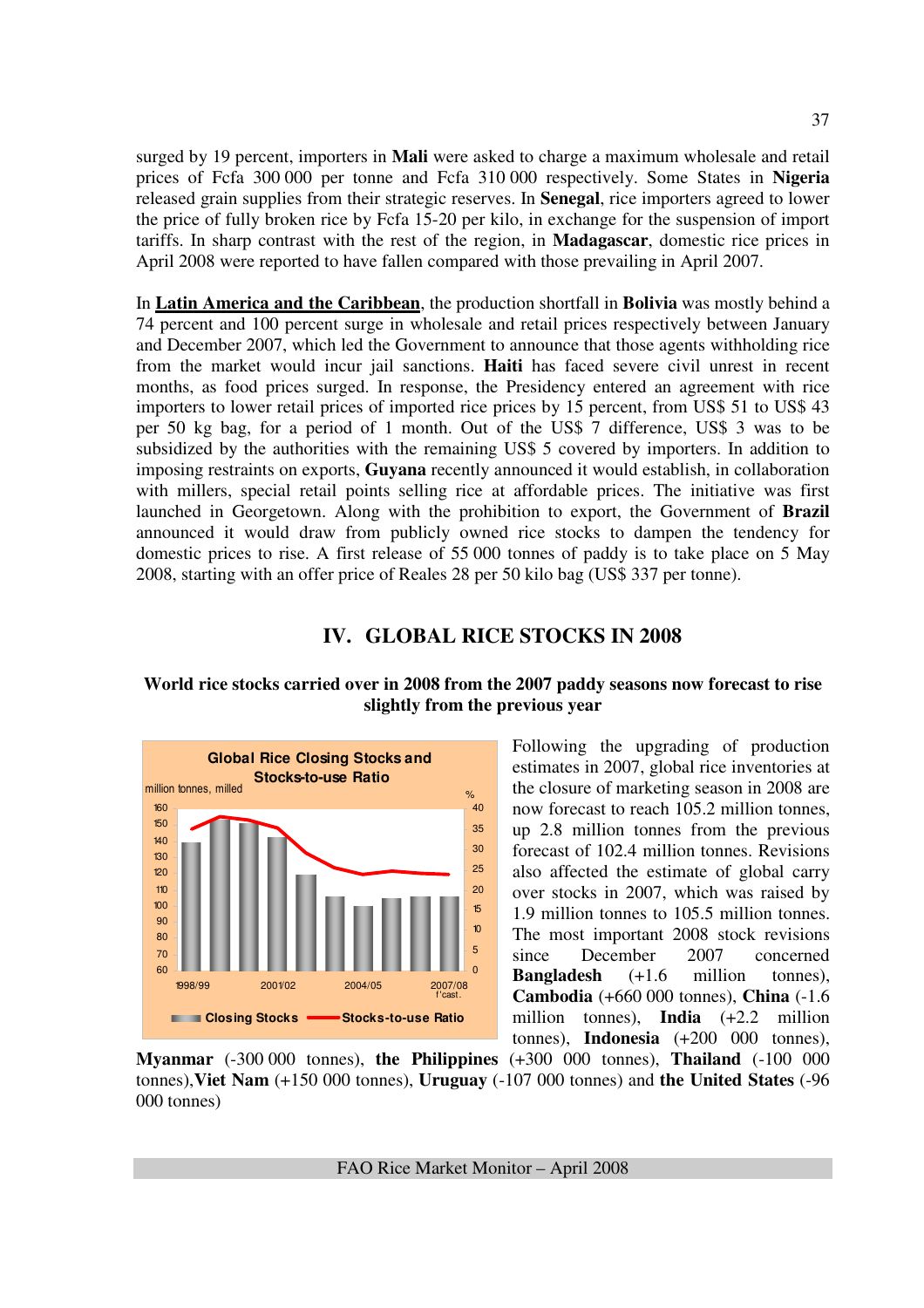surged by 19 percent, importers in **Mali** were asked to charge a maximum wholesale and retail prices of Fcfa 300 000 per tonne and Fcfa 310 000 respectively. Some States in **Nigeria** released grain supplies from their strategic reserves. In **Senegal**, rice importers agreed to lower the price of fully broken rice by Fcfa 15-20 per kilo, in exchange for the suspension of import tariffs. In sharp contrast with the rest of the region, in **Madagascar**, domestic rice prices in April 2008 were reported to have fallen compared with those prevailing in April 2007.

In **Latin America and the Caribbean**, the production shortfall in **Bolivia** was mostly behind a 74 percent and 100 percent surge in wholesale and retail prices respectively between January and December 2007, which led the Government to announce that those agents withholding rice from the market would incur jail sanctions. **Haiti** has faced severe civil unrest in recent months, as food prices surged. In response, the Presidency entered an agreement with rice importers to lower retail prices of imported rice prices by 15 percent, from US\$ 51 to US\$ 43 per 50 kg bag, for a period of 1 month. Out of the US\$ 7 difference, US\$ 3 was to be subsidized by the authorities with the remaining US\$ 5 covered by importers. In addition to imposing restraints on exports, **Guyana** recently announced it would establish, in collaboration with millers, special retail points selling rice at affordable prices. The initiative was first launched in Georgetown. Along with the prohibition to export, the Government of **Brazil** announced it would draw from publicly owned rice stocks to dampen the tendency for domestic prices to rise. A first release of 55 000 tonnes of paddy is to take place on 5 May 2008, starting with an offer price of Reales 28 per 50 kilo bag (US\$ 337 per tonne).

## **IV. GLOBAL RICE STOCKS IN 2008**

#### **World rice stocks carried over in 2008 from the 2007 paddy seasons now forecast to rise slightly from the previous year**



Following the upgrading of production estimates in 2007, global rice inventories at the closure of marketing season in 2008 are now forecast to reach 105.2 million tonnes, up 2.8 million tonnes from the previous forecast of 102.4 million tonnes. Revisions also affected the estimate of global carry over stocks in 2007, which was raised by 1.9 million tonnes to 105.5 million tonnes. The most important 2008 stock revisions since December 2007 concerned **Bangladesh** (+1.6 million tonnes), **Cambodia** (+660 000 tonnes), **China** (-1.6 million tonnes), **India** (+2.2 million tonnes), **Indonesia** (+200 000 tonnes),

**Myanmar** (-300 000 tonnes), **the Philippines** (+300 000 tonnes), **Thailand** (-100 000 tonnes),**Viet Nam** (+150 000 tonnes), **Uruguay** (-107 000 tonnes) and **the United States** (-96 000 tonnes)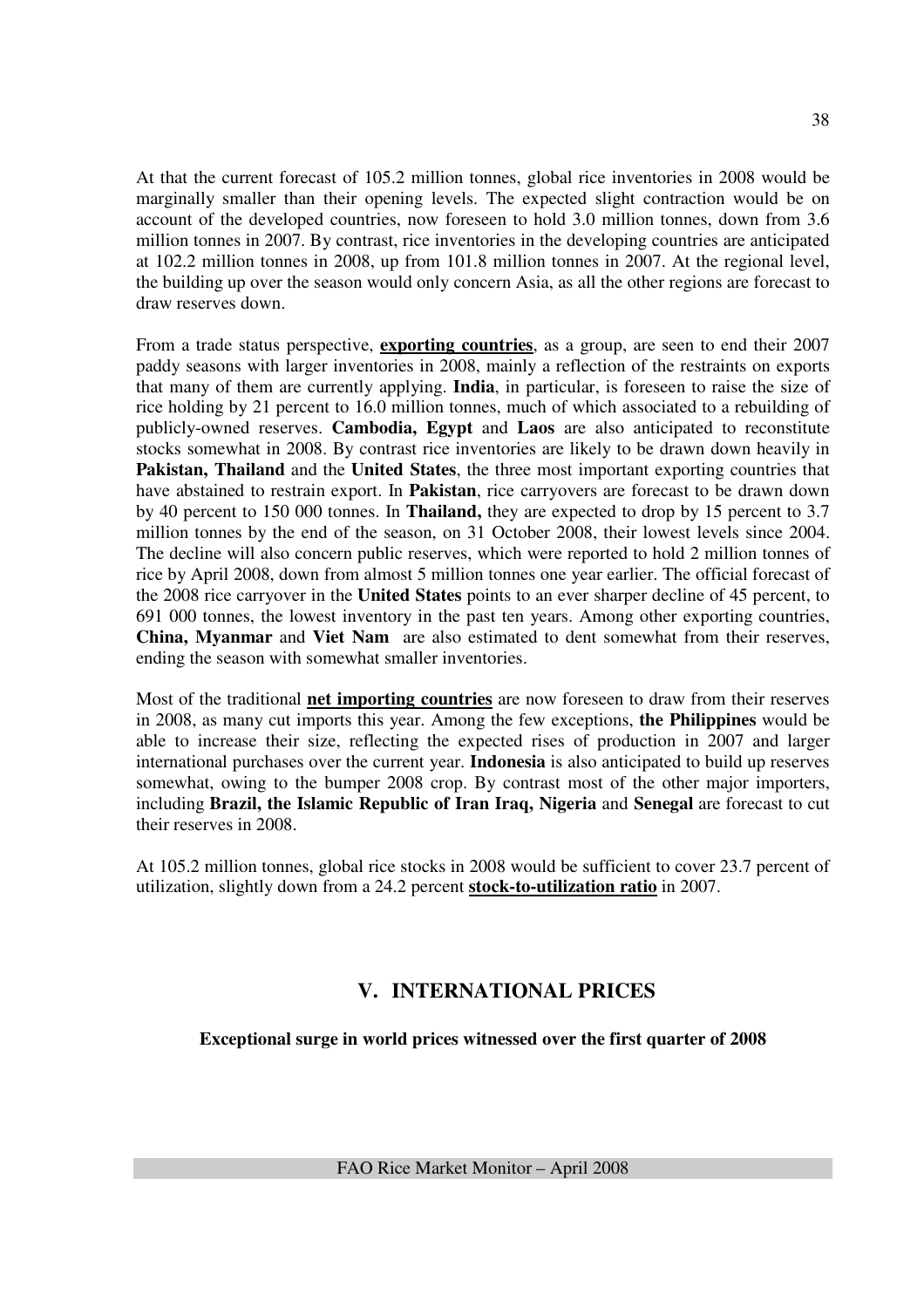At that the current forecast of 105.2 million tonnes, global rice inventories in 2008 would be marginally smaller than their opening levels. The expected slight contraction would be on account of the developed countries, now foreseen to hold 3.0 million tonnes, down from 3.6 million tonnes in 2007. By contrast, rice inventories in the developing countries are anticipated at 102.2 million tonnes in 2008, up from 101.8 million tonnes in 2007. At the regional level, the building up over the season would only concern Asia, as all the other regions are forecast to draw reserves down.

From a trade status perspective, **exporting countries**, as a group, are seen to end their 2007 paddy seasons with larger inventories in 2008, mainly a reflection of the restraints on exports that many of them are currently applying. **India**, in particular, is foreseen to raise the size of rice holding by 21 percent to 16.0 million tonnes, much of which associated to a rebuilding of publicly-owned reserves. **Cambodia, Egypt** and **Laos** are also anticipated to reconstitute stocks somewhat in 2008. By contrast rice inventories are likely to be drawn down heavily in **Pakistan, Thailand** and the **United States**, the three most important exporting countries that have abstained to restrain export. In **Pakistan**, rice carryovers are forecast to be drawn down by 40 percent to 150 000 tonnes. In **Thailand,** they are expected to drop by 15 percent to 3.7 million tonnes by the end of the season, on 31 October 2008, their lowest levels since 2004. The decline will also concern public reserves, which were reported to hold 2 million tonnes of rice by April 2008, down from almost 5 million tonnes one year earlier. The official forecast of the 2008 rice carryover in the **United States** points to an ever sharper decline of 45 percent, to 691 000 tonnes, the lowest inventory in the past ten years. Among other exporting countries, **China, Myanmar** and **Viet Nam** are also estimated to dent somewhat from their reserves, ending the season with somewhat smaller inventories.

Most of the traditional **net importing countries** are now foreseen to draw from their reserves in 2008, as many cut imports this year. Among the few exceptions, **the Philippines** would be able to increase their size, reflecting the expected rises of production in 2007 and larger international purchases over the current year. **Indonesia** is also anticipated to build up reserves somewhat, owing to the bumper 2008 crop. By contrast most of the other major importers, including **Brazil, the Islamic Republic of Iran Iraq, Nigeria** and **Senegal** are forecast to cut their reserves in 2008.

At 105.2 million tonnes, global rice stocks in 2008 would be sufficient to cover 23.7 percent of utilization, slightly down from a 24.2 percent **stock-to-utilization ratio** in 2007.

## **V. INTERNATIONAL PRICES**

**Exceptional surge in world prices witnessed over the first quarter of 2008**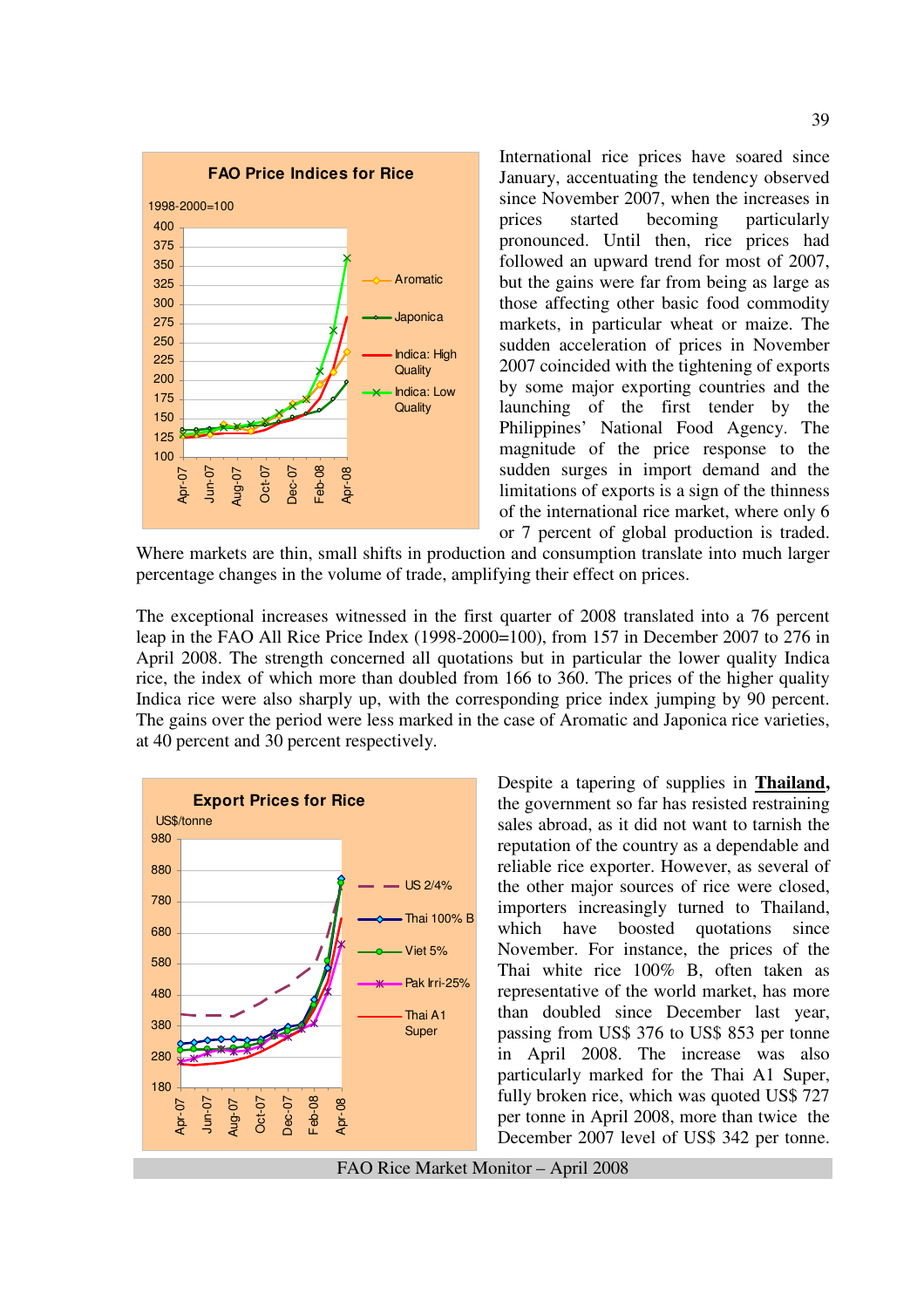

International rice prices have soared since January, accentuating the tendency observed since November 2007, when the increases in prices started becoming particularly pronounced. Until then, rice prices had followed an upward trend for most of 2007, but the gains were far from being as large as those affecting other basic food commodity markets, in particular wheat or maize. The sudden acceleration of prices in November 2007 coincided with the tightening of exports by some major exporting countries and the launching of the first tender by the Philippines' National Food Agency. The magnitude of the price response to the sudden surges in import demand and the limitations of exports is a sign of the thinness of the international rice market, where only 6 or 7 percent of global production is traded.

Where markets are thin, small shifts in production and consumption translate into much larger percentage changes in the volume of trade, amplifying their effect on prices.

The exceptional increases witnessed in the first quarter of 2008 translated into a 76 percent leap in the FAO All Rice Price Index (1998-2000=100), from 157 in December 2007 to 276 in April 2008. The strength concerned all quotations but in particular the lower quality Indica rice, the index of which more than doubled from 166 to 360. The prices of the higher quality Indica rice were also sharply up, with the corresponding price index jumping by 90 percent. The gains over the period were less marked in the case of Aromatic and Japonica rice varieties, at 40 percent and 30 percent respectively.



Despite a tapering of supplies in **Thailand,**  the government so far has resisted restraining sales abroad, as it did not want to tarnish the reputation of the country as a dependable and reliable rice exporter. However, as several of the other major sources of rice were closed, importers increasingly turned to Thailand, which have boosted quotations since November. For instance, the prices of the Thai white rice 100% B, often taken as representative of the world market, has more than doubled since December last year, passing from US\$ 376 to US\$ 853 per tonne in April 2008. The increase was also particularly marked for the Thai A1 Super, fully broken rice, which was quoted US\$ 727 per tonne in April 2008, more than twice the December 2007 level of US\$ 342 per tonne.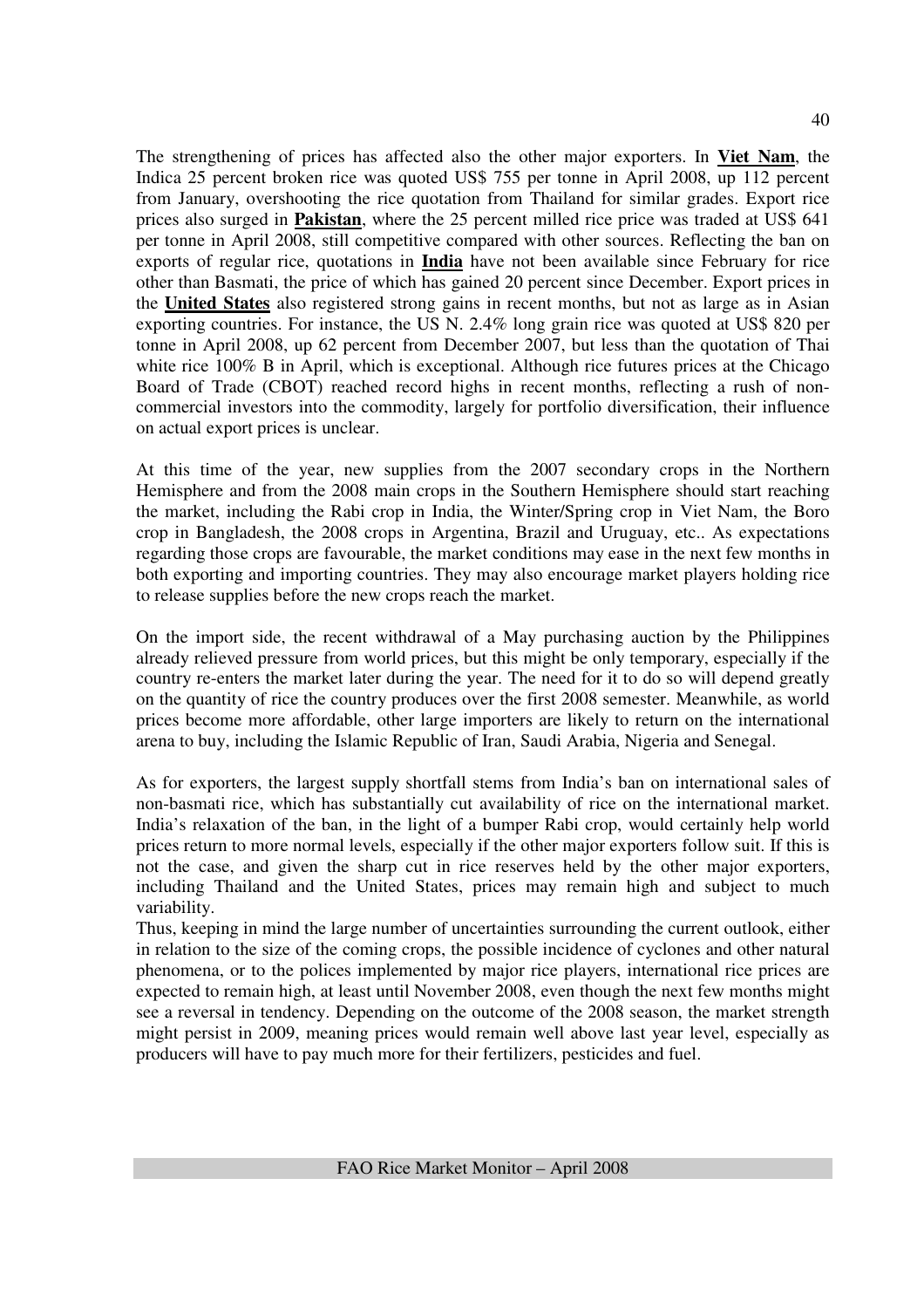The strengthening of prices has affected also the other major exporters. In **Viet Nam**, the Indica 25 percent broken rice was quoted US\$ 755 per tonne in April 2008, up 112 percent from January, overshooting the rice quotation from Thailand for similar grades. Export rice prices also surged in **Pakistan**, where the 25 percent milled rice price was traded at US\$ 641 per tonne in April 2008, still competitive compared with other sources. Reflecting the ban on exports of regular rice, quotations in **India** have not been available since February for rice other than Basmati, the price of which has gained 20 percent since December. Export prices in the **United States** also registered strong gains in recent months, but not as large as in Asian exporting countries. For instance, the US N. 2.4% long grain rice was quoted at US\$ 820 per tonne in April 2008, up 62 percent from December 2007, but less than the quotation of Thai white rice 100% B in April, which is exceptional. Although rice futures prices at the Chicago Board of Trade (CBOT) reached record highs in recent months, reflecting a rush of noncommercial investors into the commodity, largely for portfolio diversification, their influence on actual export prices is unclear.

At this time of the year, new supplies from the 2007 secondary crops in the Northern Hemisphere and from the 2008 main crops in the Southern Hemisphere should start reaching the market, including the Rabi crop in India, the Winter/Spring crop in Viet Nam, the Boro crop in Bangladesh, the 2008 crops in Argentina, Brazil and Uruguay, etc.. As expectations regarding those crops are favourable, the market conditions may ease in the next few months in both exporting and importing countries. They may also encourage market players holding rice to release supplies before the new crops reach the market.

On the import side, the recent withdrawal of a May purchasing auction by the Philippines already relieved pressure from world prices, but this might be only temporary, especially if the country re-enters the market later during the year. The need for it to do so will depend greatly on the quantity of rice the country produces over the first 2008 semester. Meanwhile, as world prices become more affordable, other large importers are likely to return on the international arena to buy, including the Islamic Republic of Iran, Saudi Arabia, Nigeria and Senegal.

As for exporters, the largest supply shortfall stems from India's ban on international sales of non-basmati rice, which has substantially cut availability of rice on the international market. India's relaxation of the ban, in the light of a bumper Rabi crop, would certainly help world prices return to more normal levels, especially if the other major exporters follow suit. If this is not the case, and given the sharp cut in rice reserves held by the other major exporters, including Thailand and the United States, prices may remain high and subject to much variability.

Thus, keeping in mind the large number of uncertainties surrounding the current outlook, either in relation to the size of the coming crops, the possible incidence of cyclones and other natural phenomena, or to the polices implemented by major rice players, international rice prices are expected to remain high, at least until November 2008, even though the next few months might see a reversal in tendency. Depending on the outcome of the 2008 season, the market strength might persist in 2009, meaning prices would remain well above last year level, especially as producers will have to pay much more for their fertilizers, pesticides and fuel.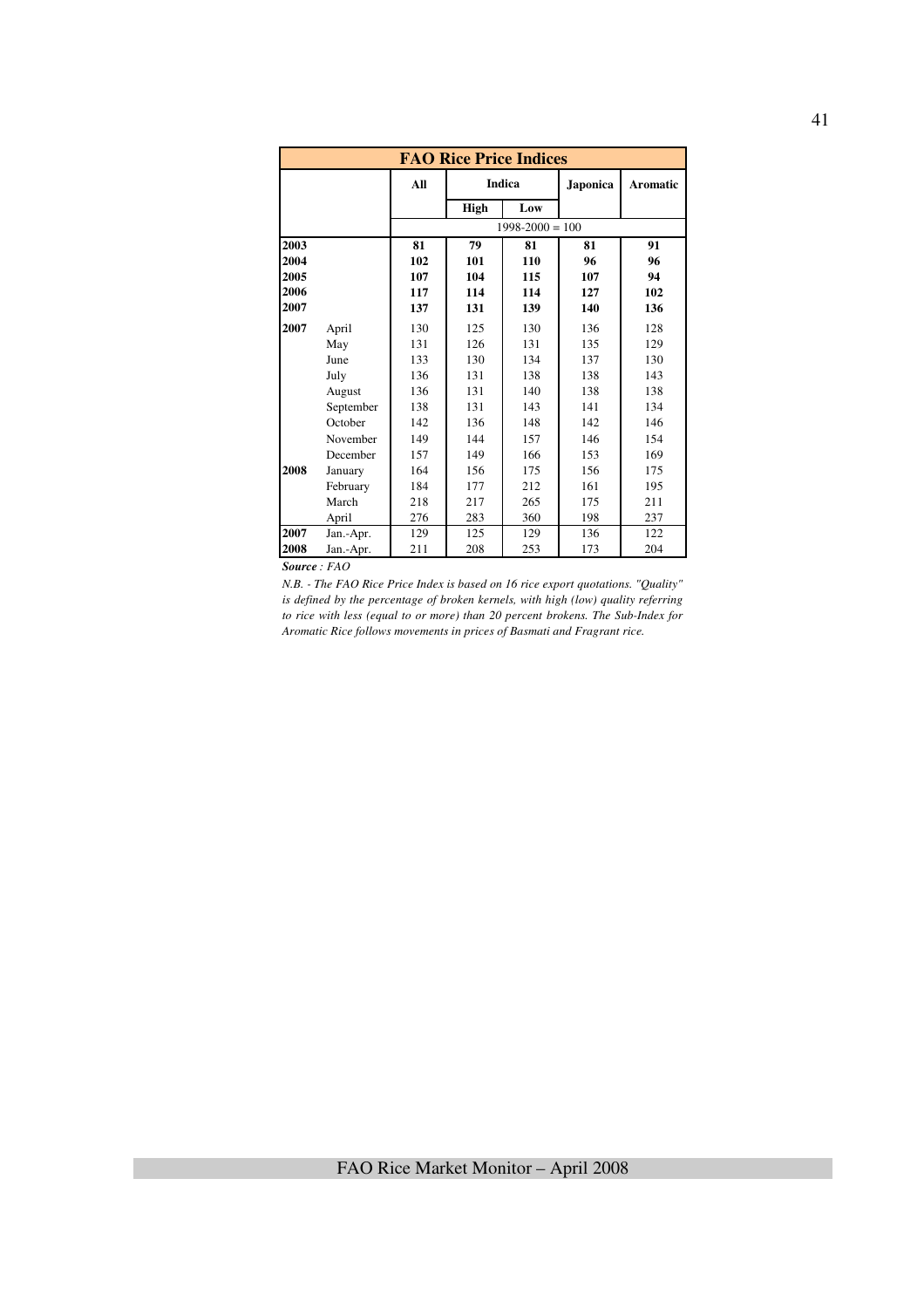|      |           |     | <b>FAO Rice Price Indices</b> |                     |          |          |
|------|-----------|-----|-------------------------------|---------------------|----------|----------|
|      |           | All |                               | <b>Indica</b>       | Japonica | Aromatic |
|      |           |     | High                          | Low                 |          |          |
|      |           |     |                               | $1998 - 2000 = 100$ |          |          |
| 2003 |           | 81  | 79                            | 81                  | 81       | 91       |
| 2004 |           | 102 | 101                           | 110                 | 96       | 96       |
| 2005 |           | 107 | 104                           | 115                 | 107      | 94       |
| 2006 |           | 117 | 114                           | 114                 | 127      | 102      |
| 2007 |           | 137 | 131                           | 139                 | 140      | 136      |
| 2007 | April     | 130 | 125                           | 130                 | 136      | 128      |
|      | May       | 131 | 126                           | 131                 | 135      | 129      |
|      | June      | 133 | 130                           | 134                 | 137      | 130      |
|      | July      | 136 | 131                           | 138                 | 138      | 143      |
|      | August    | 136 | 131                           | 140                 | 138      | 138      |
|      | September | 138 | 131                           | 143                 | 141      | 134      |
|      | October   | 142 | 136                           | 148                 | 142      | 146      |
|      | November  | 149 | 144                           | 157                 | 146      | 154      |
|      | December  | 157 | 149                           | 166                 | 153      | 169      |
| 2008 | January   | 164 | 156                           | 175                 | 156      | 175      |
|      | February  | 184 | 177                           | 212                 | 161      | 195      |
|      | March     | 218 | 217                           | 265                 | 175      | 211      |
|      | April     | 276 | 283                           | 360                 | 198      | 237      |
| 2007 | Jan.-Apr. | 129 | 125                           | 129                 | 136      | 122      |
| 2008 | Jan.-Apr. | 211 | 208                           | 253                 | 173      | 204      |

*Source : FAO* 

*N.B. - The FAO Rice Price Index is based on 16 rice export quotations. "Quality" is defined by the percentage of broken kernels, with high (low) quality referring to rice with less (equal to or more) than 20 percent brokens. The Sub-Index for Aromatic Rice follows movements in prices of Basmati and Fragrant rice.*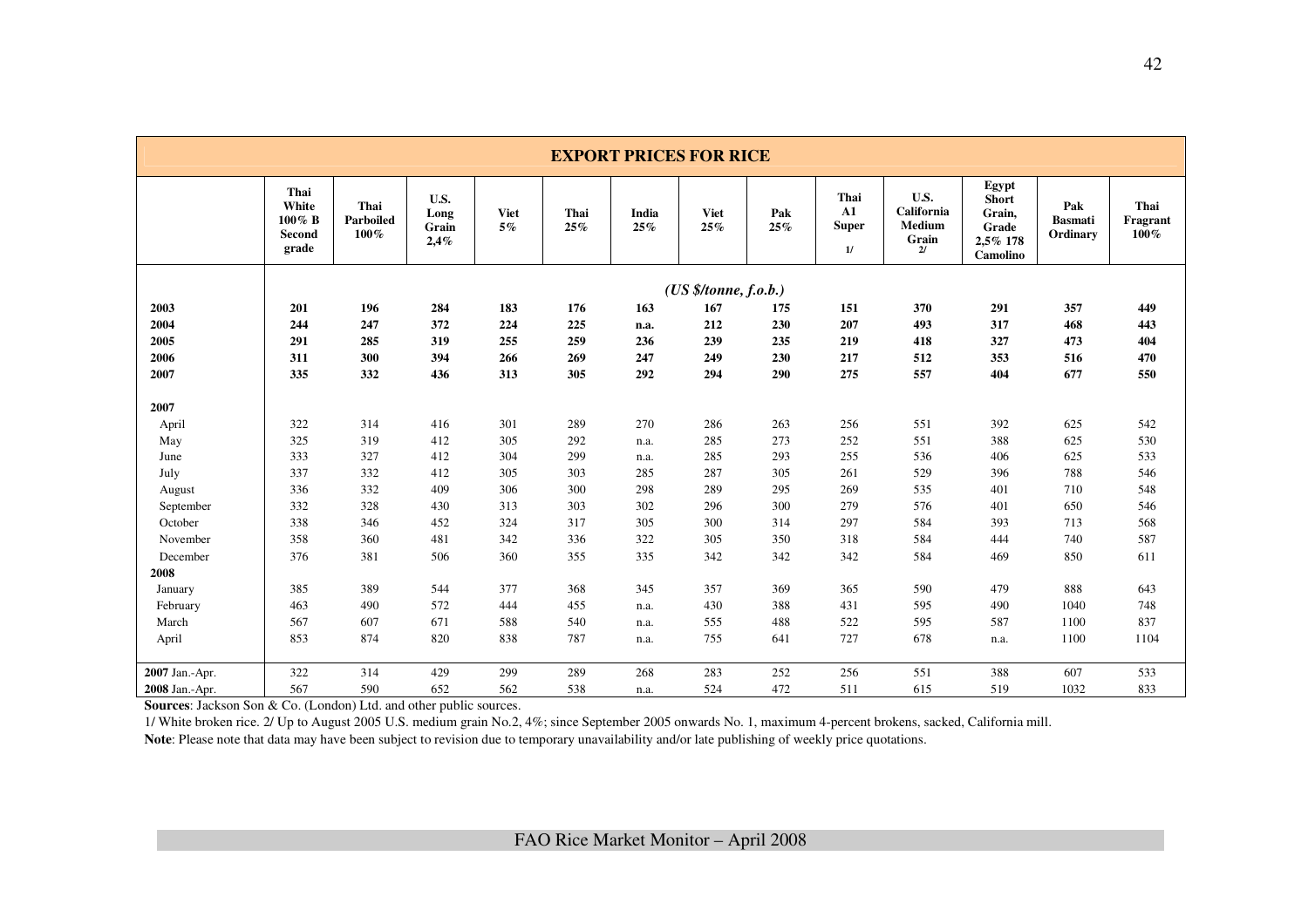|                | <b>EXPORT PRICES FOR RICE</b>                 |                              |                               |                      |             |              |                       |            |                                          |                                             |                                                                  |                                   |                             |
|----------------|-----------------------------------------------|------------------------------|-------------------------------|----------------------|-------------|--------------|-----------------------|------------|------------------------------------------|---------------------------------------------|------------------------------------------------------------------|-----------------------------------|-----------------------------|
|                | Thai<br>White<br>$100\%$ B<br>Second<br>grade | Thai<br>Parboiled<br>$100\%$ | U.S.<br>Long<br>Grain<br>2,4% | <b>Viet</b><br>$5\%$ | Thai<br>25% | India<br>25% | <b>Viet</b><br>25%    | Pak<br>25% | Thai<br>${\bf A1}$<br><b>Super</b><br>1/ | U.S.<br>California<br>Medium<br>Grain<br>2/ | Egypt<br><b>Short</b><br>Grain,<br>Grade<br>2,5% 178<br>Camolino | Pak<br><b>Basmati</b><br>Ordinary | Thai<br>Fragrant<br>$100\%$ |
|                |                                               |                              |                               |                      |             |              | (US \$/tonne, f.o.b.) |            |                                          |                                             |                                                                  |                                   |                             |
| 2003           | 201                                           | 196                          | 284                           | 183                  | 176         | 163          | 167                   | 175        | 151                                      | 370                                         | 291                                                              | 357                               | 449                         |
| 2004           | 244                                           | 247                          | 372                           | 224                  | 225         | n.a.         | 212                   | 230        | 207                                      | 493                                         | 317                                                              | 468                               | 443                         |
| 2005           | 291                                           | 285                          | 319                           | 255                  | 259         | 236          | 239                   | 235        | 219                                      | 418                                         | 327                                                              | 473                               | 404                         |
| 2006           | 311                                           | 300                          | 394                           | 266                  | 269         | 247          | 249                   | 230        | 217                                      | 512                                         | 353                                                              | 516                               | 470                         |
| 2007           | 335                                           | 332                          | 436                           | 313                  | 305         | 292          | 294                   | 290        | 275                                      | 557                                         | 404                                                              | 677                               | 550                         |
|                |                                               |                              |                               |                      |             |              |                       |            |                                          |                                             |                                                                  |                                   |                             |
| 2007           |                                               |                              |                               |                      |             |              |                       |            |                                          |                                             |                                                                  |                                   |                             |
| April          | 322                                           | 314                          | 416                           | 301                  | 289         | 270          | 286                   | 263        | 256                                      | 551                                         | 392                                                              | 625                               | 542                         |
| May            | 325                                           | 319                          | 412                           | 305                  | 292         | n.a.         | 285                   | 273        | 252                                      | 551                                         | 388                                                              | 625                               | 530                         |
| June           | 333                                           | 327                          | 412                           | 304                  | 299         | n.a.         | 285                   | 293        | 255                                      | 536                                         | 406                                                              | 625                               | 533                         |
| July           | 337                                           | 332                          | 412                           | 305                  | 303         | 285          | 287                   | 305        | 261                                      | 529                                         | 396                                                              | 788                               | 546                         |
| August         | 336                                           | 332                          | 409                           | 306                  | 300         | 298          | 289                   | 295        | 269                                      | 535                                         | 401                                                              | 710                               | 548                         |
| September      | 332                                           | 328                          | 430                           | 313                  | 303         | 302          | 296                   | 300        | 279                                      | 576                                         | 401                                                              | 650                               | 546                         |
| October        | 338                                           | 346                          | 452                           | 324                  | 317         | 305          | 300                   | 314        | 297                                      | 584                                         | 393                                                              | 713                               | 568                         |
| November       | 358                                           | 360                          | 481                           | 342                  | 336         | 322          | 305                   | 350        | 318                                      | 584                                         | 444                                                              | 740                               | 587                         |
| December       | 376                                           | 381                          | 506                           | 360                  | 355         | 335          | 342                   | 342        | 342                                      | 584                                         | 469                                                              | 850                               | 611                         |
| 2008           |                                               |                              |                               |                      |             |              |                       |            |                                          |                                             |                                                                  |                                   |                             |
| January        | 385                                           | 389                          | 544                           | 377                  | 368         | 345          | 357                   | 369        | 365                                      | 590                                         | 479                                                              | 888                               | 643                         |
| February       | 463                                           | 490                          | 572                           | 444                  | 455         | n.a.         | 430                   | 388        | 431                                      | 595                                         | 490                                                              | 1040                              | 748                         |
| March          | 567                                           | 607                          | 671                           | 588                  | 540         | n.a.         | 555                   | 488        | 522                                      | 595                                         | 587                                                              | 1100                              | 837                         |
| April          | 853                                           | 874                          | 820                           | 838                  | 787         | n.a.         | 755                   | 641        | 727                                      | 678                                         | n.a.                                                             | 1100                              | 1104                        |
| 2007 Jan.-Apr. | 322                                           | 314                          | 429                           | 299                  | 289         | 268          | 283                   | 252        | 256                                      | 551                                         | 388                                                              | 607                               | 533                         |
| 2008 Jan.-Apr. | 567                                           | 590                          | 652                           | 562                  | 538         | n.a.         | 524                   | 472        | 511                                      | 615                                         | 519                                                              | 1032                              | 833                         |

**Sources**: Jackson Son & Co. (London) Ltd. and other public sources.

 1/ White broken rice. 2/ Up to August 2005 U.S. medium grain No.2, 4%; since September 2005 onwards No. 1, maximum 4-percent brokens, sacked, California mill. Note: Please note that data may have been subject to revision due to temporary unavailability and/or late publishing of weekly price quotations.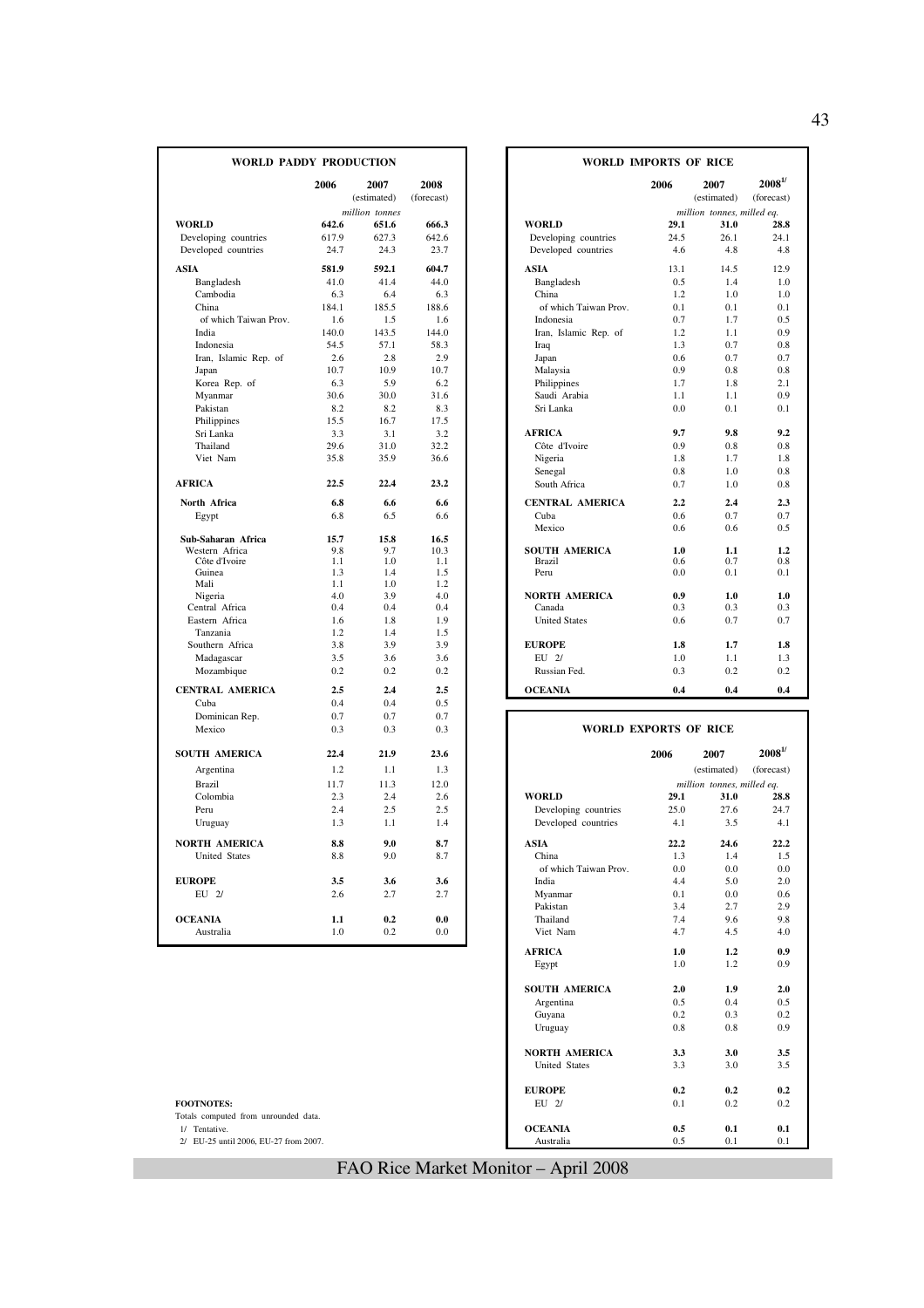| <b>WORLD PADDY PRODUCTION</b>   |             |                     |                    |                                             | <b>WORLD IMPORTS OF RICE</b> |                                    |                               |
|---------------------------------|-------------|---------------------|--------------------|---------------------------------------------|------------------------------|------------------------------------|-------------------------------|
|                                 | 2006        | 2007<br>(estimated) | 2008<br>(forecast) |                                             | 2006                         | 2007<br>(estimated)                | $2008^{1/}$<br>(forecast)     |
|                                 |             | million tonnes      |                    |                                             |                              | million tonnes, milled eq.         |                               |
| <b>WORLD</b>                    | 642.6       | 651.6               | 666.3              | <b>WORLD</b>                                | 29.1                         | 31.0                               | 28.8                          |
| Developing countries            | 617.9       | 627.3               | 642.6              | Developing countries                        | 24.5                         | 26.1                               | 24.1                          |
| Developed countries             | 24.7        | 24.3                | 23.7               | Developed countries                         | 4.6                          | 4.8                                | 4.8                           |
| <b>ASIA</b>                     | 581.9       | 592.1               | 604.7              | <b>ASIA</b>                                 | 13.1                         | 14.5                               | 12.9                          |
| Bangladesh                      | 41.0        | 41.4                | 44.0               | Bangladesh                                  | 0.5                          | 1.4                                | 1.0                           |
| Cambodia                        | 6.3         | 6.4                 | 6.3                | China                                       | 1.2                          | 1.0                                | 1.0                           |
| China                           | 184.1       | 185.5               | 188.6              | of which Taiwan Prov.                       | 0.1                          | 0.1                                | 0.1                           |
| of which Taiwan Prov.           | 1.6         | 1.5                 | 1.6                | Indonesia                                   | 0.7                          | 1.7                                | 0.5                           |
| India                           | 140.0       | 143.5               | 144.0              | Iran, Islamic Rep. of                       | 1.2                          | 1.1                                | 0.9                           |
| Indonesia                       | 54.5        | 57.1                | 58.3               | Iraq                                        | 1.3                          | 0.7                                | 0.8                           |
| Iran, Islamic Rep. of           | 2.6         | 2.8                 | 2.9                | Japan                                       | 0.6                          | 0.7                                | 0.7                           |
| Japan                           | 10.7        | 10.9                | 10.7               | Malaysia                                    | 0.9                          | 0.8                                | 0.8                           |
| Korea Rep. of                   | 6.3         | 5.9                 | 6.2                | Philippines                                 | 1.7                          | 1.8                                | 2.1                           |
| Myanmar                         | 30.6        | 30.0                | 31.6               | Saudi Arabia                                | 1.1                          | 1.1                                | 0.9                           |
| Pakistan                        | 8.2         | 8.2                 | 8.3                | Sri Lanka                                   | 0.0                          | 0.1                                | 0.1                           |
| Philippines                     | 15.5        | 16.7                | 17.5               |                                             |                              |                                    |                               |
| Sri Lanka                       | 3.3         | 3.1                 | 3.2                | <b>AFRICA</b>                               | 9.7                          | 9.8                                | 9.2                           |
| Thailand                        | 29.6        | 31.0                | 32.2               | Côte d'Ivoire                               | 0.9                          | 0.8                                | 0.8                           |
| Viet Nam                        | 35.8        | 35.9                | 36.6               | Nigeria                                     | 1.8                          | 1.7                                | 1.8                           |
|                                 |             |                     |                    | Senegal                                     | 0.8                          | 1.0                                | 0.8                           |
| <b>AFRICA</b>                   | 22.5        | 22.4                | 23.2               | South Africa                                | 0.7                          | 1.0                                | 0.8                           |
| North Africa                    | 6.8         | 6.6                 | 6.6                | <b>CENTRAL AMERICA</b>                      | 2.2                          | 2.4                                | 2.3                           |
| Egypt                           | 6.8         | 6.5                 | 6.6                | Cuba                                        | 0.6                          | 0.7                                | 0.7                           |
|                                 |             |                     |                    | Mexico                                      | 0.6                          | 0.6                                | 0.5                           |
| Sub-Saharan Africa              | 15.7        | 15.8                | 16.5               |                                             |                              |                                    |                               |
| Western Africa<br>Côte d'Ivoire | 9.8<br>1.1  | 9.7<br>1.0          | 10.3<br>1.1        | <b>SOUTH AMERICA</b><br><b>Brazil</b>       | 1.0<br>0.6                   | 1.1<br>0.7                         | 1.2<br>0.8                    |
| Guinea                          | 1.3         | 1.4                 | 1.5                | Peru                                        | 0.0                          | 0.1                                | 0.1                           |
| Mali                            | 1.1         | 1.0                 | 1.2                |                                             |                              |                                    |                               |
| Nigeria                         | 4.0         | 3.9                 | 4.0                | <b>NORTH AMERICA</b>                        | 0.9                          | 1.0                                | 1.0                           |
| Central Africa                  | 0.4         | 0.4                 | 0.4                | Canada                                      | 0.3                          | 0.3                                | 0.3                           |
| Eastern Africa                  | 1.6         | 1.8                 | 1.9                | <b>United States</b>                        | 0.6                          | 0.7                                | 0.7                           |
| Tanzania                        | 1.2         | 1.4                 | 1.5                |                                             |                              |                                    |                               |
| Southern Africa                 | 3.8         | 3.9                 | 3.9                | <b>EUROPE</b>                               | 1.8                          | 1.7                                | 1.8                           |
| Madagascar                      | 3.5         | 3.6                 | 3.6                | $EU$ $2/$                                   | 1.0                          | 1.1                                | 1.3                           |
| Mozambique                      | 0.2         | 0.2                 | 0.2                | Russian Fed.                                | 0.3                          | 0.2                                | 0.2                           |
| <b>CENTRAL AMERICA</b>          | 2.5         | 2.4                 | 2.5                | <b>OCEANIA</b>                              | 0.4                          | 0.4                                | 0.4                           |
| Cuba                            | 0.4         | 0.4                 | 0.5                |                                             |                              |                                    |                               |
| Dominican Rep.                  | 0.7         | 0.7                 | 0.7                |                                             |                              |                                    |                               |
| Mexico                          | 0.3         | 0.3                 | 0.3                |                                             | <b>WORLD EXPORTS OF RICE</b> |                                    |                               |
| <b>SOUTH AMERICA</b>            | 22.4        | 21.9                | 23.6               |                                             | 2006                         | 2007                               | $\boldsymbol{2008}^{1\prime}$ |
| Argentina                       | 1.2         | 1.1                 | 1.3                |                                             |                              | (estimated)                        | (forecast)                    |
|                                 |             |                     |                    |                                             |                              |                                    |                               |
| <b>Brazil</b><br>Colombia       | 11.7<br>2.3 | 11.3<br>2.4         | 12.0<br>2.6        | <b>WORLD</b>                                | 29.1                         | million tonnes, milled eq.<br>31.0 | 28.8                          |
| Peru                            | 2.4         | 2.5                 | 2.5                |                                             | 25.0                         | 27.6                               | 24.7                          |
| Uruguay                         | 1.3         | 1.1                 | 1.4                | Developing countries<br>Developed countries | 4.1                          | 3.5                                | 4.1                           |
|                                 |             |                     |                    |                                             |                              |                                    |                               |
| <b>NORTH AMERICA</b>            | 8.8         | 9.0                 | 8.7                | <b>ASIA</b>                                 | 22.2                         | 24.6                               | 22.2                          |
| <b>United States</b>            | 8.8         | 9.0                 | 8.7                | China                                       | 1.3                          | 1.4                                | 1.5                           |
|                                 |             |                     |                    | of which Taiwan Prov.                       | 0.0                          | 0.0                                | 0.0                           |
| <b>EUROPE</b>                   | 3.5         | 3.6                 | 3.6                | India                                       | 4.4                          | 5.0                                | 2.0                           |
| EU 2/                           | 2.6         | 2.7                 | 2.7                | Myanmar                                     | 0.1                          | 0.0                                | 0.6                           |
|                                 |             |                     |                    | Pakistan                                    | 3.4                          | 2.7                                | 2.9                           |
| <b>OCEANIA</b>                  | 1.1         | 0.2                 | 0.0                | Thailand                                    | 7.4                          | 9.6                                | 9.8                           |
| Australia                       | 1.0         | 0.2                 | 0.0                | Viet Nam                                    | 4.7                          | 4.5                                | 4.0                           |

|            | <b>DY PRODUCTION</b> |            | <b>WORLD IMPORTS OF RICE</b> |      |                            |                               |
|------------|----------------------|------------|------------------------------|------|----------------------------|-------------------------------|
| 2006       | 2007                 | 2008       |                              | 2006 | 2007                       | $\boldsymbol{2008}^{1\prime}$ |
|            | (estimated)          | (forecast) |                              |      | (estimated)                | (forecast)                    |
|            | million tonnes       |            |                              |      | million tonnes, milled eq. |                               |
| 642.6      | 651.6                | 666.3      | <b>WORLD</b>                 | 29.1 | 31.0                       | 28.8                          |
| 617.9      | 627.3                | 642.6      | Developing countries         | 24.5 | 26.1                       | 24.1                          |
| 24.7       | 24.3                 | 23.7       | Developed countries          | 4.6  | 4.8                        | 4.8                           |
| 581.9      | 592.1                | 604.7      | <b>ASIA</b>                  | 13.1 | 14.5                       | 12.9                          |
| 41.0       | 41.4                 | 44.0       | Bangladesh                   | 0.5  | 1.4                        | 1.0                           |
| 6.3        | 6.4                  | 6.3        | China                        | 1.2  | 1.0                        | 1.0                           |
| 184.1      | 185.5                | 188.6      | of which Taiwan Prov.        | 0.1  | 0.1                        | 0.1                           |
| 1.6        | 1.5                  | 1.6        | Indonesia                    | 0.7  | 1.7                        | 0.5                           |
| 140.0      | 143.5                | 144.0      | Iran, Islamic Rep. of        | 1.2  | 1.1                        | 0.9                           |
| 54.5       | 57.1                 | 58.3       | Iraq                         | 1.3  | 0.7                        | 0.8                           |
| 2.6        | 2.8                  | 2.9        | Japan                        | 0.6  | 0.7                        | 0.7                           |
| 10.7       | 10.9                 | 10.7       | Malaysia                     | 0.9  | 0.8                        | 0.8                           |
| 6.3        | 5.9                  | 6.2        | Philippines                  | 1.7  | 1.8                        | 2.1                           |
| 30.6       | 30.0                 | 31.6       | Saudi Arabia                 | 1.1  | 1.1                        | 0.9                           |
| 8.2        | 8.2                  | 8.3        | Sri Lanka                    | 0.0  | 0.1                        | 0.1                           |
| 15.5       | 16.7                 | 17.5       |                              |      |                            |                               |
| 3.3        | 3.1                  | 3.2        | <b>AFRICA</b>                | 9.7  | 9.8                        | 9.2                           |
| 29.6       | 31.0                 | 32.2       | Côte d'Ivoire                | 0.9  | 0.8                        | 0.8                           |
| 35.8       | 35.9                 | 36.6       | Nigeria                      | 1.8  | 1.7                        | 1.8                           |
|            |                      |            | Senegal                      | 0.8  | 1.0                        | 0.8                           |
| 22.5       | 22.4                 | 23.2       | South Africa                 | 0.7  | 1.0                        | 0.8                           |
| 6.8        | 6.6                  | 6.6        | <b>CENTRAL AMERICA</b>       | 2.2  | 2.4                        | 2.3                           |
| 6.8        | 6.5                  | 6.6        | Cuba                         | 0.6  | 0.7                        | 0.7                           |
|            |                      |            | Mexico                       | 0.6  | 0.6                        | 0.5                           |
| 15.7       | 15.8                 | 16.5       |                              |      |                            |                               |
| 9.8        | 9.7                  | 10.3       | <b>SOUTH AMERICA</b>         | 1.0  | 1.1                        | 1.2                           |
| 1.1        | 1.0                  | 1.1        | <b>Brazil</b>                | 0.6  | 0.7                        | 0.8                           |
| 1.3<br>1.1 | 1.4<br>1.0           | 1.5<br>1.2 | Peru                         | 0.0  | 0.1                        | 0.1                           |
| 4.0        | 3.9                  | 4.0        | <b>NORTH AMERICA</b>         | 0.9  | 1.0                        | 1.0                           |
| 0.4        | 0.4                  | 0.4        | Canada                       | 0.3  | 0.3                        | 0.3                           |
| 1.6        | 1.8                  | 1.9        | <b>United States</b>         | 0.6  | 0.7                        | 0.7                           |
| 1.2        | 1.4                  | 1.5        |                              |      |                            |                               |
| 3.8        | 3.9                  | 3.9        | <b>EUROPE</b>                | 1.8  | 1.7                        | 1.8                           |
| 3.5        | 3.6                  | 3.6        | EU 2/                        | 1.0  | 1.1                        | 1.3                           |
| 0.2        | 0.2                  | 0.2        | Russian Fed.                 | 0.3  | 0.2                        | 0.2                           |
|            |                      |            |                              |      |                            |                               |
| 2.5        | 2.4                  | 2.5        | <b>OCEANIA</b>               | 0.4  | 0.4                        | 0.4                           |
| 0.4        | 0.4                  | 0.5        |                              |      |                            |                               |

| Mexico                                | 0.3  | 0.3  | 0.3  | <b>WORLD EXPORTS OF RICE</b> |      |                            |                          |
|---------------------------------------|------|------|------|------------------------------|------|----------------------------|--------------------------|
| <b>SOUTH AMERICA</b>                  | 22.4 | 21.9 | 23.6 |                              | 2006 | 2007                       | $\boldsymbol{2008}^{1/}$ |
| Argentina                             | 1.2  | 1.1  | 1.3  |                              |      | (estimated)                | (forecast)               |
| Brazil                                | 11.7 | 11.3 | 12.0 |                              |      | million tonnes, milled eq. |                          |
| Colombia                              | 2.3  | 2.4  | 2.6  | <b>WORLD</b>                 | 29.1 | 31.0                       | 28.8                     |
| Peru                                  | 2.4  | 2.5  | 2.5  | Developing countries         | 25.0 | 27.6                       | 24.7                     |
| Uruguay                               | 1.3  | 1.1  | 1.4  | Developed countries          | 4.1  | 3.5                        | 4.1                      |
| <b>NORTH AMERICA</b>                  | 8.8  | 9.0  | 8.7  | <b>ASIA</b>                  | 22.2 | 24.6                       | 22.2                     |
| <b>United States</b>                  | 8.8  | 9.0  | 8.7  | China                        | 1.3  | 1.4                        |                          |
|                                       |      |      |      | of which Taiwan Prov.        | 0.0  | 0.0                        | 0.0                      |
| <b>EUROPE</b>                         | 3.5  | 3.6  | 3.6  | India                        | 4.4  | 5.0                        | 2.0                      |
| EU 2/                                 | 2.6  | 2.7  | 2.7  | Myanmar                      | 0.1  | 0.0                        | 0.6                      |
|                                       |      |      |      | Pakistan                     | 3.4  | 2.7                        | 2.9                      |
| <b>OCEANIA</b>                        | 1.1  | 0.2  | 0.0  | Thailand                     | 7.4  | 9.6                        | 9.8                      |
| Australia                             | 1.0  | 0.2  | 0.0  | Viet Nam                     | 4.7  | 4.5                        | 4.0                      |
|                                       |      |      |      | <b>AFRICA</b>                | 1.0  | 1.2                        | 0.9                      |
|                                       |      |      |      | Egypt                        | 1.0  | 1.2                        | 0.9                      |
|                                       |      |      |      | <b>SOUTH AMERICA</b>         | 2.0  | 1.9                        | 2.0                      |
|                                       |      |      |      | Argentina                    | 0.5  | 0.4                        | 0.5                      |
|                                       |      |      |      | Guyana                       | 0.2  | 0.3                        | 0.2                      |
|                                       |      |      |      | Uruguay                      | 0.8  | 0.8                        | 0.9                      |
|                                       |      |      |      | <b>NORTH AMERICA</b>         | 3.3  | 3.0                        | 3.5                      |
|                                       |      |      |      | <b>United States</b>         | 3.3  | 3.0                        | 3.5                      |
|                                       |      |      |      | <b>EUROPE</b>                | 0.2  | 0.2                        | 0.2                      |
| <b>FOOTNOTES:</b>                     |      |      |      | EU 2/                        | 0.1  | 0.2                        | 0.2                      |
| Totals computed from unrounded data.  |      |      |      |                              |      |                            |                          |
| 1/ Tentative.                         |      |      |      | <b>OCEANIA</b>               | 0.5  | 0.1                        | 0.1                      |
| 2/ EU-25 until 2006, EU-27 from 2007. |      |      |      | Australia                    | 0.5  | 0.1                        | 0.1                      |

## FAO Rice Market Monitor – April 2008

43